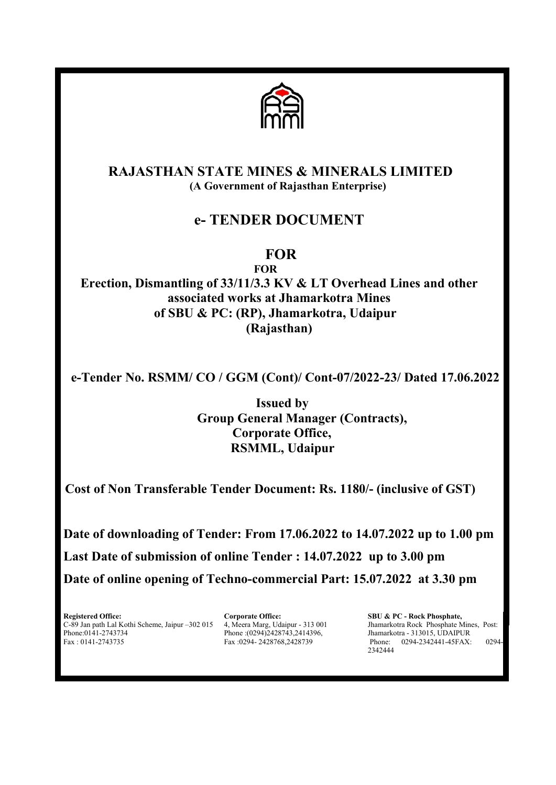

# RAJASTHAN STATE MINES & MINERALS LIMITED (A Government of Rajasthan Enterprise)

# e- TENDER DOCUMENT

# **FOR**

FOR Erection, Dismantling of 33/11/3.3 KV & LT Overhead Lines and other associated works at Jhamarkotra Mines of SBU & PC: (RP), Jhamarkotra, Udaipur (Rajasthan)

e-Tender No. RSMM/ CO / GGM (Cont)/ Cont-07/2022-23/ Dated 17.06.2022

Issued by Group General Manager (Contracts), Corporate Office, RSMML, Udaipur

Cost of Non Transferable Tender Document: Rs. 1180/- (inclusive of GST)

Date of downloading of Tender: From 17.06.2022 to 14.07.2022 up to 1.00 pm Last Date of submission of online Tender : 14.07.2022 up to 3.00 pm Date of online opening of Techno-commercial Part: 15.07.2022 at 3.30 pm

Registered Office: Corporate Office: SBU & PC - Rock Phosphate,<br>
C-89 Jan path Lal Kothi Scheme, Jaipur -302 015 4, Meera Marg, Udaipur - 313 001 Jhamarkotra Rock Phosphate M C-89 Jan path Lal Kothi Scheme, Jaipur –302 015 4, Meera Marg, Udaipur - 313 001 Jhamarkotra Rock Phosphate Mines, Post:<br>Phone: (0294)2428743,2414396, Jhamarkotra - 313015, UDAIPUR Phone:0141-2743734 Phone:00294)2428743,2414396, Jhamarkotra - 313015, UDAIPUR<br>Fax:0141-2743735 Fax:0294-2428768,2428739 Phone: 0294-2342441-45FAX:

Phone: 0294-2342441-45FAX: 0294-2342444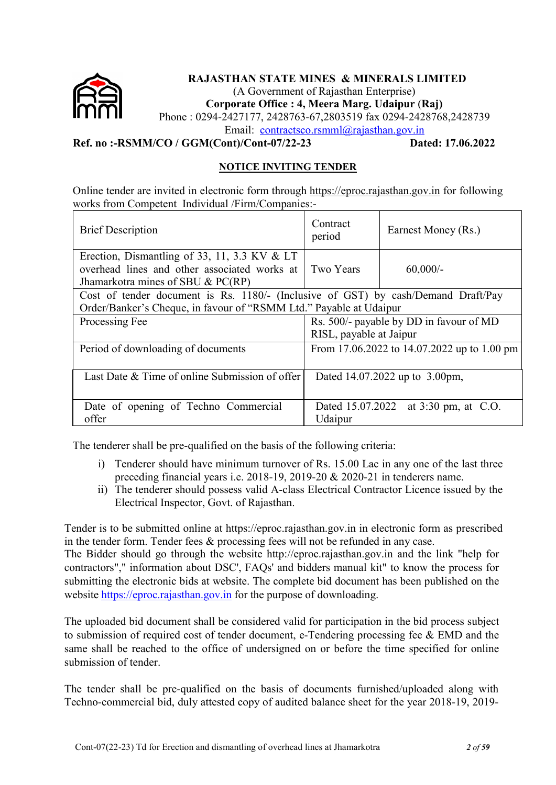

# RAJASTHAN STATE MINES & MINERALS LIMITED

(A Government of Rajasthan Enterprise)

Corporate Office : 4, Meera Marg. Udaipur (Raj)

Phone : 0294-2427177, 2428763-67,2803519 fax 0294-2428768,2428739

Email: contractsco.rsmml@rajasthan.gov.in

Ref. no :-RSMM/CO / GGM(Cont)/Cont-07/22-23 Dated: 17.06.2022

# NOTICE INVITING TENDER

Online tender are invited in electronic form through https://eproc.rajasthan.gov.in for following works from Competent Individual /Firm/Companies:-

| <b>Brief Description</b>                                                                                                             | Contract<br>period                      | Earnest Money (Rs.)                         |  |
|--------------------------------------------------------------------------------------------------------------------------------------|-----------------------------------------|---------------------------------------------|--|
| Erection, Dismantling of 33, 11, 3.3 KV $&LT$<br>overhead lines and other associated works at<br>Jhamarkotra mines of SBU $& PC(RP)$ | Two Years                               | $60,000/$ -                                 |  |
| Cost of tender document is Rs. 1180/- (Inclusive of GST) by cash/Demand Draft/Pay                                                    |                                         |                                             |  |
| Order/Banker's Cheque, in favour of "RSMM Ltd." Payable at Udaipur                                                                   |                                         |                                             |  |
| Processing Fee                                                                                                                       | Rs. 500/- payable by DD in favour of MD |                                             |  |
|                                                                                                                                      | RISL, payable at Jaipur                 |                                             |  |
| Period of downloading of documents                                                                                                   |                                         | From 17.06.2022 to 14.07.2022 up to 1.00 pm |  |
|                                                                                                                                      |                                         |                                             |  |
| Last Date & Time of online Submission of offer                                                                                       |                                         | Dated 14.07.2022 up to 3.00pm,              |  |
|                                                                                                                                      |                                         |                                             |  |
| Date of opening of Techno Commercial                                                                                                 | Dated 15.07.2022                        | at 3:30 pm, at C.O.                         |  |
| offer                                                                                                                                | Udaipur                                 |                                             |  |

The tenderer shall be pre-qualified on the basis of the following criteria:

- i) Tenderer should have minimum turnover of Rs. 15.00 Lac in any one of the last three preceding financial years i.e. 2018-19, 2019-20 & 2020-21 in tenderers name.
- ii) The tenderer should possess valid A-class Electrical Contractor Licence issued by the Electrical Inspector, Govt. of Rajasthan.

Tender is to be submitted online at https://eproc.rajasthan.gov.in in electronic form as prescribed in the tender form. Tender fees & processing fees will not be refunded in any case.

The Bidder should go through the website http://eproc.rajasthan.gov.in and the link "help for contractors"," information about DSC', FAQs' and bidders manual kit" to know the process for submitting the electronic bids at website. The complete bid document has been published on the website https://eproc.rajasthan.gov.in for the purpose of downloading.

The uploaded bid document shall be considered valid for participation in the bid process subject to submission of required cost of tender document, e-Tendering processing fee & EMD and the same shall be reached to the office of undersigned on or before the time specified for online submission of tender.

The tender shall be pre-qualified on the basis of documents furnished/uploaded along with Techno-commercial bid, duly attested copy of audited balance sheet for the year 2018-19, 2019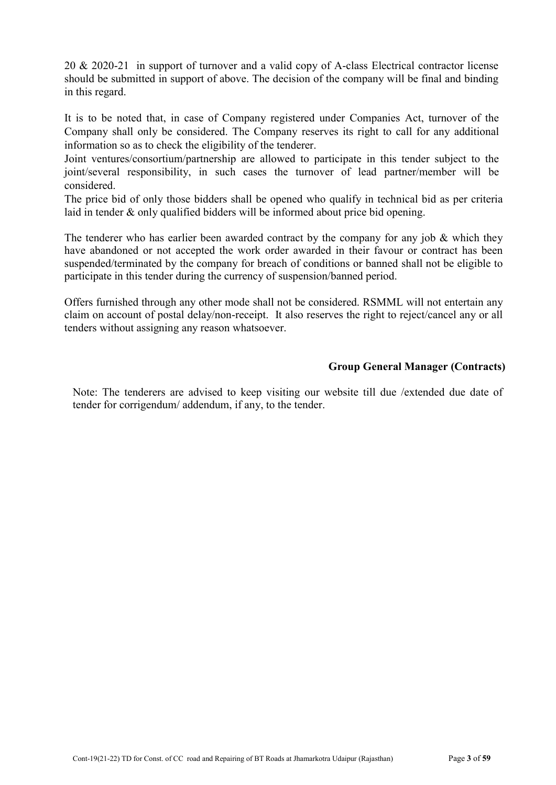20 & 2020-21 in support of turnover and a valid copy of A-class Electrical contractor license should be submitted in support of above. The decision of the company will be final and binding in this regard.

It is to be noted that, in case of Company registered under Companies Act, turnover of the Company shall only be considered. The Company reserves its right to call for any additional information so as to check the eligibility of the tenderer.

Joint ventures/consortium/partnership are allowed to participate in this tender subject to the joint/several responsibility, in such cases the turnover of lead partner/member will be considered.

The price bid of only those bidders shall be opened who qualify in technical bid as per criteria laid in tender & only qualified bidders will be informed about price bid opening.

The tenderer who has earlier been awarded contract by the company for any job  $\&$  which they have abandoned or not accepted the work order awarded in their favour or contract has been suspended/terminated by the company for breach of conditions or banned shall not be eligible to participate in this tender during the currency of suspension/banned period.

Offers furnished through any other mode shall not be considered. RSMML will not entertain any claim on account of postal delay/non-receipt. It also reserves the right to reject/cancel any or all tenders without assigning any reason whatsoever.

# Group General Manager (Contracts)

Note: The tenderers are advised to keep visiting our website till due /extended due date of tender for corrigendum/ addendum, if any, to the tender.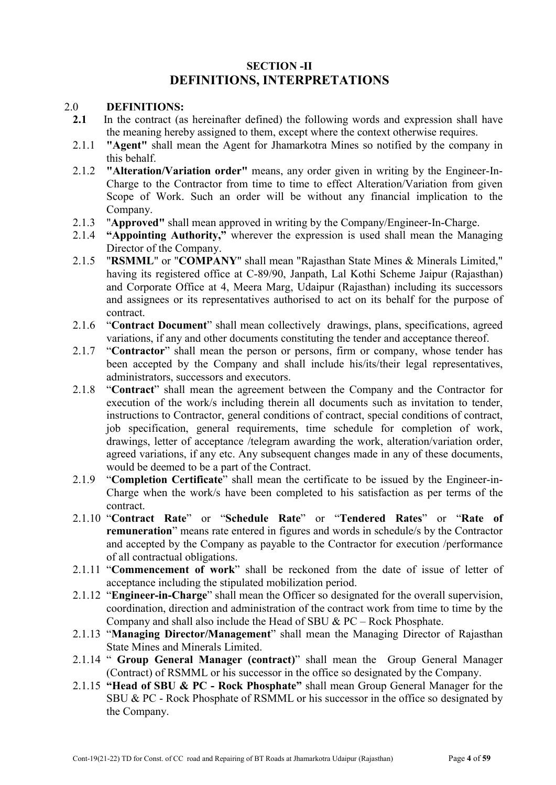# SECTION -II DEFINITIONS, INTERPRETATIONS

# 2.0 **DEFINITIONS:**<br>2.1 In the contract (as

- In the contract (as hereinafter defined) the following words and expression shall have the meaning hereby assigned to them, except where the context otherwise requires.
- 2.1.1 "Agent" shall mean the Agent for Jhamarkotra Mines so notified by the company in this behalf.
- 2.1.2 "Alteration/Variation order" means, any order given in writing by the Engineer-In-Charge to the Contractor from time to time to effect Alteration/Variation from given Scope of Work. Such an order will be without any financial implication to the Company.
- 2.1.3 "Approved" shall mean approved in writing by the Company/Engineer-In-Charge.
- 2.1.4 "Appointing Authority," wherever the expression is used shall mean the Managing Director of the Company.
- 2.1.5 "RSMML" or "COMPANY" shall mean "Rajasthan State Mines & Minerals Limited," having its registered office at C-89/90, Janpath, Lal Kothi Scheme Jaipur (Rajasthan) and Corporate Office at 4, Meera Marg, Udaipur (Rajasthan) including its successors and assignees or its representatives authorised to act on its behalf for the purpose of contract.
- 2.1.6 "Contract Document" shall mean collectively drawings, plans, specifications, agreed variations, if any and other documents constituting the tender and acceptance thereof.
- 2.1.7 "Contractor" shall mean the person or persons, firm or company, whose tender has been accepted by the Company and shall include his/its/their legal representatives, administrators, successors and executors.
- 2.1.8 "Contract" shall mean the agreement between the Company and the Contractor for execution of the work/s including therein all documents such as invitation to tender, instructions to Contractor, general conditions of contract, special conditions of contract, job specification, general requirements, time schedule for completion of work, drawings, letter of acceptance /telegram awarding the work, alteration/variation order, agreed variations, if any etc. Any subsequent changes made in any of these documents, would be deemed to be a part of the Contract.
- 2.1.9 "Completion Certificate" shall mean the certificate to be issued by the Engineer-in-Charge when the work/s have been completed to his satisfaction as per terms of the contract.
- 2.1.10 "Contract Rate" or "Schedule Rate" or "Tendered Rates" or "Rate of remuneration" means rate entered in figures and words in schedule/s by the Contractor and accepted by the Company as payable to the Contractor for execution /performance of all contractual obligations.
- 2.1.11 "Commencement of work" shall be reckoned from the date of issue of letter of acceptance including the stipulated mobilization period.
- 2.1.12 "Engineer-in-Charge" shall mean the Officer so designated for the overall supervision, coordination, direction and administration of the contract work from time to time by the Company and shall also include the Head of SBU & PC – Rock Phosphate.
- 2.1.13 "Managing Director/Management" shall mean the Managing Director of Rajasthan State Mines and Minerals Limited.
- 2.1.14 " Group General Manager (contract)" shall mean the Group General Manager (Contract) of RSMML or his successor in the office so designated by the Company.
- 2.1.15 "Head of SBU & PC Rock Phosphate" shall mean Group General Manager for the SBU & PC - Rock Phosphate of RSMML or his successor in the office so designated by the Company.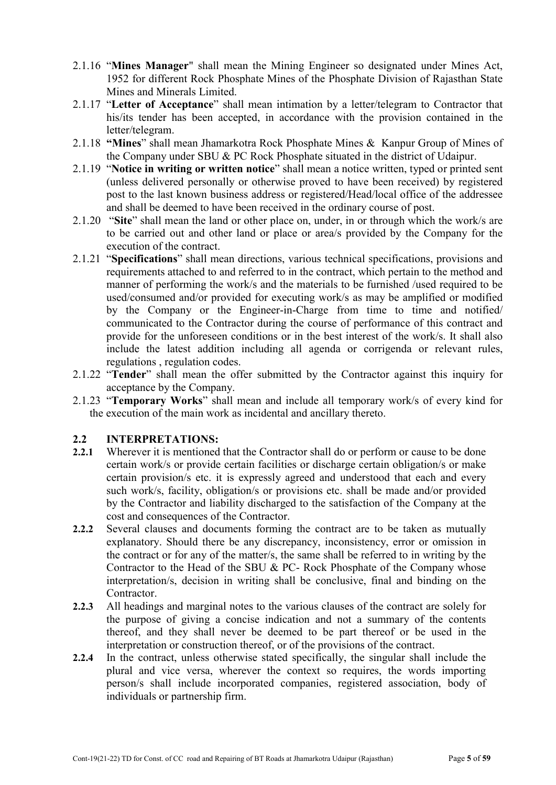- 2.1.16 "Mines Manager" shall mean the Mining Engineer so designated under Mines Act, 1952 for different Rock Phosphate Mines of the Phosphate Division of Rajasthan State Mines and Minerals Limited.
- 2.1.17 "Letter of Acceptance" shall mean intimation by a letter/telegram to Contractor that his/its tender has been accepted, in accordance with the provision contained in the letter/telegram.
- 2.1.18 "Mines" shall mean Jhamarkotra Rock Phosphate Mines & Kanpur Group of Mines of the Company under SBU & PC Rock Phosphate situated in the district of Udaipur.
- 2.1.19 "Notice in writing or written notice" shall mean a notice written, typed or printed sent (unless delivered personally or otherwise proved to have been received) by registered post to the last known business address or registered/Head/local office of the addressee and shall be deemed to have been received in the ordinary course of post.
- 2.1.20 "Site" shall mean the land or other place on, under, in or through which the work/s are to be carried out and other land or place or area/s provided by the Company for the execution of the contract.
- 2.1.21 "Specifications" shall mean directions, various technical specifications, provisions and requirements attached to and referred to in the contract, which pertain to the method and manner of performing the work/s and the materials to be furnished /used required to be used/consumed and/or provided for executing work/s as may be amplified or modified by the Company or the Engineer-in-Charge from time to time and notified/ communicated to the Contractor during the course of performance of this contract and provide for the unforeseen conditions or in the best interest of the work/s. It shall also include the latest addition including all agenda or corrigenda or relevant rules, regulations , regulation codes.
- 2.1.22 "Tender" shall mean the offer submitted by the Contractor against this inquiry for acceptance by the Company.
- 2.1.23 "Temporary Works" shall mean and include all temporary work/s of every kind for the execution of the main work as incidental and ancillary thereto.

# 2.2 INTERPRETATIONS:

- 2.2.1 Wherever it is mentioned that the Contractor shall do or perform or cause to be done certain work/s or provide certain facilities or discharge certain obligation/s or make certain provision/s etc. it is expressly agreed and understood that each and every such work/s, facility, obligation/s or provisions etc. shall be made and/or provided by the Contractor and liability discharged to the satisfaction of the Company at the cost and consequences of the Contractor.
- 2.2.2 Several clauses and documents forming the contract are to be taken as mutually explanatory. Should there be any discrepancy, inconsistency, error or omission in the contract or for any of the matter/s, the same shall be referred to in writing by the Contractor to the Head of the SBU & PC- Rock Phosphate of the Company whose interpretation/s, decision in writing shall be conclusive, final and binding on the Contractor.
- 2.2.3 All headings and marginal notes to the various clauses of the contract are solely for the purpose of giving a concise indication and not a summary of the contents thereof, and they shall never be deemed to be part thereof or be used in the interpretation or construction thereof, or of the provisions of the contract.
- 2.2.4 In the contract, unless otherwise stated specifically, the singular shall include the plural and vice versa, wherever the context so requires, the words importing person/s shall include incorporated companies, registered association, body of individuals or partnership firm.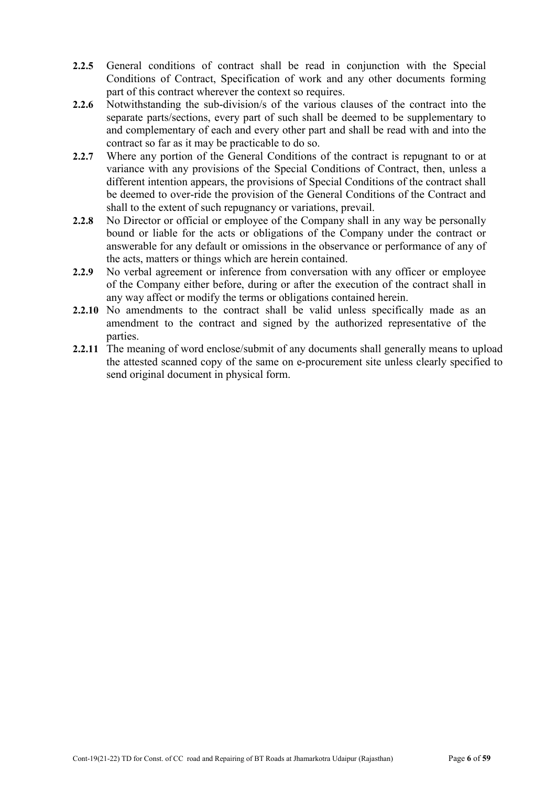- 2.2.5 General conditions of contract shall be read in conjunction with the Special Conditions of Contract, Specification of work and any other documents forming part of this contract wherever the context so requires.
- 2.2.6 Notwithstanding the sub-division/s of the various clauses of the contract into the separate parts/sections, every part of such shall be deemed to be supplementary to and complementary of each and every other part and shall be read with and into the contract so far as it may be practicable to do so.
- 2.2.7 Where any portion of the General Conditions of the contract is repugnant to or at variance with any provisions of the Special Conditions of Contract, then, unless a different intention appears, the provisions of Special Conditions of the contract shall be deemed to over-ride the provision of the General Conditions of the Contract and shall to the extent of such repugnancy or variations, prevail.
- 2.2.8 No Director or official or employee of the Company shall in any way be personally bound or liable for the acts or obligations of the Company under the contract or answerable for any default or omissions in the observance or performance of any of the acts, matters or things which are herein contained.
- 2.2.9 No verbal agreement or inference from conversation with any officer or employee of the Company either before, during or after the execution of the contract shall in any way affect or modify the terms or obligations contained herein.
- 2.2.10 No amendments to the contract shall be valid unless specifically made as an amendment to the contract and signed by the authorized representative of the parties.
- 2.2.11 The meaning of word enclose/submit of any documents shall generally means to upload the attested scanned copy of the same on e-procurement site unless clearly specified to send original document in physical form.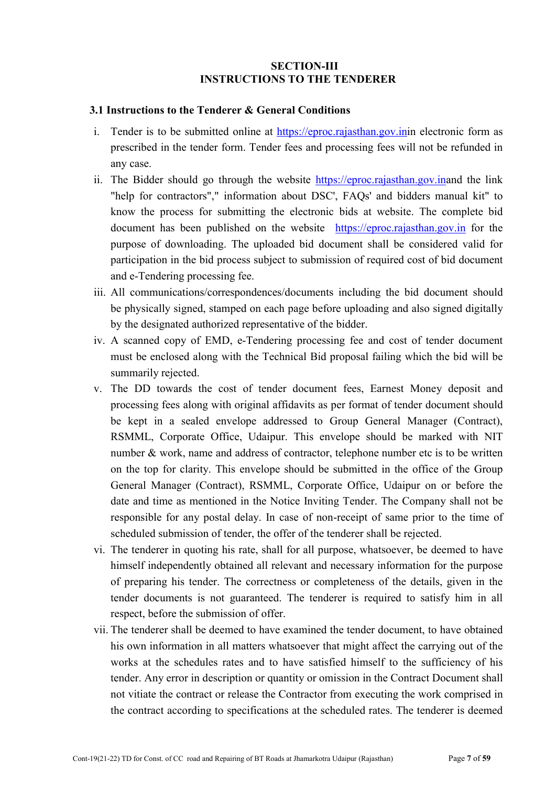### SECTION-III INSTRUCTIONS TO THE TENDERER

#### 3.1 Instructions to the Tenderer & General Conditions

- i. Tender is to be submitted online at https://eproc.rajasthan.gov.inin electronic form as prescribed in the tender form. Tender fees and processing fees will not be refunded in any case.
- ii. The Bidder should go through the website https://eproc.rajasthan.gov.inand the link "help for contractors"," information about DSC', FAQs' and bidders manual kit" to know the process for submitting the electronic bids at website. The complete bid document has been published on the website https://eproc.rajasthan.gov.in for the purpose of downloading. The uploaded bid document shall be considered valid for participation in the bid process subject to submission of required cost of bid document and e-Tendering processing fee.
- iii. All communications/correspondences/documents including the bid document should be physically signed, stamped on each page before uploading and also signed digitally by the designated authorized representative of the bidder.
- iv. A scanned copy of EMD, e-Tendering processing fee and cost of tender document must be enclosed along with the Technical Bid proposal failing which the bid will be summarily rejected.
- v. The DD towards the cost of tender document fees, Earnest Money deposit and processing fees along with original affidavits as per format of tender document should be kept in a sealed envelope addressed to Group General Manager (Contract), RSMML, Corporate Office, Udaipur. This envelope should be marked with NIT number & work, name and address of contractor, telephone number etc is to be written on the top for clarity. This envelope should be submitted in the office of the Group General Manager (Contract), RSMML, Corporate Office, Udaipur on or before the date and time as mentioned in the Notice Inviting Tender. The Company shall not be responsible for any postal delay. In case of non-receipt of same prior to the time of scheduled submission of tender, the offer of the tenderer shall be rejected.
- vi. The tenderer in quoting his rate, shall for all purpose, whatsoever, be deemed to have himself independently obtained all relevant and necessary information for the purpose of preparing his tender. The correctness or completeness of the details, given in the tender documents is not guaranteed. The tenderer is required to satisfy him in all respect, before the submission of offer.
- vii. The tenderer shall be deemed to have examined the tender document, to have obtained his own information in all matters whatsoever that might affect the carrying out of the works at the schedules rates and to have satisfied himself to the sufficiency of his tender. Any error in description or quantity or omission in the Contract Document shall not vitiate the contract or release the Contractor from executing the work comprised in the contract according to specifications at the scheduled rates. The tenderer is deemed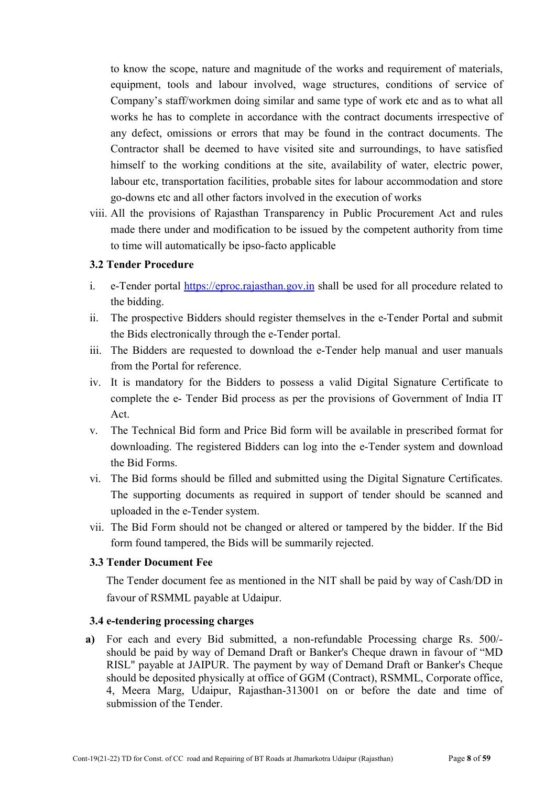to know the scope, nature and magnitude of the works and requirement of materials, equipment, tools and labour involved, wage structures, conditions of service of Company's staff/workmen doing similar and same type of work etc and as to what all works he has to complete in accordance with the contract documents irrespective of any defect, omissions or errors that may be found in the contract documents. The Contractor shall be deemed to have visited site and surroundings, to have satisfied himself to the working conditions at the site, availability of water, electric power, labour etc, transportation facilities, probable sites for labour accommodation and store go-downs etc and all other factors involved in the execution of works

viii. All the provisions of Rajasthan Transparency in Public Procurement Act and rules made there under and modification to be issued by the competent authority from time to time will automatically be ipso-facto applicable

# 3.2 Tender Procedure

- i. e-Tender portal https://eproc.rajasthan.gov.in shall be used for all procedure related to the bidding.
- ii. The prospective Bidders should register themselves in the e-Tender Portal and submit the Bids electronically through the e-Tender portal.
- iii. The Bidders are requested to download the e-Tender help manual and user manuals from the Portal for reference.
- iv. It is mandatory for the Bidders to possess a valid Digital Signature Certificate to complete the e- Tender Bid process as per the provisions of Government of India IT Act.
- v. The Technical Bid form and Price Bid form will be available in prescribed format for downloading. The registered Bidders can log into the e-Tender system and download the Bid Forms.
- vi. The Bid forms should be filled and submitted using the Digital Signature Certificates. The supporting documents as required in support of tender should be scanned and uploaded in the e-Tender system.
- vii. The Bid Form should not be changed or altered or tampered by the bidder. If the Bid form found tampered, the Bids will be summarily rejected.

#### 3.3 Tender Document Fee

The Tender document fee as mentioned in the NIT shall be paid by way of Cash/DD in favour of RSMML payable at Udaipur.

#### 3.4 e-tendering processing charges

a) For each and every Bid submitted, a non-refundable Processing charge Rs. 500/ should be paid by way of Demand Draft or Banker's Cheque drawn in favour of "MD RISL" payable at JAIPUR. The payment by way of Demand Draft or Banker's Cheque should be deposited physically at office of GGM (Contract), RSMML, Corporate office, 4, Meera Marg, Udaipur, Rajasthan-313001 on or before the date and time of submission of the Tender.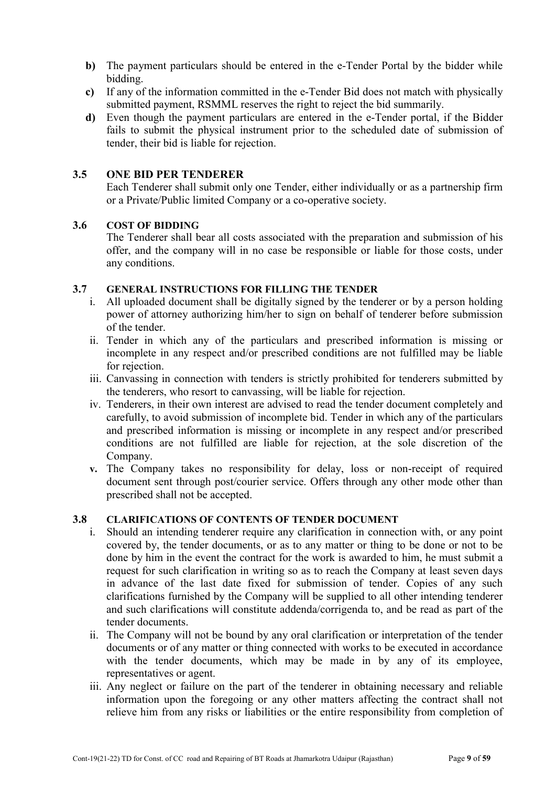- b) The payment particulars should be entered in the e-Tender Portal by the bidder while bidding.
- c) If any of the information committed in the e-Tender Bid does not match with physically submitted payment, RSMML reserves the right to reject the bid summarily.
- d) Even though the payment particulars are entered in the e-Tender portal, if the Bidder fails to submit the physical instrument prior to the scheduled date of submission of tender, their bid is liable for rejection.

# 3.5 ONE BID PER TENDERER

Each Tenderer shall submit only one Tender, either individually or as a partnership firm or a Private/Public limited Company or a co-operative society.

#### 3.6 COST OF BIDDING

The Tenderer shall bear all costs associated with the preparation and submission of his offer, and the company will in no case be responsible or liable for those costs, under any conditions.

#### 3.7 GENERAL INSTRUCTIONS FOR FILLING THE TENDER

- i. All uploaded document shall be digitally signed by the tenderer or by a person holding power of attorney authorizing him/her to sign on behalf of tenderer before submission of the tender.
- ii. Tender in which any of the particulars and prescribed information is missing or incomplete in any respect and/or prescribed conditions are not fulfilled may be liable for rejection.
- iii. Canvassing in connection with tenders is strictly prohibited for tenderers submitted by the tenderers, who resort to canvassing, will be liable for rejection.
- iv. Tenderers, in their own interest are advised to read the tender document completely and carefully, to avoid submission of incomplete bid. Tender in which any of the particulars and prescribed information is missing or incomplete in any respect and/or prescribed conditions are not fulfilled are liable for rejection, at the sole discretion of the Company.
- v. The Company takes no responsibility for delay, loss or non-receipt of required document sent through post/courier service. Offers through any other mode other than prescribed shall not be accepted.

### 3.8 CLARIFICATIONS OF CONTENTS OF TENDER DOCUMENT

- Should an intending tenderer require any clarification in connection with, or any point covered by, the tender documents, or as to any matter or thing to be done or not to be done by him in the event the contract for the work is awarded to him, he must submit a request for such clarification in writing so as to reach the Company at least seven days in advance of the last date fixed for submission of tender. Copies of any such clarifications furnished by the Company will be supplied to all other intending tenderer and such clarifications will constitute addenda/corrigenda to, and be read as part of the tender documents.
- ii. The Company will not be bound by any oral clarification or interpretation of the tender documents or of any matter or thing connected with works to be executed in accordance with the tender documents, which may be made in by any of its employee, representatives or agent.
- iii. Any neglect or failure on the part of the tenderer in obtaining necessary and reliable information upon the foregoing or any other matters affecting the contract shall not relieve him from any risks or liabilities or the entire responsibility from completion of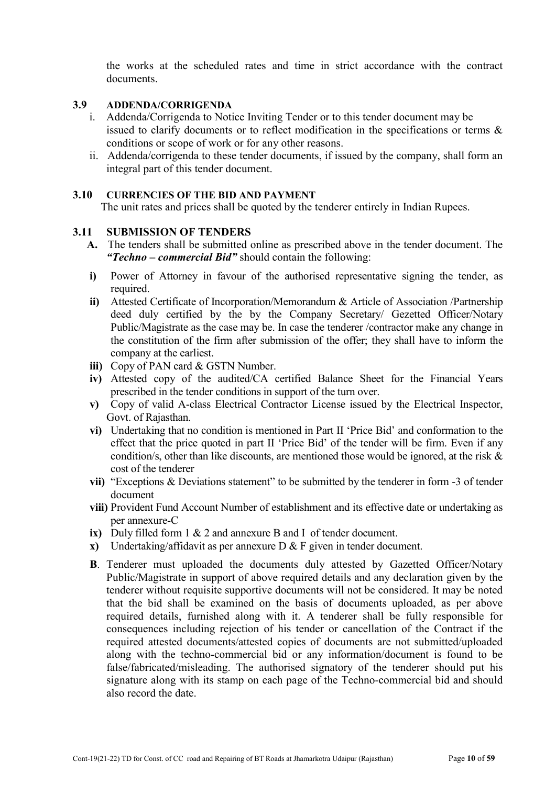the works at the scheduled rates and time in strict accordance with the contract documents.

#### 3.9 ADDENDA/CORRIGENDA

- i. Addenda/Corrigenda to Notice Inviting Tender or to this tender document may be issued to clarify documents or to reflect modification in the specifications or terms & conditions or scope of work or for any other reasons.
- ii. Addenda/corrigenda to these tender documents, if issued by the company, shall form an integral part of this tender document.

#### 3.10 CURRENCIES OF THE BID AND PAYMENT

The unit rates and prices shall be quoted by the tenderer entirely in Indian Rupees.

#### 3.11 SUBMISSION OF TENDERS

- A. The tenders shall be submitted online as prescribed above in the tender document. The *"Techno – commercial Bid"* should contain the following:
- i) Power of Attorney in favour of the authorised representative signing the tender, as required
- ii) Attested Certificate of Incorporation/Memorandum & Article of Association /Partnership deed duly certified by the by the Company Secretary/ Gezetted Officer/Notary Public/Magistrate as the case may be. In case the tenderer /contractor make any change in the constitution of the firm after submission of the offer; they shall have to inform the company at the earliest.
- iii) Copy of PAN card & GSTN Number.
- iv) Attested copy of the audited/CA certified Balance Sheet for the Financial Years prescribed in the tender conditions in support of the turn over.
- v) Copy of valid A-class Electrical Contractor License issued by the Electrical Inspector, Govt. of Rajasthan.
- vi) Undertaking that no condition is mentioned in Part II 'Price Bid' and conformation to the effect that the price quoted in part II 'Price Bid' of the tender will be firm. Even if any condition/s, other than like discounts, are mentioned those would be ignored, at the risk & cost of the tenderer
- vii) "Exceptions & Deviations statement" to be submitted by the tenderer in form -3 of tender document
- viii) Provident Fund Account Number of establishment and its effective date or undertaking as per annexure-C
- ix) Duly filled form 1 & 2 and annexure B and I of tender document.
- x) Undertaking/affidavit as per annexure D & F given in tender document.
- B. Tenderer must uploaded the documents duly attested by Gazetted Officer/Notary Public/Magistrate in support of above required details and any declaration given by the tenderer without requisite supportive documents will not be considered. It may be noted that the bid shall be examined on the basis of documents uploaded, as per above required details, furnished along with it. A tenderer shall be fully responsible for consequences including rejection of his tender or cancellation of the Contract if the required attested documents/attested copies of documents are not submitted/uploaded along with the techno-commercial bid or any information/document is found to be false/fabricated/misleading. The authorised signatory of the tenderer should put his signature along with its stamp on each page of the Techno-commercial bid and should also record the date.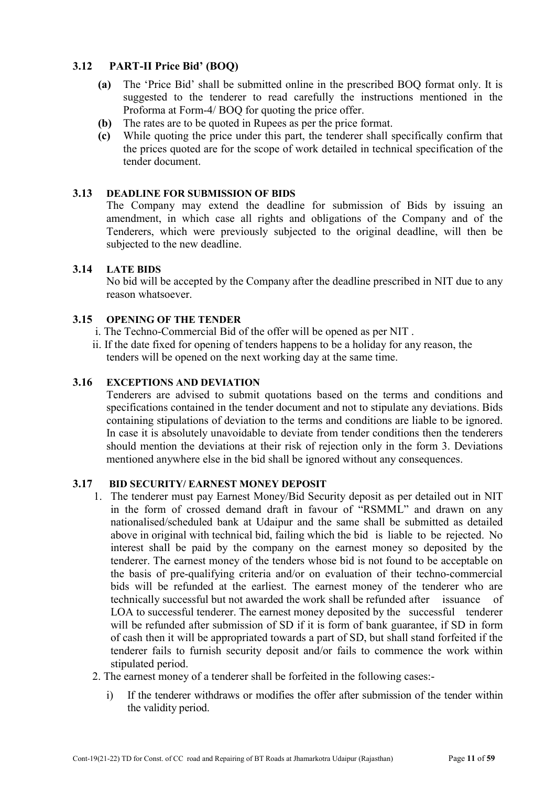# 3.12 PART-II Price Bid' (BOQ)

- (a) The 'Price Bid' shall be submitted online in the prescribed BOQ format only. It is suggested to the tenderer to read carefully the instructions mentioned in the Proforma at Form-4/ BOQ for quoting the price offer.
- (b) The rates are to be quoted in Rupees as per the price format.
- (c) While quoting the price under this part, the tenderer shall specifically confirm that the prices quoted are for the scope of work detailed in technical specification of the tender document.

# 3.13 DEADLINE FOR SUBMISSION OF BIDS

The Company may extend the deadline for submission of Bids by issuing an amendment, in which case all rights and obligations of the Company and of the Tenderers, which were previously subjected to the original deadline, will then be subjected to the new deadline.

# 3.14 LATE BIDS

No bid will be accepted by the Company after the deadline prescribed in NIT due to any reason whatsoever.

# 3.15 OPENING OF THE TENDER

- i. The Techno-Commercial Bid of the offer will be opened as per NIT .
- ii. If the date fixed for opening of tenders happens to be a holiday for any reason, the tenders will be opened on the next working day at the same time.

#### 3.16 EXCEPTIONS AND DEVIATION

Tenderers are advised to submit quotations based on the terms and conditions and specifications contained in the tender document and not to stipulate any deviations. Bids containing stipulations of deviation to the terms and conditions are liable to be ignored. In case it is absolutely unavoidable to deviate from tender conditions then the tenderers should mention the deviations at their risk of rejection only in the form 3. Deviations mentioned anywhere else in the bid shall be ignored without any consequences.

#### 3.17 BID SECURITY/ EARNEST MONEY DEPOSIT

- 1. The tenderer must pay Earnest Money/Bid Security deposit as per detailed out in NIT in the form of crossed demand draft in favour of "RSMML" and drawn on any nationalised/scheduled bank at Udaipur and the same shall be submitted as detailed above in original with technical bid, failing which the bid is liable to be rejected. No interest shall be paid by the company on the earnest money so deposited by the tenderer. The earnest money of the tenders whose bid is not found to be acceptable on the basis of pre-qualifying criteria and/or on evaluation of their techno-commercial bids will be refunded at the earliest. The earnest money of the tenderer who are technically successful but not awarded the work shall be refunded after issuance of LOA to successful tenderer. The earnest money deposited by the successful tenderer will be refunded after submission of SD if it is form of bank guarantee, if SD in form of cash then it will be appropriated towards a part of SD, but shall stand forfeited if the tenderer fails to furnish security deposit and/or fails to commence the work within stipulated period.
- 2. The earnest money of a tenderer shall be forfeited in the following cases:
	- i) If the tenderer withdraws or modifies the offer after submission of the tender within the validity period.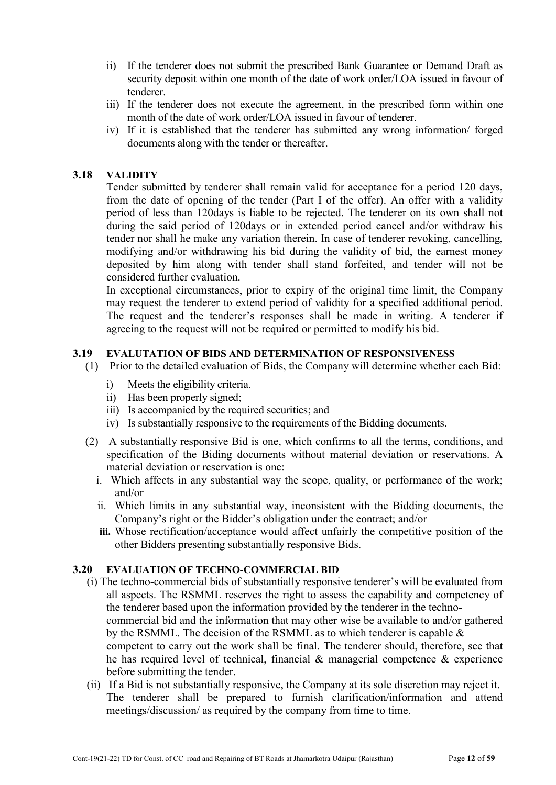- ii) If the tenderer does not submit the prescribed Bank Guarantee or Demand Draft as security deposit within one month of the date of work order/LOA issued in favour of tenderer.
- iii) If the tenderer does not execute the agreement, in the prescribed form within one month of the date of work order/LOA issued in favour of tenderer.
- iv) If it is established that the tenderer has submitted any wrong information/ forged documents along with the tender or thereafter.

#### 3.18 VALIDITY

Tender submitted by tenderer shall remain valid for acceptance for a period 120 days, from the date of opening of the tender (Part I of the offer). An offer with a validity period of less than 120days is liable to be rejected. The tenderer on its own shall not during the said period of 120days or in extended period cancel and/or withdraw his tender nor shall he make any variation therein. In case of tenderer revoking, cancelling, modifying and/or withdrawing his bid during the validity of bid, the earnest money deposited by him along with tender shall stand forfeited, and tender will not be considered further evaluation.

In exceptional circumstances, prior to expiry of the original time limit, the Company may request the tenderer to extend period of validity for a specified additional period. The request and the tenderer's responses shall be made in writing. A tenderer if agreeing to the request will not be required or permitted to modify his bid.

#### 3.19 EVALUTATION OF BIDS AND DETERMINATION OF RESPONSIVENESS

- (1) Prior to the detailed evaluation of Bids, the Company will determine whether each Bid:
	- i) Meets the eligibility criteria.
	- ii) Has been properly signed;
	- iii) Is accompanied by the required securities; and
	- iv) Is substantially responsive to the requirements of the Bidding documents.
- (2) A substantially responsive Bid is one, which confirms to all the terms, conditions, and specification of the Biding documents without material deviation or reservations. A material deviation or reservation is one:
	- i. Which affects in any substantial way the scope, quality, or performance of the work; and/or
	- ii. Which limits in any substantial way, inconsistent with the Bidding documents, the Company's right or the Bidder's obligation under the contract; and/or
	- iii. Whose rectification/acceptance would affect unfairly the competitive position of the other Bidders presenting substantially responsive Bids.

# 3.20 EVALUATION OF TECHNO-COMMERCIAL BID

- (i) The techno-commercial bids of substantially responsive tenderer's will be evaluated from all aspects. The RSMML reserves the right to assess the capability and competency of the tenderer based upon the information provided by the tenderer in the technocommercial bid and the information that may other wise be available to and/or gathered by the RSMML. The decision of the RSMML as to which tenderer is capable & competent to carry out the work shall be final. The tenderer should, therefore, see that
	- he has required level of technical, financial  $\&$  managerial competence  $\&$  experience before submitting the tender.
- (ii) If a Bid is not substantially responsive, the Company at its sole discretion may reject it. The tenderer shall be prepared to furnish clarification/information and attend meetings/discussion/ as required by the company from time to time.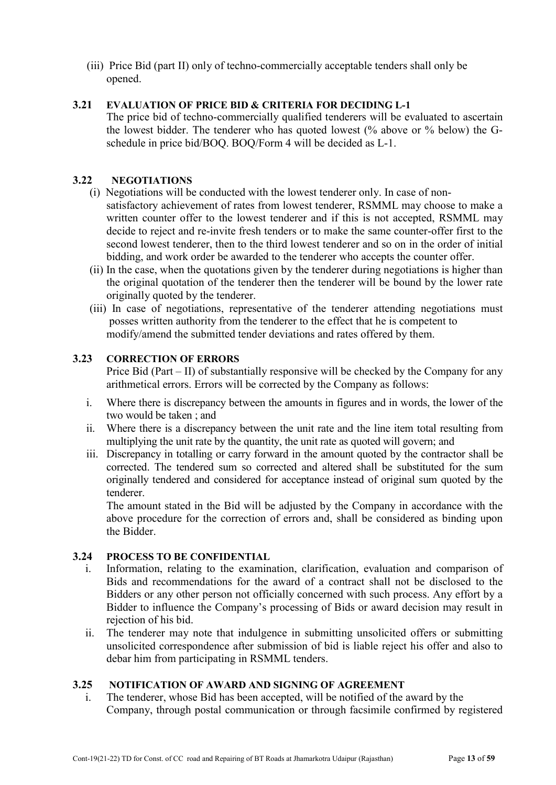(iii) Price Bid (part II) only of techno-commercially acceptable tenders shall only be opened.

#### 3.21 EVALUATION OF PRICE BID & CRITERIA FOR DECIDING L-1

The price bid of techno-commercially qualified tenderers will be evaluated to ascertain the lowest bidder. The tenderer who has quoted lowest (% above or % below) the Gschedule in price bid/BOQ. BOQ/Form 4 will be decided as L-1.

# 3.22 NEGOTIATIONS

- (i) Negotiations will be conducted with the lowest tenderer only. In case of nonsatisfactory achievement of rates from lowest tenderer, RSMML may choose to make a written counter offer to the lowest tenderer and if this is not accepted, RSMML may decide to reject and re-invite fresh tenders or to make the same counter-offer first to the second lowest tenderer, then to the third lowest tenderer and so on in the order of initial bidding, and work order be awarded to the tenderer who accepts the counter offer.
- (ii) In the case, when the quotations given by the tenderer during negotiations is higher than the original quotation of the tenderer then the tenderer will be bound by the lower rate originally quoted by the tenderer.
- (iii) In case of negotiations, representative of the tenderer attending negotiations must posses written authority from the tenderer to the effect that he is competent to modify/amend the submitted tender deviations and rates offered by them.

# 3.23 CORRECTION OF ERRORS

Price Bid (Part – II) of substantially responsive will be checked by the Company for any arithmetical errors. Errors will be corrected by the Company as follows:

- i. Where there is discrepancy between the amounts in figures and in words, the lower of the two would be taken ; and
- ii. Where there is a discrepancy between the unit rate and the line item total resulting from multiplying the unit rate by the quantity, the unit rate as quoted will govern; and
- iii. Discrepancy in totalling or carry forward in the amount quoted by the contractor shall be corrected. The tendered sum so corrected and altered shall be substituted for the sum originally tendered and considered for acceptance instead of original sum quoted by the tenderer.

The amount stated in the Bid will be adjusted by the Company in accordance with the above procedure for the correction of errors and, shall be considered as binding upon the Bidder.

# 3.24 PROCESS TO BE CONFIDENTIAL

- i. Information, relating to the examination, clarification, evaluation and comparison of Bids and recommendations for the award of a contract shall not be disclosed to the Bidders or any other person not officially concerned with such process. Any effort by a Bidder to influence the Company's processing of Bids or award decision may result in rejection of his bid.
- ii. The tenderer may note that indulgence in submitting unsolicited offers or submitting unsolicited correspondence after submission of bid is liable reject his offer and also to debar him from participating in RSMML tenders.

#### 3.25 NOTIFICATION OF AWARD AND SIGNING OF AGREEMENT

i. The tenderer, whose Bid has been accepted, will be notified of the award by the Company, through postal communication or through facsimile confirmed by registered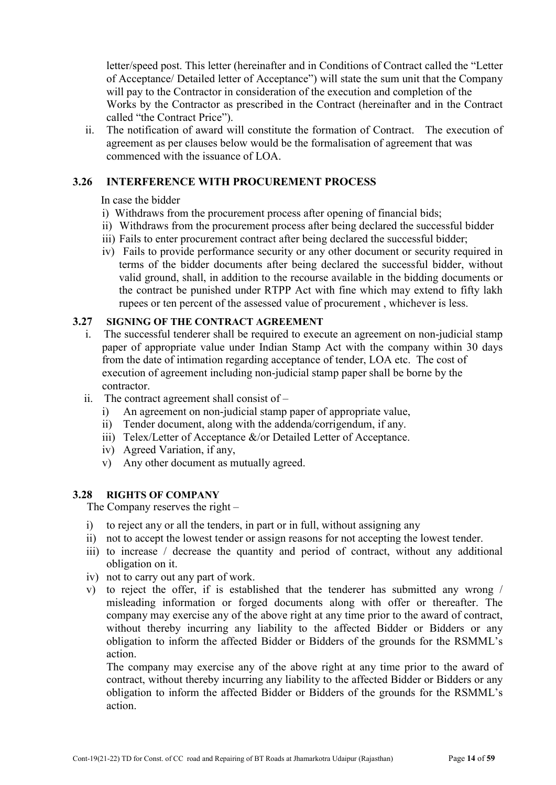letter/speed post. This letter (hereinafter and in Conditions of Contract called the "Letter of Acceptance/ Detailed letter of Acceptance") will state the sum unit that the Company will pay to the Contractor in consideration of the execution and completion of the Works by the Contractor as prescribed in the Contract (hereinafter and in the Contract called "the Contract Price").

ii. The notification of award will constitute the formation of Contract. The execution of agreement as per clauses below would be the formalisation of agreement that was commenced with the issuance of LOA.

# 3.26 INTERFERENCE WITH PROCUREMENT PROCESS

In case the bidder

- i) Withdraws from the procurement process after opening of financial bids;
- ii) Withdraws from the procurement process after being declared the successful bidder
- iii) Fails to enter procurement contract after being declared the successful bidder;
- iv) Fails to provide performance security or any other document or security required in terms of the bidder documents after being declared the successful bidder, without valid ground, shall, in addition to the recourse available in the bidding documents or the contract be punished under RTPP Act with fine which may extend to fifty lakh rupees or ten percent of the assessed value of procurement , whichever is less.

#### 3.27 SIGNING OF THE CONTRACT AGREEMENT

- i. The successful tenderer shall be required to execute an agreement on non-judicial stamp paper of appropriate value under Indian Stamp Act with the company within 30 days from the date of intimation regarding acceptance of tender, LOA etc. The cost of execution of agreement including non-judicial stamp paper shall be borne by the contractor.
- ii. The contract agreement shall consist of
	- i) An agreement on non-judicial stamp paper of appropriate value,
	- ii) Tender document, along with the addenda/corrigendum, if any.
	- iii) Telex/Letter of Acceptance &/or Detailed Letter of Acceptance.
	- iv) Agreed Variation, if any,
	- v) Any other document as mutually agreed.

# 3.28 RIGHTS OF COMPANY

The Company reserves the right –

- i) to reject any or all the tenders, in part or in full, without assigning any
- ii) not to accept the lowest tender or assign reasons for not accepting the lowest tender.
- iii) to increase / decrease the quantity and period of contract, without any additional obligation on it.
- iv) not to carry out any part of work.
- v) to reject the offer, if is established that the tenderer has submitted any wrong / misleading information or forged documents along with offer or thereafter. The company may exercise any of the above right at any time prior to the award of contract, without thereby incurring any liability to the affected Bidder or Bidders or any obligation to inform the affected Bidder or Bidders of the grounds for the RSMML's action.

The company may exercise any of the above right at any time prior to the award of contract, without thereby incurring any liability to the affected Bidder or Bidders or any obligation to inform the affected Bidder or Bidders of the grounds for the RSMML's action.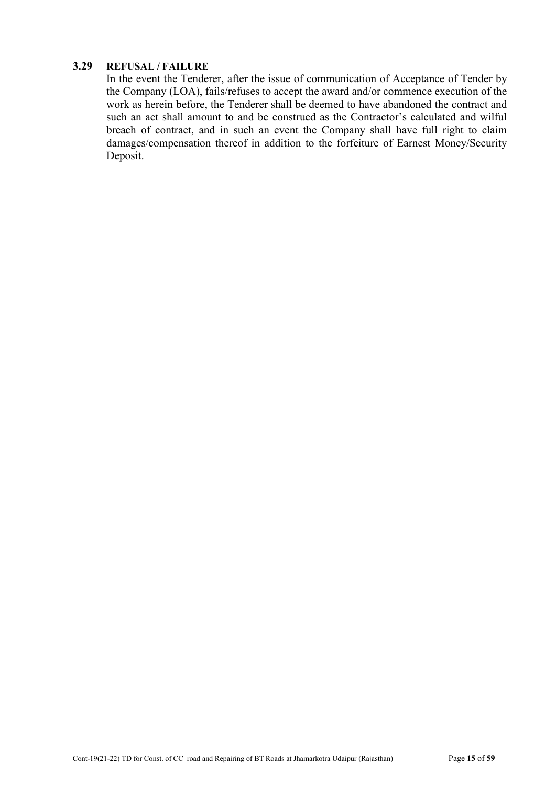# 3.29 REFUSAL / FAILURE

In the event the Tenderer, after the issue of communication of Acceptance of Tender by the Company (LOA), fails/refuses to accept the award and/or commence execution of the work as herein before, the Tenderer shall be deemed to have abandoned the contract and such an act shall amount to and be construed as the Contractor's calculated and wilful breach of contract, and in such an event the Company shall have full right to claim damages/compensation thereof in addition to the forfeiture of Earnest Money/Security Deposit.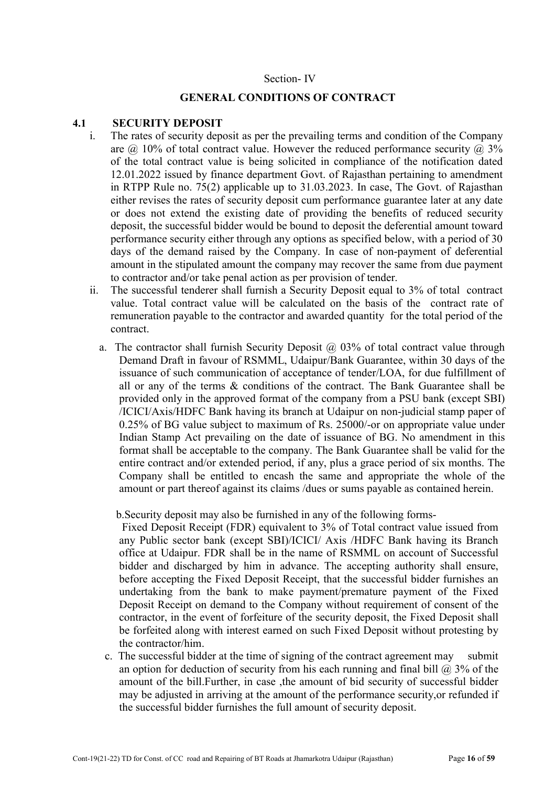#### Section- IV

#### GENERAL CONDITIONS OF CONTRACT

#### 4.1 SECURITY DEPOSIT

- i. The rates of security deposit as per the prevailing terms and condition of the Company are  $\omega$  10% of total contract value. However the reduced performance security  $\omega$ , 3% of the total contract value is being solicited in compliance of the notification dated 12.01.2022 issued by finance department Govt. of Rajasthan pertaining to amendment in RTPP Rule no. 75(2) applicable up to 31.03.2023. In case, The Govt. of Rajasthan either revises the rates of security deposit cum performance guarantee later at any date or does not extend the existing date of providing the benefits of reduced security deposit, the successful bidder would be bound to deposit the deferential amount toward performance security either through any options as specified below, with a period of 30 days of the demand raised by the Company. In case of non-payment of deferential amount in the stipulated amount the company may recover the same from due payment to contractor and/or take penal action as per provision of tender.
- ii. The successful tenderer shall furnish a Security Deposit equal to 3% of total contract value. Total contract value will be calculated on the basis of the contract rate of remuneration payable to the contractor and awarded quantity for the total period of the contract.
	- a. The contractor shall furnish Security Deposit  $\omega$  03% of total contract value through Demand Draft in favour of RSMML, Udaipur/Bank Guarantee, within 30 days of the issuance of such communication of acceptance of tender/LOA, for due fulfillment of all or any of the terms & conditions of the contract. The Bank Guarantee shall be provided only in the approved format of the company from a PSU bank (except SBI) /ICICI/Axis/HDFC Bank having its branch at Udaipur on non-judicial stamp paper of 0.25% of BG value subject to maximum of Rs. 25000/-or on appropriate value under Indian Stamp Act prevailing on the date of issuance of BG. No amendment in this format shall be acceptable to the company. The Bank Guarantee shall be valid for the entire contract and/or extended period, if any, plus a grace period of six months. The Company shall be entitled to encash the same and appropriate the whole of the amount or part thereof against its claims /dues or sums payable as contained herein.

b.Security deposit may also be furnished in any of the following forms-

Fixed Deposit Receipt (FDR) equivalent to 3% of Total contract value issued from any Public sector bank (except SBI)/ICICI/ Axis /HDFC Bank having its Branch office at Udaipur. FDR shall be in the name of RSMML on account of Successful bidder and discharged by him in advance. The accepting authority shall ensure, before accepting the Fixed Deposit Receipt, that the successful bidder furnishes an undertaking from the bank to make payment/premature payment of the Fixed Deposit Receipt on demand to the Company without requirement of consent of the contractor, in the event of forfeiture of the security deposit, the Fixed Deposit shall be forfeited along with interest earned on such Fixed Deposit without protesting by the contractor/him.

 c. The successful bidder at the time of signing of the contract agreement may submit an option for deduction of security from his each running and final bill  $\omega$  3% of the amount of the bill.Further, in case ,the amount of bid security of successful bidder may be adjusted in arriving at the amount of the performance security,or refunded if the successful bidder furnishes the full amount of security deposit.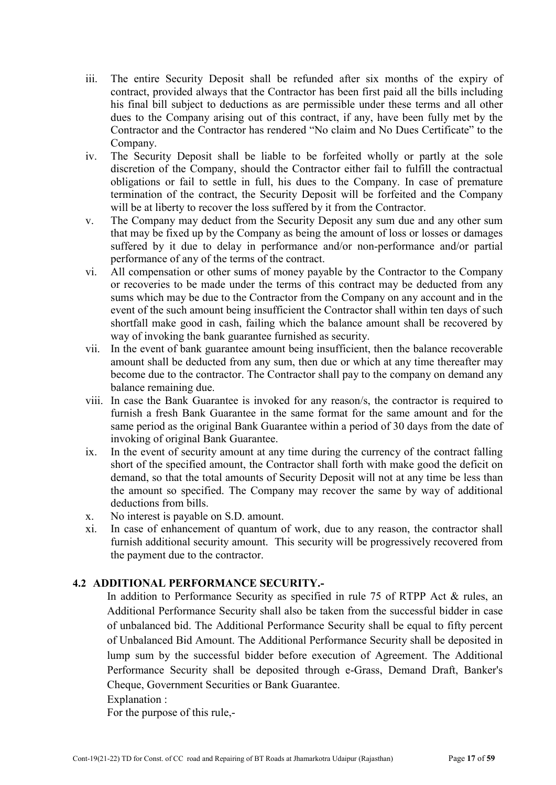- iii. The entire Security Deposit shall be refunded after six months of the expiry of contract, provided always that the Contractor has been first paid all the bills including his final bill subject to deductions as are permissible under these terms and all other dues to the Company arising out of this contract, if any, have been fully met by the Contractor and the Contractor has rendered "No claim and No Dues Certificate" to the Company.
- iv. The Security Deposit shall be liable to be forfeited wholly or partly at the sole discretion of the Company, should the Contractor either fail to fulfill the contractual obligations or fail to settle in full, his dues to the Company. In case of premature termination of the contract, the Security Deposit will be forfeited and the Company will be at liberty to recover the loss suffered by it from the Contractor.
- v. The Company may deduct from the Security Deposit any sum due and any other sum that may be fixed up by the Company as being the amount of loss or losses or damages suffered by it due to delay in performance and/or non-performance and/or partial performance of any of the terms of the contract.
- vi. All compensation or other sums of money payable by the Contractor to the Company or recoveries to be made under the terms of this contract may be deducted from any sums which may be due to the Contractor from the Company on any account and in the event of the such amount being insufficient the Contractor shall within ten days of such shortfall make good in cash, failing which the balance amount shall be recovered by way of invoking the bank guarantee furnished as security.
- vii. In the event of bank guarantee amount being insufficient, then the balance recoverable amount shall be deducted from any sum, then due or which at any time thereafter may become due to the contractor. The Contractor shall pay to the company on demand any balance remaining due.
- viii. In case the Bank Guarantee is invoked for any reason/s, the contractor is required to furnish a fresh Bank Guarantee in the same format for the same amount and for the same period as the original Bank Guarantee within a period of 30 days from the date of invoking of original Bank Guarantee.
- ix. In the event of security amount at any time during the currency of the contract falling short of the specified amount, the Contractor shall forth with make good the deficit on demand, so that the total amounts of Security Deposit will not at any time be less than the amount so specified. The Company may recover the same by way of additional deductions from bills.
- x. No interest is payable on S.D. amount.
- xi. In case of enhancement of quantum of work, due to any reason, the contractor shall furnish additional security amount. This security will be progressively recovered from the payment due to the contractor.

# 4.2 ADDITIONAL PERFORMANCE SECURITY.-

In addition to Performance Security as specified in rule 75 of RTPP Act & rules, an Additional Performance Security shall also be taken from the successful bidder in case of unbalanced bid. The Additional Performance Security shall be equal to fifty percent of Unbalanced Bid Amount. The Additional Performance Security shall be deposited in lump sum by the successful bidder before execution of Agreement. The Additional Performance Security shall be deposited through e-Grass, Demand Draft, Banker's Cheque, Government Securities or Bank Guarantee.

Explanation :

For the purpose of this rule,-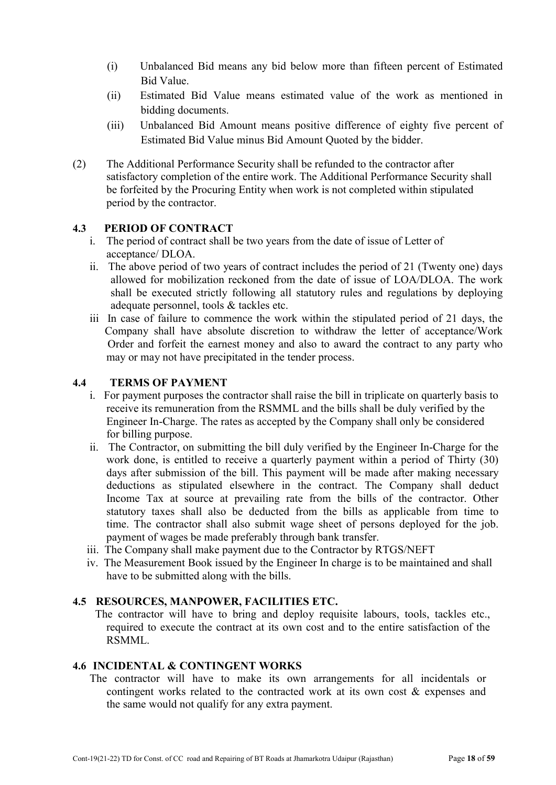- (i) Unbalanced Bid means any bid below more than fifteen percent of Estimated Bid Value.
- (ii) Estimated Bid Value means estimated value of the work as mentioned in bidding documents.
- (iii) Unbalanced Bid Amount means positive difference of eighty five percent of Estimated Bid Value minus Bid Amount Quoted by the bidder.
- (2) The Additional Performance Security shall be refunded to the contractor after satisfactory completion of the entire work. The Additional Performance Security shall be forfeited by the Procuring Entity when work is not completed within stipulated period by the contractor.

# 4.3 PERIOD OF CONTRACT

- i. The period of contract shall be two years from the date of issue of Letter of acceptance/ DLOA.
- ii. The above period of two years of contract includes the period of 21 (Twenty one) days allowed for mobilization reckoned from the date of issue of LOA/DLOA. The work shall be executed strictly following all statutory rules and regulations by deploying adequate personnel, tools & tackles etc.
- iii In case of failure to commence the work within the stipulated period of 21 days, the Company shall have absolute discretion to withdraw the letter of acceptance/Work Order and forfeit the earnest money and also to award the contract to any party who may or may not have precipitated in the tender process.

# 4.4 TERMS OF PAYMENT

- i. For payment purposes the contractor shall raise the bill in triplicate on quarterly basis to receive its remuneration from the RSMML and the bills shall be duly verified by the Engineer In-Charge. The rates as accepted by the Company shall only be considered for billing purpose.
- ii. The Contractor, on submitting the bill duly verified by the Engineer In-Charge for the work done, is entitled to receive a quarterly payment within a period of Thirty (30) days after submission of the bill. This payment will be made after making necessary deductions as stipulated elsewhere in the contract. The Company shall deduct Income Tax at source at prevailing rate from the bills of the contractor. Other statutory taxes shall also be deducted from the bills as applicable from time to time. The contractor shall also submit wage sheet of persons deployed for the job. payment of wages be made preferably through bank transfer.
- iii. The Company shall make payment due to the Contractor by RTGS/NEFT
- iv. The Measurement Book issued by the Engineer In charge is to be maintained and shall have to be submitted along with the bills.

#### 4.5 RESOURCES, MANPOWER, FACILITIES ETC.

 The contractor will have to bring and deploy requisite labours, tools, tackles etc., required to execute the contract at its own cost and to the entire satisfaction of the RSMML.

#### 4.6 INCIDENTAL & CONTINGENT WORKS

 The contractor will have to make its own arrangements for all incidentals or contingent works related to the contracted work at its own cost & expenses and the same would not qualify for any extra payment.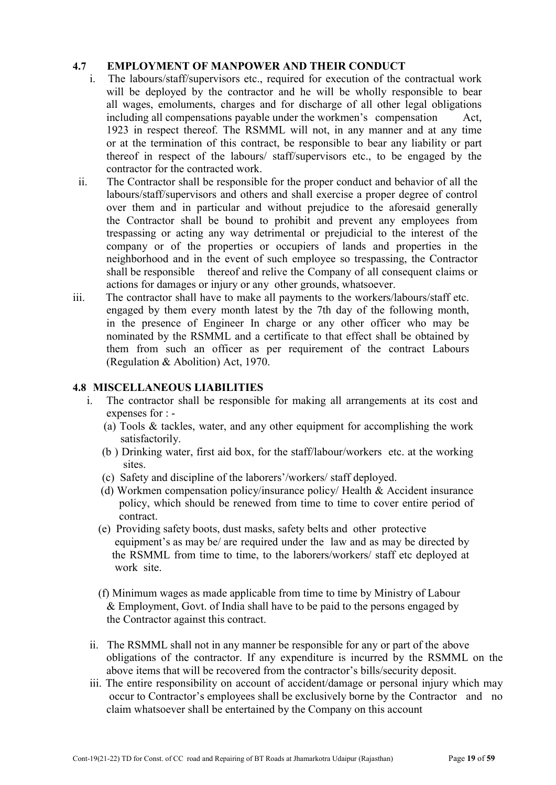# 4.7 **EMPLOYMENT OF MANPOWER AND THEIR CONDUCT**<br>i The labours/staff/sunervisors etc required for execution of the

- The labours/staff/supervisors etc., required for execution of the contractual work will be deployed by the contractor and he will be wholly responsible to bear all wages, emoluments, charges and for discharge of all other legal obligations including all compensations payable under the workmen's compensation Act, 1923 in respect thereof. The RSMML will not, in any manner and at any time or at the termination of this contract, be responsible to bear any liability or part thereof in respect of the labours/ staff/supervisors etc., to be engaged by the contractor for the contracted work.
- ii. The Contractor shall be responsible for the proper conduct and behavior of all the labours/staff/supervisors and others and shall exercise a proper degree of control over them and in particular and without prejudice to the aforesaid generally the Contractor shall be bound to prohibit and prevent any employees from trespassing or acting any way detrimental or prejudicial to the interest of the company or of the properties or occupiers of lands and properties in the neighborhood and in the event of such employee so trespassing, the Contractor shall be responsible thereof and relive the Company of all consequent claims or actions for damages or injury or any other grounds, whatsoever.
- iii. The contractor shall have to make all payments to the workers/labours/staff etc. engaged by them every month latest by the 7th day of the following month, in the presence of Engineer In charge or any other officer who may be nominated by the RSMML and a certificate to that effect shall be obtained by them from such an officer as per requirement of the contract Labours (Regulation & Abolition) Act, 1970.

#### 4.8 MISCELLANEOUS LIABILITIES

- i. The contractor shall be responsible for making all arrangements at its cost and expenses for : -
	- (a) Tools  $\&$  tackles, water, and any other equipment for accomplishing the work satisfactorily.
	- (b ) Drinking water, first aid box, for the staff/labour/workers etc. at the working sites.
	- (c) Safety and discipline of the laborers'/workers/ staff deployed.
	- (d) Workmen compensation policy/insurance policy/ Health & Accident insurance policy, which should be renewed from time to time to cover entire period of contract.
	- (e) Providing safety boots, dust masks, safety belts and other protective equipment's as may be/ are required under the law and as may be directed by the RSMML from time to time, to the laborers/workers/ staff etc deployed at work site.
	- (f) Minimum wages as made applicable from time to time by Ministry of Labour & Employment, Govt. of India shall have to be paid to the persons engaged by the Contractor against this contract.
- ii. The RSMML shall not in any manner be responsible for any or part of the above obligations of the contractor. If any expenditure is incurred by the RSMML on the above items that will be recovered from the contractor's bills/security deposit.
- iii. The entire responsibility on account of accident/damage or personal injury which may occur to Contractor's employees shall be exclusively borne by the Contractor and no claim whatsoever shall be entertained by the Company on this account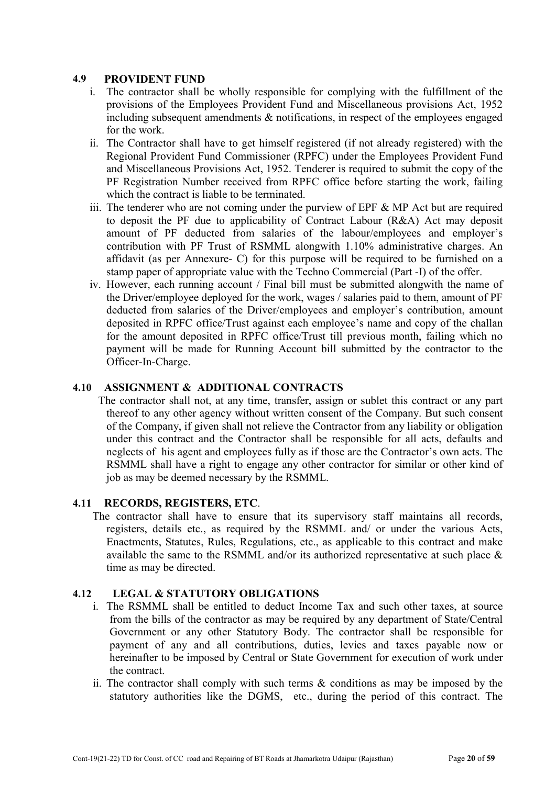# 4.9 PROVIDENT FUND

- i. The contractor shall be wholly responsible for complying with the fulfillment of the provisions of the Employees Provident Fund and Miscellaneous provisions Act, 1952 including subsequent amendments & notifications, in respect of the employees engaged for the work.
- ii. The Contractor shall have to get himself registered (if not already registered) with the Regional Provident Fund Commissioner (RPFC) under the Employees Provident Fund and Miscellaneous Provisions Act, 1952. Tenderer is required to submit the copy of the PF Registration Number received from RPFC office before starting the work, failing which the contract is liable to be terminated.
- iii. The tenderer who are not coming under the purview of EPF  $\&$  MP Act but are required to deposit the PF due to applicability of Contract Labour (R&A) Act may deposit amount of PF deducted from salaries of the labour/employees and employer's contribution with PF Trust of RSMML alongwith 1.10% administrative charges. An affidavit (as per Annexure- C) for this purpose will be required to be furnished on a stamp paper of appropriate value with the Techno Commercial (Part -I) of the offer.
- iv. However, each running account / Final bill must be submitted alongwith the name of the Driver/employee deployed for the work, wages / salaries paid to them, amount of PF deducted from salaries of the Driver/employees and employer's contribution, amount deposited in RPFC office/Trust against each employee's name and copy of the challan for the amount deposited in RPFC office/Trust till previous month, failing which no payment will be made for Running Account bill submitted by the contractor to the Officer-In-Charge.

# 4.10 ASSIGNMENT & ADDITIONAL CONTRACTS

 The contractor shall not, at any time, transfer, assign or sublet this contract or any part thereof to any other agency without written consent of the Company. But such consent of the Company, if given shall not relieve the Contractor from any liability or obligation under this contract and the Contractor shall be responsible for all acts, defaults and neglects of his agent and employees fully as if those are the Contractor's own acts. The RSMML shall have a right to engage any other contractor for similar or other kind of job as may be deemed necessary by the RSMML.

#### 4.11 RECORDS, REGISTERS, ETC.

 The contractor shall have to ensure that its supervisory staff maintains all records, registers, details etc., as required by the RSMML and/ or under the various Acts, Enactments, Statutes, Rules, Regulations, etc., as applicable to this contract and make available the same to the RSMML and/or its authorized representative at such place & time as may be directed.

#### 4.12 LEGAL & STATUTORY OBLIGATIONS

- i. The RSMML shall be entitled to deduct Income Tax and such other taxes, at source from the bills of the contractor as may be required by any department of State/Central Government or any other Statutory Body. The contractor shall be responsible for payment of any and all contributions, duties, levies and taxes payable now or hereinafter to be imposed by Central or State Government for execution of work under the contract.
- ii. The contractor shall comply with such terms & conditions as may be imposed by the statutory authorities like the DGMS, etc., during the period of this contract. The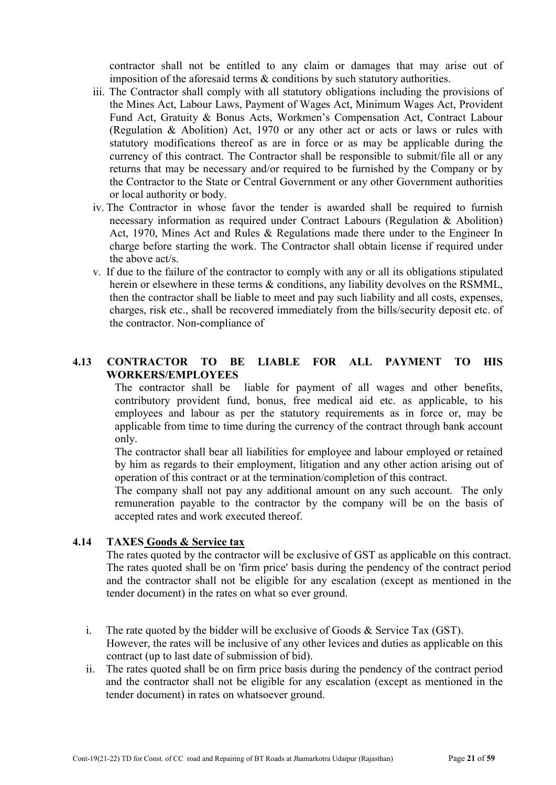contractor shall not be entitled to any claim or damages that may arise out of imposition of the aforesaid terms & conditions by such statutory authorities.

- iii. The Contractor shall comply with all statutory obligations including the provisions of the Mines Act, Labour Laws, Payment of Wages Act, Minimum Wages Act, Provident Fund Act, Gratuity & Bonus Acts, Workmen's Compensation Act, Contract Labour (Regulation & Abolition) Act, 1970 or any other act or acts or laws or rules with statutory modifications thereof as are in force or as may be applicable during the currency of this contract. The Contractor shall be responsible to submit/file all or any returns that may be necessary and/or required to be furnished by the Company or by the Contractor to the State or Central Government or any other Government authorities or local authority or body.
- iv. The Contractor in whose favor the tender is awarded shall be required to furnish necessary information as required under Contract Labours (Regulation & Abolition) Act, 1970, Mines Act and Rules & Regulations made there under to the Engineer In charge before starting the work. The Contractor shall obtain license if required under the above act/s.
- v. If due to the failure of the contractor to comply with any or all its obligations stipulated herein or elsewhere in these terms & conditions, any liability devolves on the RSMML, then the contractor shall be liable to meet and pay such liability and all costs, expenses, charges, risk etc., shall be recovered immediately from the bills/security deposit etc. of the contractor. Non-compliance of

# 4.13 CONTRACTOR TO BE LIABLE FOR ALL PAYMENT TO HIS WORKERS/EMPLOYEES

The contractor shall be liable for payment of all wages and other benefits, contributory provident fund, bonus, free medical aid etc. as applicable, to his employees and labour as per the statutory requirements as in force or, may be applicable from time to time during the currency of the contract through bank account only.

The contractor shall bear all liabilities for employee and labour employed or retained by him as regards to their employment, litigation and any other action arising out of operation of this contract or at the termination/completion of this contract.

The company shall not pay any additional amount on any such account. The only remuneration payable to the contractor by the company will be on the basis of accepted rates and work executed thereof.

#### 4.14 TAXES Goods & Service tax

The rates quoted by the contractor will be exclusive of GST as applicable on this contract. The rates quoted shall be on 'firm price' basis during the pendency of the contract period and the contractor shall not be eligible for any escalation (except as mentioned in the tender document) in the rates on what so ever ground.

- i. The rate quoted by the bidder will be exclusive of Goods  $\&$  Service Tax (GST). However, the rates will be inclusive of any other levices and duties as applicable on this contract (up to last date of submission of bid).
- ii. The rates quoted shall be on firm price basis during the pendency of the contract period and the contractor shall not be eligible for any escalation (except as mentioned in the tender document) in rates on whatsoever ground.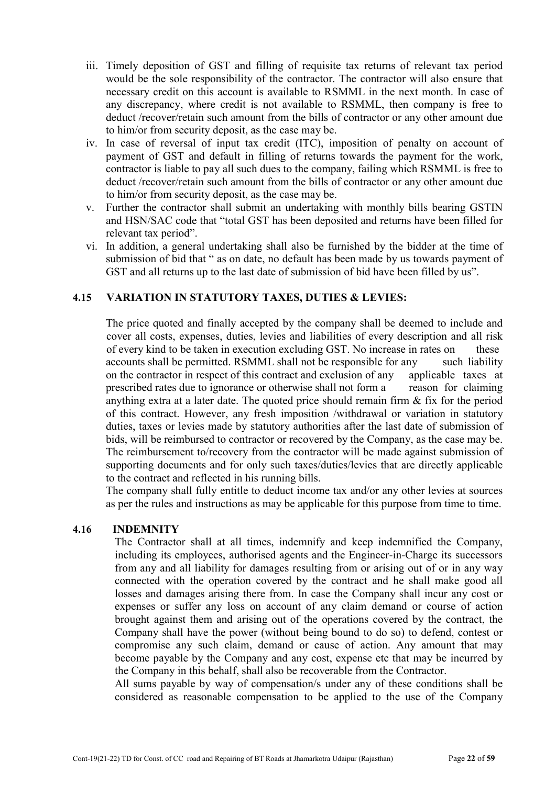- iii. Timely deposition of GST and filling of requisite tax returns of relevant tax period would be the sole responsibility of the contractor. The contractor will also ensure that necessary credit on this account is available to RSMML in the next month. In case of any discrepancy, where credit is not available to RSMML, then company is free to deduct /recover/retain such amount from the bills of contractor or any other amount due to him/or from security deposit, as the case may be.
- iv. In case of reversal of input tax credit (ITC), imposition of penalty on account of payment of GST and default in filling of returns towards the payment for the work, contractor is liable to pay all such dues to the company, failing which RSMML is free to deduct /recover/retain such amount from the bills of contractor or any other amount due to him/or from security deposit, as the case may be.
- v. Further the contractor shall submit an undertaking with monthly bills bearing GSTIN and HSN/SAC code that "total GST has been deposited and returns have been filled for relevant tax period".
- vi. In addition, a general undertaking shall also be furnished by the bidder at the time of submission of bid that " as on date, no default has been made by us towards payment of GST and all returns up to the last date of submission of bid have been filled by us".

# 4.15 VARIATION IN STATUTORY TAXES, DUTIES & LEVIES:

The price quoted and finally accepted by the company shall be deemed to include and cover all costs, expenses, duties, levies and liabilities of every description and all risk of every kind to be taken in execution excluding GST. No increase in rates on these accounts shall be permitted. RSMML shall not be responsible for any such liability on the contractor in respect of this contract and exclusion of any applicable taxes at prescribed rates due to ignorance or otherwise shall not form a reason for claiming anything extra at a later date. The quoted price should remain firm  $\&$  fix for the period of this contract. However, any fresh imposition /withdrawal or variation in statutory duties, taxes or levies made by statutory authorities after the last date of submission of bids, will be reimbursed to contractor or recovered by the Company, as the case may be. The reimbursement to/recovery from the contractor will be made against submission of supporting documents and for only such taxes/duties/levies that are directly applicable to the contract and reflected in his running bills.

The company shall fully entitle to deduct income tax and/or any other levies at sources as per the rules and instructions as may be applicable for this purpose from time to time.

#### 4.16 INDEMNITY

The Contractor shall at all times, indemnify and keep indemnified the Company, including its employees, authorised agents and the Engineer-in-Charge its successors from any and all liability for damages resulting from or arising out of or in any way connected with the operation covered by the contract and he shall make good all losses and damages arising there from. In case the Company shall incur any cost or expenses or suffer any loss on account of any claim demand or course of action brought against them and arising out of the operations covered by the contract, the Company shall have the power (without being bound to do so) to defend, contest or compromise any such claim, demand or cause of action. Any amount that may become payable by the Company and any cost, expense etc that may be incurred by the Company in this behalf, shall also be recoverable from the Contractor.

All sums payable by way of compensation/s under any of these conditions shall be considered as reasonable compensation to be applied to the use of the Company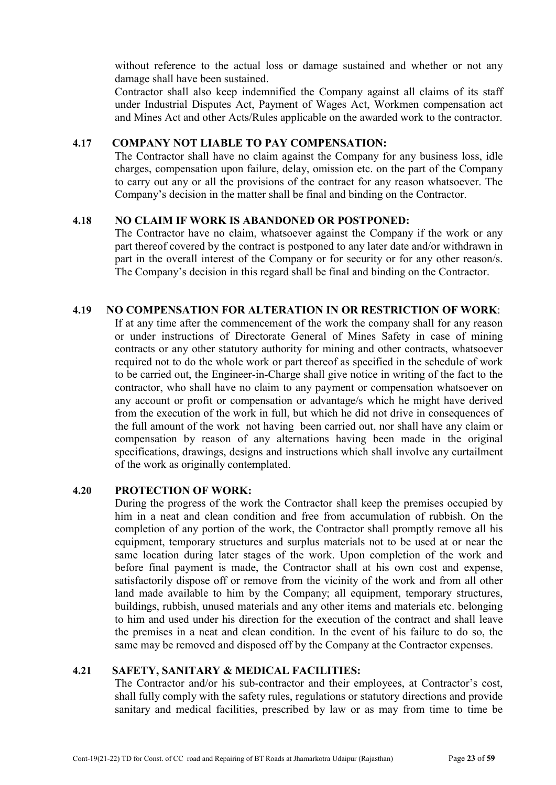without reference to the actual loss or damage sustained and whether or not any damage shall have been sustained.

Contractor shall also keep indemnified the Company against all claims of its staff under Industrial Disputes Act, Payment of Wages Act, Workmen compensation act and Mines Act and other Acts/Rules applicable on the awarded work to the contractor.

# 4.17 COMPANY NOT LIABLE TO PAY COMPENSATION:

The Contractor shall have no claim against the Company for any business loss, idle charges, compensation upon failure, delay, omission etc. on the part of the Company to carry out any or all the provisions of the contract for any reason whatsoever. The Company's decision in the matter shall be final and binding on the Contractor.

#### 4.18 NO CLAIM IF WORK IS ABANDONED OR POSTPONED:

The Contractor have no claim, whatsoever against the Company if the work or any part thereof covered by the contract is postponed to any later date and/or withdrawn in part in the overall interest of the Company or for security or for any other reason/s. The Company's decision in this regard shall be final and binding on the Contractor.

#### 4.19 NO COMPENSATION FOR ALTERATION IN OR RESTRICTION OF WORK:

If at any time after the commencement of the work the company shall for any reason or under instructions of Directorate General of Mines Safety in case of mining contracts or any other statutory authority for mining and other contracts, whatsoever required not to do the whole work or part thereof as specified in the schedule of work to be carried out, the Engineer-in-Charge shall give notice in writing of the fact to the contractor, who shall have no claim to any payment or compensation whatsoever on any account or profit or compensation or advantage/s which he might have derived from the execution of the work in full, but which he did not drive in consequences of the full amount of the work not having been carried out, nor shall have any claim or compensation by reason of any alternations having been made in the original specifications, drawings, designs and instructions which shall involve any curtailment of the work as originally contemplated.

#### 4.20 PROTECTION OF WORK:

During the progress of the work the Contractor shall keep the premises occupied by him in a neat and clean condition and free from accumulation of rubbish. On the completion of any portion of the work, the Contractor shall promptly remove all his equipment, temporary structures and surplus materials not to be used at or near the same location during later stages of the work. Upon completion of the work and before final payment is made, the Contractor shall at his own cost and expense, satisfactorily dispose off or remove from the vicinity of the work and from all other land made available to him by the Company; all equipment, temporary structures, buildings, rubbish, unused materials and any other items and materials etc. belonging to him and used under his direction for the execution of the contract and shall leave the premises in a neat and clean condition. In the event of his failure to do so, the same may be removed and disposed off by the Company at the Contractor expenses.

# 4.21 SAFETY, SANITARY & MEDICAL FACILITIES:

The Contractor and/or his sub-contractor and their employees, at Contractor's cost, shall fully comply with the safety rules, regulations or statutory directions and provide sanitary and medical facilities, prescribed by law or as may from time to time be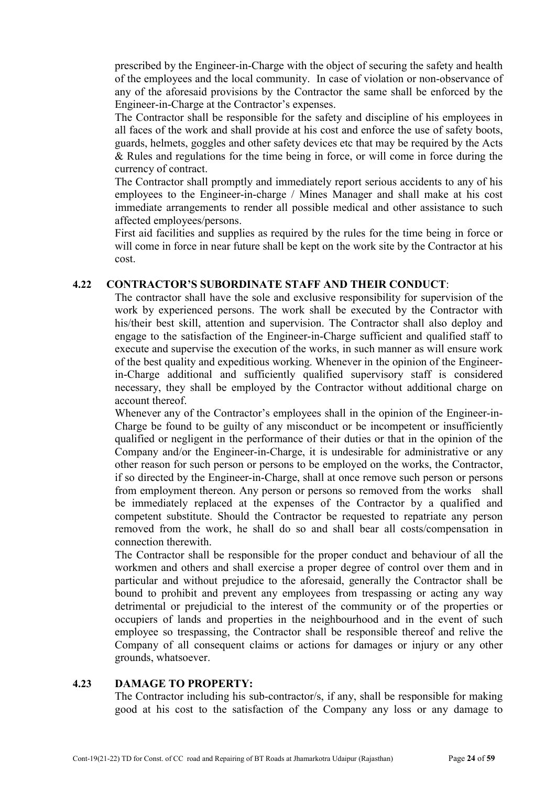prescribed by the Engineer-in-Charge with the object of securing the safety and health of the employees and the local community. In case of violation or non-observance of any of the aforesaid provisions by the Contractor the same shall be enforced by the Engineer-in-Charge at the Contractor's expenses.

The Contractor shall be responsible for the safety and discipline of his employees in all faces of the work and shall provide at his cost and enforce the use of safety boots, guards, helmets, goggles and other safety devices etc that may be required by the Acts & Rules and regulations for the time being in force, or will come in force during the currency of contract.

The Contractor shall promptly and immediately report serious accidents to any of his employees to the Engineer-in-charge / Mines Manager and shall make at his cost immediate arrangements to render all possible medical and other assistance to such affected employees/persons.

First aid facilities and supplies as required by the rules for the time being in force or will come in force in near future shall be kept on the work site by the Contractor at his cost.

#### 4.22 CONTRACTOR'S SUBORDINATE STAFF AND THEIR CONDUCT:

The contractor shall have the sole and exclusive responsibility for supervision of the work by experienced persons. The work shall be executed by the Contractor with his/their best skill, attention and supervision. The Contractor shall also deploy and engage to the satisfaction of the Engineer-in-Charge sufficient and qualified staff to execute and supervise the execution of the works, in such manner as will ensure work of the best quality and expeditious working. Whenever in the opinion of the Engineerin-Charge additional and sufficiently qualified supervisory staff is considered necessary, they shall be employed by the Contractor without additional charge on account thereof.

Whenever any of the Contractor's employees shall in the opinion of the Engineer-in-Charge be found to be guilty of any misconduct or be incompetent or insufficiently qualified or negligent in the performance of their duties or that in the opinion of the Company and/or the Engineer-in-Charge, it is undesirable for administrative or any other reason for such person or persons to be employed on the works, the Contractor, if so directed by the Engineer-in-Charge, shall at once remove such person or persons from employment thereon. Any person or persons so removed from the works shall be immediately replaced at the expenses of the Contractor by a qualified and competent substitute. Should the Contractor be requested to repatriate any person removed from the work, he shall do so and shall bear all costs/compensation in connection therewith.

The Contractor shall be responsible for the proper conduct and behaviour of all the workmen and others and shall exercise a proper degree of control over them and in particular and without prejudice to the aforesaid, generally the Contractor shall be bound to prohibit and prevent any employees from trespassing or acting any way detrimental or prejudicial to the interest of the community or of the properties or occupiers of lands and properties in the neighbourhood and in the event of such employee so trespassing, the Contractor shall be responsible thereof and relive the Company of all consequent claims or actions for damages or injury or any other grounds, whatsoever.

#### 4.23 DAMAGE TO PROPERTY:

The Contractor including his sub-contractor/s, if any, shall be responsible for making good at his cost to the satisfaction of the Company any loss or any damage to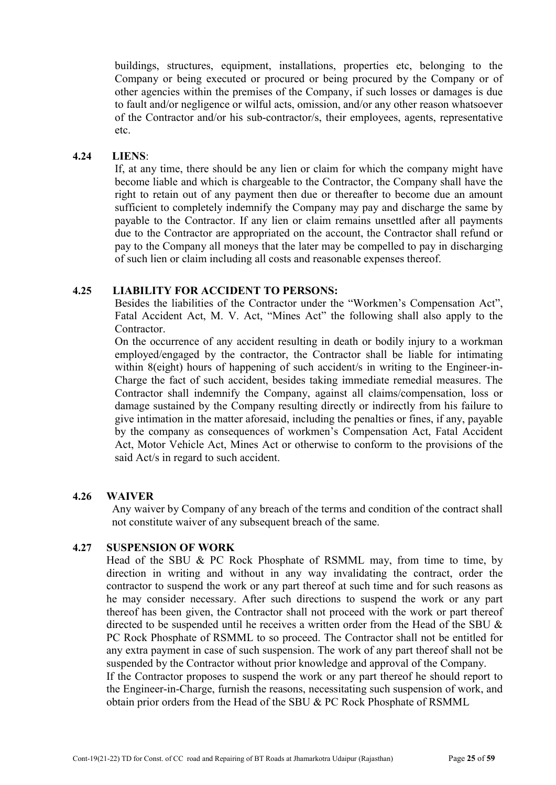buildings, structures, equipment, installations, properties etc, belonging to the Company or being executed or procured or being procured by the Company or of other agencies within the premises of the Company, if such losses or damages is due to fault and/or negligence or wilful acts, omission, and/or any other reason whatsoever of the Contractor and/or his sub-contractor/s, their employees, agents, representative etc.

#### 4.24 LIENS:

If, at any time, there should be any lien or claim for which the company might have become liable and which is chargeable to the Contractor, the Company shall have the right to retain out of any payment then due or thereafter to become due an amount sufficient to completely indemnify the Company may pay and discharge the same by payable to the Contractor. If any lien or claim remains unsettled after all payments due to the Contractor are appropriated on the account, the Contractor shall refund or pay to the Company all moneys that the later may be compelled to pay in discharging of such lien or claim including all costs and reasonable expenses thereof.

#### 4.25 LIABILITY FOR ACCIDENT TO PERSONS:

Besides the liabilities of the Contractor under the "Workmen's Compensation Act", Fatal Accident Act, M. V. Act, "Mines Act" the following shall also apply to the Contractor.

On the occurrence of any accident resulting in death or bodily injury to a workman employed/engaged by the contractor, the Contractor shall be liable for intimating within 8(eight) hours of happening of such accident/s in writing to the Engineer-in-Charge the fact of such accident, besides taking immediate remedial measures. The Contractor shall indemnify the Company, against all claims/compensation, loss or damage sustained by the Company resulting directly or indirectly from his failure to give intimation in the matter aforesaid, including the penalties or fines, if any, payable by the company as consequences of workmen's Compensation Act, Fatal Accident Act, Motor Vehicle Act, Mines Act or otherwise to conform to the provisions of the said Act/s in regard to such accident.

#### 4.26 WAIVER

 Any waiver by Company of any breach of the terms and condition of the contract shall not constitute waiver of any subsequent breach of the same.

#### 4.27 SUSPENSION OF WORK

Head of the SBU & PC Rock Phosphate of RSMML may, from time to time, by direction in writing and without in any way invalidating the contract, order the contractor to suspend the work or any part thereof at such time and for such reasons as he may consider necessary. After such directions to suspend the work or any part thereof has been given, the Contractor shall not proceed with the work or part thereof directed to be suspended until he receives a written order from the Head of the SBU & PC Rock Phosphate of RSMML to so proceed. The Contractor shall not be entitled for any extra payment in case of such suspension. The work of any part thereof shall not be suspended by the Contractor without prior knowledge and approval of the Company. If the Contractor proposes to suspend the work or any part thereof he should report to

the Engineer-in-Charge, furnish the reasons, necessitating such suspension of work, and obtain prior orders from the Head of the SBU & PC Rock Phosphate of RSMML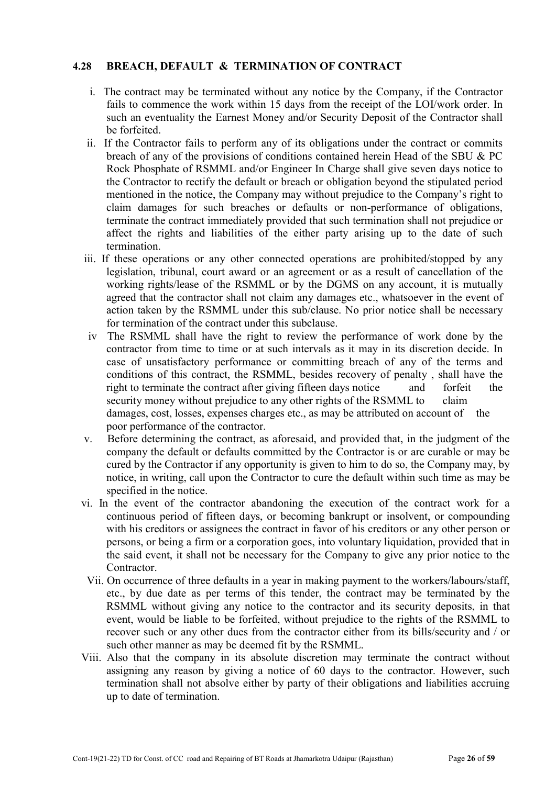# 4.28 BREACH, DEFAULT & TERMINATION OF CONTRACT

- i. The contract may be terminated without any notice by the Company, if the Contractor fails to commence the work within 15 days from the receipt of the LOI/work order. In such an eventuality the Earnest Money and/or Security Deposit of the Contractor shall be forfeited.
- ii. If the Contractor fails to perform any of its obligations under the contract or commits breach of any of the provisions of conditions contained herein Head of the SBU & PC Rock Phosphate of RSMML and/or Engineer In Charge shall give seven days notice to the Contractor to rectify the default or breach or obligation beyond the stipulated period mentioned in the notice, the Company may without prejudice to the Company's right to claim damages for such breaches or defaults or non-performance of obligations, terminate the contract immediately provided that such termination shall not prejudice or affect the rights and liabilities of the either party arising up to the date of such termination.
- iii. If these operations or any other connected operations are prohibited/stopped by any legislation, tribunal, court award or an agreement or as a result of cancellation of the working rights/lease of the RSMML or by the DGMS on any account, it is mutually agreed that the contractor shall not claim any damages etc., whatsoever in the event of action taken by the RSMML under this sub/clause. No prior notice shall be necessary for termination of the contract under this subclause.
- iv The RSMML shall have the right to review the performance of work done by the contractor from time to time or at such intervals as it may in its discretion decide. In case of unsatisfactory performance or committing breach of any of the terms and conditions of this contract, the RSMML, besides recovery of penalty , shall have the right to terminate the contract after giving fifteen days notice and forfeit the security money without prejudice to any other rights of the RSMML to claim damages, cost, losses, expenses charges etc., as may be attributed on account of the poor performance of the contractor.
- v. Before determining the contract, as aforesaid, and provided that, in the judgment of the company the default or defaults committed by the Contractor is or are curable or may be cured by the Contractor if any opportunity is given to him to do so, the Company may, by notice, in writing, call upon the Contractor to cure the default within such time as may be specified in the notice.
- vi. In the event of the contractor abandoning the execution of the contract work for a continuous period of fifteen days, or becoming bankrupt or insolvent, or compounding with his creditors or assignees the contract in favor of his creditors or any other person or persons, or being a firm or a corporation goes, into voluntary liquidation, provided that in the said event, it shall not be necessary for the Company to give any prior notice to the **Contractor**
- Vii. On occurrence of three defaults in a year in making payment to the workers/labours/staff, etc., by due date as per terms of this tender, the contract may be terminated by the RSMML without giving any notice to the contractor and its security deposits, in that event, would be liable to be forfeited, without prejudice to the rights of the RSMML to recover such or any other dues from the contractor either from its bills/security and / or such other manner as may be deemed fit by the RSMML.
- Viii. Also that the company in its absolute discretion may terminate the contract without assigning any reason by giving a notice of 60 days to the contractor. However, such termination shall not absolve either by party of their obligations and liabilities accruing up to date of termination.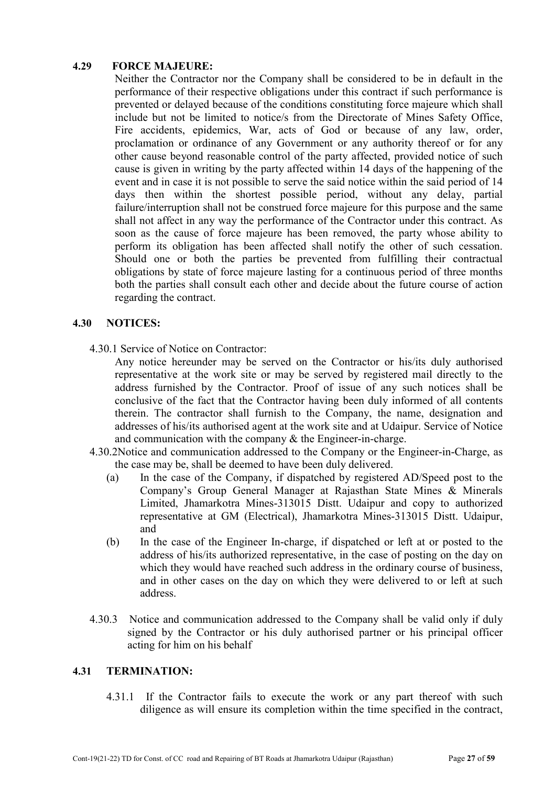# 4.29 FORCE MAJEURE:

Neither the Contractor nor the Company shall be considered to be in default in the performance of their respective obligations under this contract if such performance is prevented or delayed because of the conditions constituting force majeure which shall include but not be limited to notice/s from the Directorate of Mines Safety Office, Fire accidents, epidemics, War, acts of God or because of any law, order, proclamation or ordinance of any Government or any authority thereof or for any other cause beyond reasonable control of the party affected, provided notice of such cause is given in writing by the party affected within 14 days of the happening of the event and in case it is not possible to serve the said notice within the said period of 14 days then within the shortest possible period, without any delay, partial failure/interruption shall not be construed force majeure for this purpose and the same shall not affect in any way the performance of the Contractor under this contract. As soon as the cause of force majeure has been removed, the party whose ability to perform its obligation has been affected shall notify the other of such cessation. Should one or both the parties be prevented from fulfilling their contractual obligations by state of force majeure lasting for a continuous period of three months both the parties shall consult each other and decide about the future course of action regarding the contract.

#### 4.30 NOTICES:

4.30.1 Service of Notice on Contractor:

Any notice hereunder may be served on the Contractor or his/its duly authorised representative at the work site or may be served by registered mail directly to the address furnished by the Contractor. Proof of issue of any such notices shall be conclusive of the fact that the Contractor having been duly informed of all contents therein. The contractor shall furnish to the Company, the name, designation and addresses of his/its authorised agent at the work site and at Udaipur. Service of Notice and communication with the company & the Engineer-in-charge.

- 4.30.2Notice and communication addressed to the Company or the Engineer-in-Charge, as the case may be, shall be deemed to have been duly delivered.
	- (a) In the case of the Company, if dispatched by registered AD/Speed post to the Company's Group General Manager at Rajasthan State Mines & Minerals Limited, Jhamarkotra Mines-313015 Distt. Udaipur and copy to authorized representative at GM (Electrical), Jhamarkotra Mines-313015 Distt. Udaipur, and
	- (b) In the case of the Engineer In-charge, if dispatched or left at or posted to the address of his/its authorized representative, in the case of posting on the day on which they would have reached such address in the ordinary course of business, and in other cases on the day on which they were delivered to or left at such address.
- 4.30.3 Notice and communication addressed to the Company shall be valid only if duly signed by the Contractor or his duly authorised partner or his principal officer acting for him on his behalf

#### 4.31 TERMINATION:

4.31.1 If the Contractor fails to execute the work or any part thereof with such diligence as will ensure its completion within the time specified in the contract,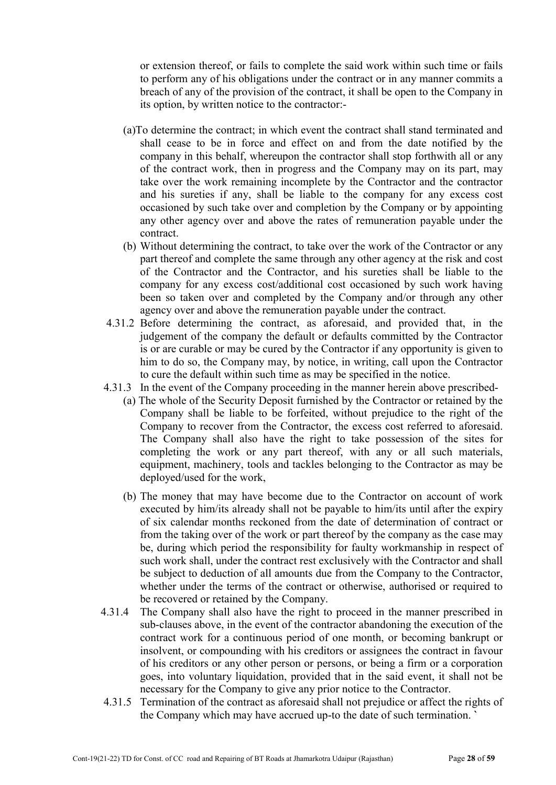or extension thereof, or fails to complete the said work within such time or fails to perform any of his obligations under the contract or in any manner commits a breach of any of the provision of the contract, it shall be open to the Company in its option, by written notice to the contractor:-

- (a)To determine the contract; in which event the contract shall stand terminated and shall cease to be in force and effect on and from the date notified by the company in this behalf, whereupon the contractor shall stop forthwith all or any of the contract work, then in progress and the Company may on its part, may take over the work remaining incomplete by the Contractor and the contractor and his sureties if any, shall be liable to the company for any excess cost occasioned by such take over and completion by the Company or by appointing any other agency over and above the rates of remuneration payable under the contract.
- (b) Without determining the contract, to take over the work of the Contractor or any part thereof and complete the same through any other agency at the risk and cost of the Contractor and the Contractor, and his sureties shall be liable to the company for any excess cost/additional cost occasioned by such work having been so taken over and completed by the Company and/or through any other agency over and above the remuneration payable under the contract.
- 4.31.2 Before determining the contract, as aforesaid, and provided that, in the judgement of the company the default or defaults committed by the Contractor is or are curable or may be cured by the Contractor if any opportunity is given to him to do so, the Company may, by notice, in writing, call upon the Contractor to cure the default within such time as may be specified in the notice.
- 4.31.3 In the event of the Company proceeding in the manner herein above prescribed-
	- (a) The whole of the Security Deposit furnished by the Contractor or retained by the Company shall be liable to be forfeited, without prejudice to the right of the Company to recover from the Contractor, the excess cost referred to aforesaid. The Company shall also have the right to take possession of the sites for completing the work or any part thereof, with any or all such materials, equipment, machinery, tools and tackles belonging to the Contractor as may be deployed/used for the work,
	- (b) The money that may have become due to the Contractor on account of work executed by him/its already shall not be payable to him/its until after the expiry of six calendar months reckoned from the date of determination of contract or from the taking over of the work or part thereof by the company as the case may be, during which period the responsibility for faulty workmanship in respect of such work shall, under the contract rest exclusively with the Contractor and shall be subject to deduction of all amounts due from the Company to the Contractor, whether under the terms of the contract or otherwise, authorised or required to be recovered or retained by the Company.
- 4.31.4 The Company shall also have the right to proceed in the manner prescribed in sub-clauses above, in the event of the contractor abandoning the execution of the contract work for a continuous period of one month, or becoming bankrupt or insolvent, or compounding with his creditors or assignees the contract in favour of his creditors or any other person or persons, or being a firm or a corporation goes, into voluntary liquidation, provided that in the said event, it shall not be necessary for the Company to give any prior notice to the Contractor.
- 4.31.5 Termination of the contract as aforesaid shall not prejudice or affect the rights of the Company which may have accrued up-to the date of such termination. `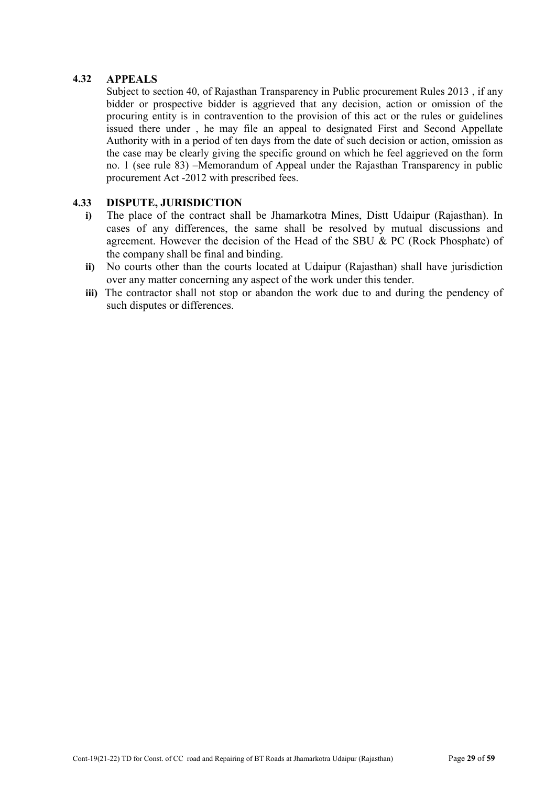# 4.32 APPEALS

Subject to section 40, of Rajasthan Transparency in Public procurement Rules 2013 , if any bidder or prospective bidder is aggrieved that any decision, action or omission of the procuring entity is in contravention to the provision of this act or the rules or guidelines issued there under , he may file an appeal to designated First and Second Appellate Authority with in a period of ten days from the date of such decision or action, omission as the case may be clearly giving the specific ground on which he feel aggrieved on the form no. 1 (see rule 83) –Memorandum of Appeal under the Rajasthan Transparency in public procurement Act -2012 with prescribed fees.

# 4.33 DISPUTE, JURISDICTION

- i) The place of the contract shall be Jhamarkotra Mines, Distt Udaipur (Rajasthan). In cases of any differences, the same shall be resolved by mutual discussions and agreement. However the decision of the Head of the SBU & PC (Rock Phosphate) of the company shall be final and binding.
- ii) No courts other than the courts located at Udaipur (Rajasthan) shall have jurisdiction over any matter concerning any aspect of the work under this tender.
- iii) The contractor shall not stop or abandon the work due to and during the pendency of such disputes or differences.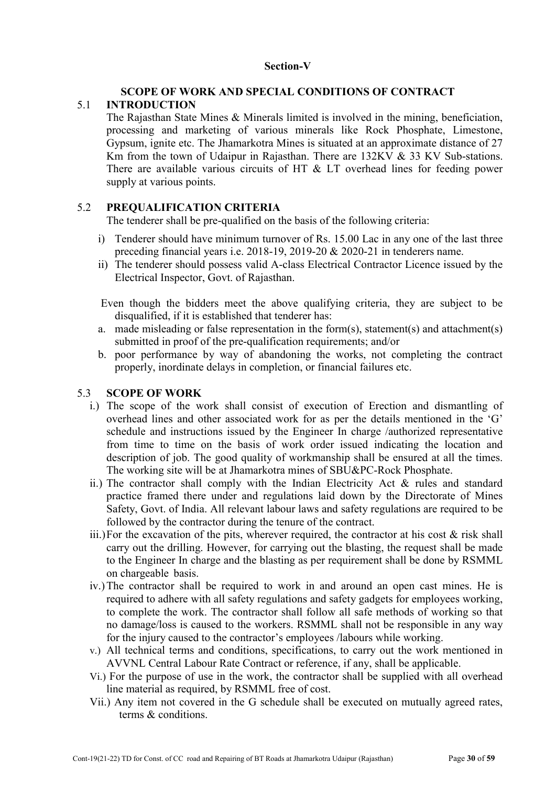# Section-V

#### SCOPE OF WORK AND SPECIAL CONDITIONS OF CONTRACT 5.1 INTRODUCTION

The Rajasthan State Mines & Minerals limited is involved in the mining, beneficiation, processing and marketing of various minerals like Rock Phosphate, Limestone, Gypsum, ignite etc. The Jhamarkotra Mines is situated at an approximate distance of 27 Km from the town of Udaipur in Rajasthan. There are 132KV & 33 KV Sub-stations. There are available various circuits of HT & LT overhead lines for feeding power supply at various points.

# 5.2 PREQUALIFICATION CRITERIA

The tenderer shall be pre-qualified on the basis of the following criteria:

- i) Tenderer should have minimum turnover of Rs. 15.00 Lac in any one of the last three preceding financial years i.e. 2018-19, 2019-20 & 2020-21 in tenderers name.
- ii) The tenderer should possess valid A-class Electrical Contractor Licence issued by the Electrical Inspector, Govt. of Rajasthan.

 Even though the bidders meet the above qualifying criteria, they are subject to be disqualified, if it is established that tenderer has:

- a. made misleading or false representation in the form(s), statement(s) and attachment(s) submitted in proof of the pre-qualification requirements; and/or
- b. poor performance by way of abandoning the works, not completing the contract properly, inordinate delays in completion, or financial failures etc.

#### 5.3 SCOPE OF WORK

- i.) The scope of the work shall consist of execution of Erection and dismantling of overhead lines and other associated work for as per the details mentioned in the 'G' schedule and instructions issued by the Engineer In charge /authorized representative from time to time on the basis of work order issued indicating the location and description of job. The good quality of workmanship shall be ensured at all the times. The working site will be at Jhamarkotra mines of SBU&PC-Rock Phosphate.
- ii.) The contractor shall comply with the Indian Electricity Act & rules and standard practice framed there under and regulations laid down by the Directorate of Mines Safety, Govt. of India. All relevant labour laws and safety regulations are required to be followed by the contractor during the tenure of the contract.
- iii.)For the excavation of the pits, wherever required, the contractor at his cost  $\&$  risk shall carry out the drilling. However, for carrying out the blasting, the request shall be made to the Engineer In charge and the blasting as per requirement shall be done by RSMML on chargeable basis.
- iv.)The contractor shall be required to work in and around an open cast mines. He is required to adhere with all safety regulations and safety gadgets for employees working, to complete the work. The contractor shall follow all safe methods of working so that no damage/loss is caused to the workers. RSMML shall not be responsible in any way for the injury caused to the contractor's employees /labours while working.
- v.) All technical terms and conditions, specifications, to carry out the work mentioned in AVVNL Central Labour Rate Contract or reference, if any, shall be applicable.
- Vi.) For the purpose of use in the work, the contractor shall be supplied with all overhead line material as required, by RSMML free of cost.
- Vii.) Any item not covered in the G schedule shall be executed on mutually agreed rates, terms & conditions.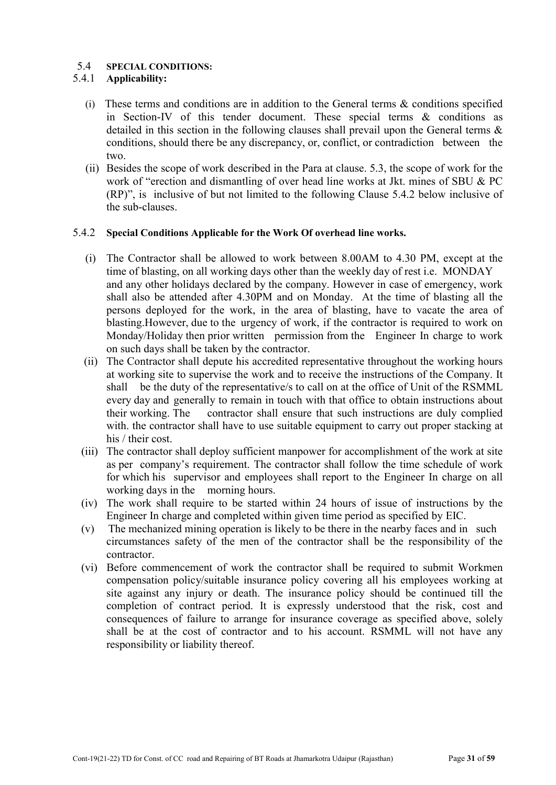# 5.4 SPECIAL CONDITIONS:

### 5.4.1 Applicability:

- (i) These terms and conditions are in addition to the General terms & conditions specified in Section-IV of this tender document. These special terms & conditions as detailed in this section in the following clauses shall prevail upon the General terms & conditions, should there be any discrepancy, or, conflict, or contradiction between the two.
- (ii) Besides the scope of work described in the Para at clause. 5.3, the scope of work for the work of "erection and dismantling of over head line works at Jkt. mines of SBU & PC (RP)", is inclusive of but not limited to the following Clause 5.4.2 below inclusive of the sub-clauses.

#### 5.4.2 Special Conditions Applicable for the Work Of overhead line works.

- (i) The Contractor shall be allowed to work between 8.00AM to 4.30 PM, except at the time of blasting, on all working days other than the weekly day of rest i.e. MONDAY and any other holidays declared by the company. However in case of emergency, work shall also be attended after 4.30PM and on Monday. At the time of blasting all the persons deployed for the work, in the area of blasting, have to vacate the area of blasting.However, due to the urgency of work, if the contractor is required to work on Monday/Holiday then prior written permission from the Engineer In charge to work on such days shall be taken by the contractor.
- (ii) The Contractor shall depute his accredited representative throughout the working hours at working site to supervise the work and to receive the instructions of the Company. It shall be the duty of the representative/s to call on at the office of Unit of the RSMML every day and generally to remain in touch with that office to obtain instructions about their working. The contractor shall ensure that such instructions are duly complied with, the contractor shall have to use suitable equipment to carry out proper stacking at his / their cost.
- (iii) The contractor shall deploy sufficient manpower for accomplishment of the work at site as per company's requirement. The contractor shall follow the time schedule of work for which his supervisor and employees shall report to the Engineer In charge on all working days in the morning hours.
- (iv) The work shall require to be started within 24 hours of issue of instructions by the Engineer In charge and completed within given time period as specified by EIC.
- (v) The mechanized mining operation is likely to be there in the nearby faces and in such circumstances safety of the men of the contractor shall be the responsibility of the contractor.
- (vi) Before commencement of work the contractor shall be required to submit Workmen compensation policy/suitable insurance policy covering all his employees working at site against any injury or death. The insurance policy should be continued till the completion of contract period. It is expressly understood that the risk, cost and consequences of failure to arrange for insurance coverage as specified above, solely shall be at the cost of contractor and to his account. RSMML will not have any responsibility or liability thereof.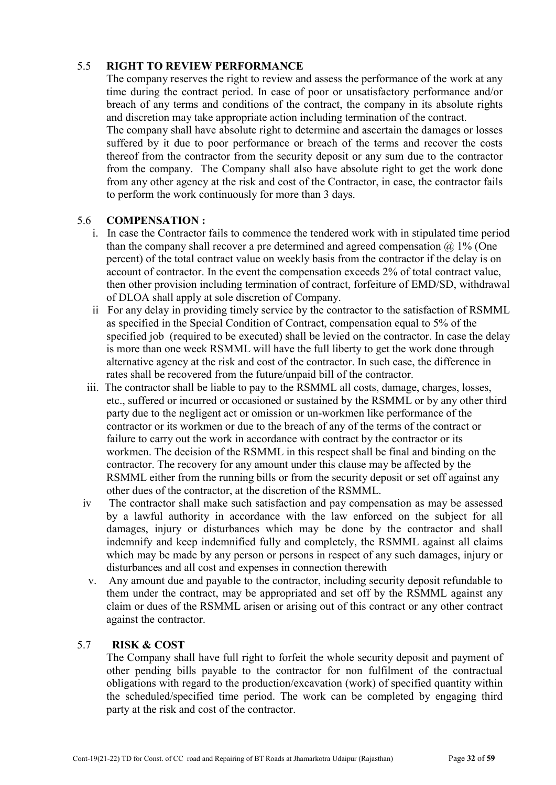# 5.5 RIGHT TO REVIEW PERFORMANCE

The company reserves the right to review and assess the performance of the work at any time during the contract period. In case of poor or unsatisfactory performance and/or breach of any terms and conditions of the contract, the company in its absolute rights and discretion may take appropriate action including termination of the contract. The company shall have absolute right to determine and ascertain the damages or losses suffered by it due to poor performance or breach of the terms and recover the costs thereof from the contractor from the security deposit or any sum due to the contractor from the company. The Company shall also have absolute right to get the work done

from any other agency at the risk and cost of the Contractor, in case, the contractor fails to perform the work continuously for more than 3 days.

#### 5.6 COMPENSATION :

- i. In case the Contractor fails to commence the tendered work with in stipulated time period than the company shall recover a pre determined and agreed compensation  $\omega$  1% (One percent) of the total contract value on weekly basis from the contractor if the delay is on account of contractor. In the event the compensation exceeds 2% of total contract value, then other provision including termination of contract, forfeiture of EMD/SD, withdrawal of DLOA shall apply at sole discretion of Company.
- ii For any delay in providing timely service by the contractor to the satisfaction of RSMML as specified in the Special Condition of Contract, compensation equal to 5% of the specified job (required to be executed) shall be levied on the contractor. In case the delay is more than one week RSMML will have the full liberty to get the work done through alternative agency at the risk and cost of the contractor. In such case, the difference in rates shall be recovered from the future/unpaid bill of the contractor.
- iii. The contractor shall be liable to pay to the RSMML all costs, damage, charges, losses, etc., suffered or incurred or occasioned or sustained by the RSMML or by any other third party due to the negligent act or omission or un-workmen like performance of the contractor or its workmen or due to the breach of any of the terms of the contract or failure to carry out the work in accordance with contract by the contractor or its workmen. The decision of the RSMML in this respect shall be final and binding on the contractor. The recovery for any amount under this clause may be affected by the RSMML either from the running bills or from the security deposit or set off against any other dues of the contractor, at the discretion of the RSMML.
- iv The contractor shall make such satisfaction and pay compensation as may be assessed by a lawful authority in accordance with the law enforced on the subject for all damages, injury or disturbances which may be done by the contractor and shall indemnify and keep indemnified fully and completely, the RSMML against all claims which may be made by any person or persons in respect of any such damages, injury or disturbances and all cost and expenses in connection therewith
- v. Any amount due and payable to the contractor, including security deposit refundable to them under the contract, may be appropriated and set off by the RSMML against any claim or dues of the RSMML arisen or arising out of this contract or any other contract against the contractor.

#### 5.7 RISK & COST

The Company shall have full right to forfeit the whole security deposit and payment of other pending bills payable to the contractor for non fulfilment of the contractual obligations with regard to the production/excavation (work) of specified quantity within the scheduled/specified time period. The work can be completed by engaging third party at the risk and cost of the contractor.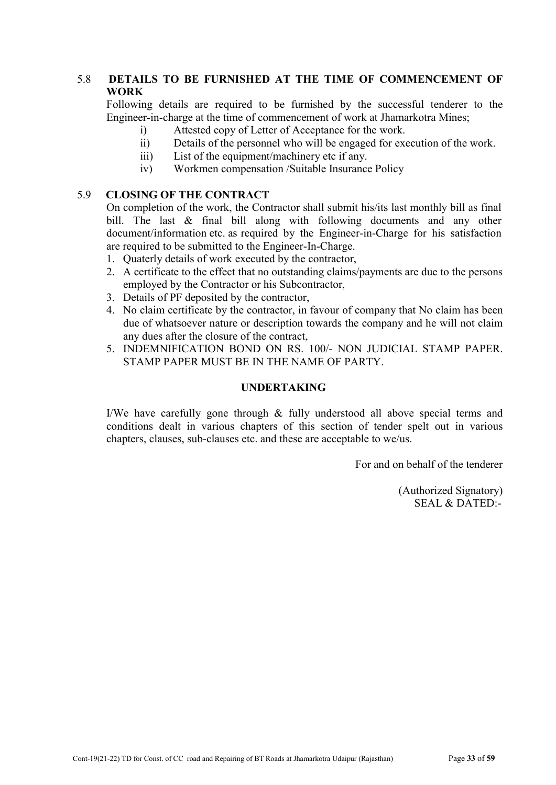# 5.8 DETAILS TO BE FURNISHED AT THE TIME OF COMMENCEMENT OF WORK

Following details are required to be furnished by the successful tenderer to the Engineer-in-charge at the time of commencement of work at Jhamarkotra Mines;

- i) Attested copy of Letter of Acceptance for the work.
- ii) Details of the personnel who will be engaged for execution of the work.
- iii) List of the equipment/machinery etc if any.
- iv) Workmen compensation /Suitable Insurance Policy

# 5.9 CLOSING OF THE CONTRACT

On completion of the work, the Contractor shall submit his/its last monthly bill as final bill. The last & final bill along with following documents and any other document/information etc. as required by the Engineer-in-Charge for his satisfaction are required to be submitted to the Engineer-In-Charge.

- 1. Quaterly details of work executed by the contractor,
- 2. A certificate to the effect that no outstanding claims/payments are due to the persons employed by the Contractor or his Subcontractor,
- 3. Details of PF deposited by the contractor,
- 4. No claim certificate by the contractor, in favour of company that No claim has been due of whatsoever nature or description towards the company and he will not claim any dues after the closure of the contract,
- 5. INDEMNIFICATION BOND ON RS. 100/- NON JUDICIAL STAMP PAPER. STAMP PAPER MUST BE IN THE NAME OF PARTY.

# UNDERTAKING

I/We have carefully gone through & fully understood all above special terms and conditions dealt in various chapters of this section of tender spelt out in various chapters, clauses, sub-clauses etc. and these are acceptable to we/us.

For and on behalf of the tenderer

(Authorized Signatory) SEAL & DATED:-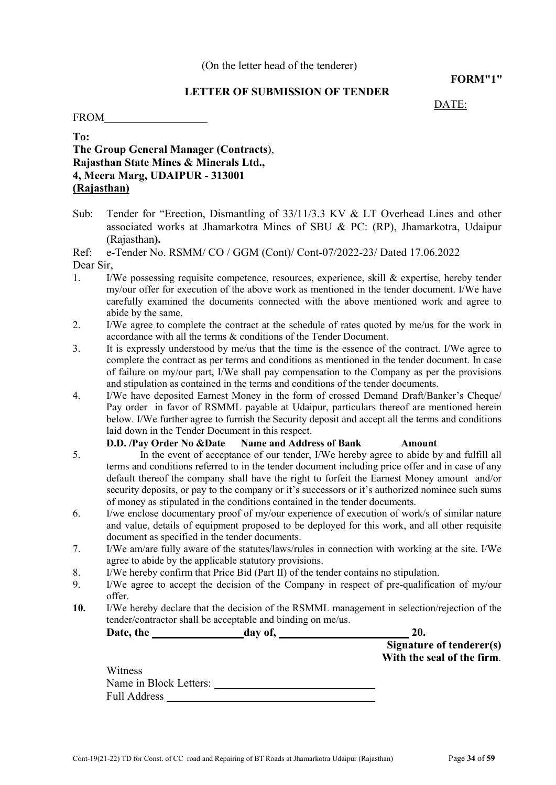#### FORM"1"

#### LETTER OF SUBMISSION OF TENDER

DATE:

FROM TROM

# To: The Group General Manager (Contracts), Rajasthan State Mines & Minerals Ltd., 4, Meera Marg, UDAIPUR - 313001 (Rajasthan)

Sub: Tender for "Erection, Dismantling of 33/11/3.3 KV & LT Overhead Lines and other associated works at Jhamarkotra Mines of SBU & PC: (RP), Jhamarkotra, Udaipur (Rajasthan).

Ref: e-Tender No. RSMM/ CO / GGM (Cont)/ Cont-07/2022-23/ Dated 17.06.2022 Dear Sir,

- 1. I/We possessing requisite competence, resources, experience, skill & expertise, hereby tender my/our offer for execution of the above work as mentioned in the tender document. I/We have carefully examined the documents connected with the above mentioned work and agree to abide by the same.
- 2. I/We agree to complete the contract at the schedule of rates quoted by me/us for the work in accordance with all the terms & conditions of the Tender Document.
- 3. It is expressly understood by me/us that the time is the essence of the contract. I/We agree to complete the contract as per terms and conditions as mentioned in the tender document. In case of failure on my/our part, I/We shall pay compensation to the Company as per the provisions and stipulation as contained in the terms and conditions of the tender documents.
- 4. I/We have deposited Earnest Money in the form of crossed Demand Draft/Banker's Cheque/ Pay order in favor of RSMML payable at Udaipur, particulars thereof are mentioned herein below. I/We further agree to furnish the Security deposit and accept all the terms and conditions laid down in the Tender Document in this respect.

#### D.D. /Pay Order No &Date Name and Address of Bank Amount

- 5. In the event of acceptance of our tender, I/We hereby agree to abide by and fulfill all terms and conditions referred to in the tender document including price offer and in case of any default thereof the company shall have the right to forfeit the Earnest Money amount and/or security deposits, or pay to the company or it's successors or it's authorized nominee such sums of money as stipulated in the conditions contained in the tender documents.
- 6. I/we enclose documentary proof of my/our experience of execution of work/s of similar nature and value, details of equipment proposed to be deployed for this work, and all other requisite document as specified in the tender documents.
- 7. I/We am/are fully aware of the statutes/laws/rules in connection with working at the site. I/We agree to abide by the applicable statutory provisions.
- 8. I/We hereby confirm that Price Bid (Part II) of the tender contains no stipulation.
- 9. I/We agree to accept the decision of the Company in respect of pre-qualification of my/our offer.
- 10. I/We hereby declare that the decision of the RSMML management in selection/rejection of the tender/contractor shall be acceptable and binding on me/us. tender/contractor shall be acceptable and binding on me/us.

Date, the day of, 20.

Signature of tenderer(s) With the seal of the firm.

| Witness                |  |
|------------------------|--|
| Name in Block Letters: |  |
| <b>Full Address</b>    |  |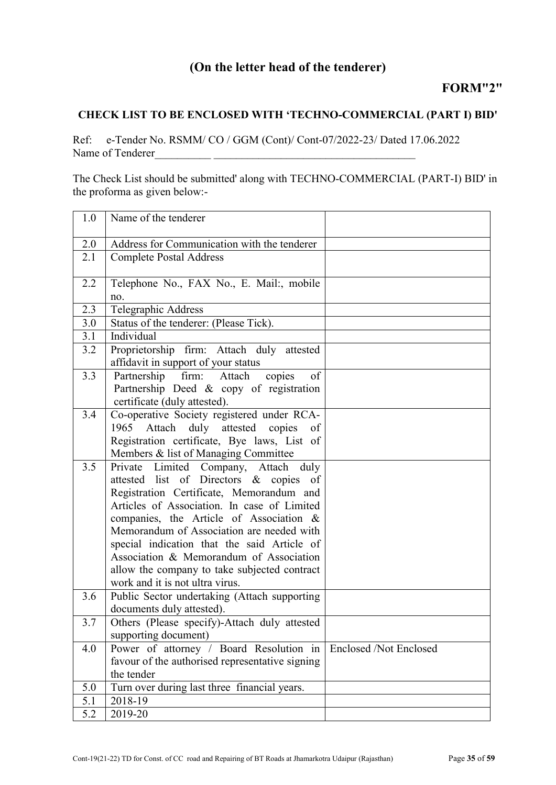# (On the letter head of the tenderer)

# CHECK LIST TO BE ENCLOSED WITH 'TECHNO-COMMERCIAL (PART I) BID'

Ref: e-Tender No. RSMM/ CO / GGM (Cont)/ Cont-07/2022-23/ Dated 17.06.2022 Name of Tenderer\_\_\_\_\_\_\_\_\_\_ \_\_\_\_\_\_\_\_\_\_\_\_\_\_\_\_\_\_\_\_\_\_\_\_\_\_\_\_\_\_\_\_\_\_\_\_

The Check List should be submitted' along with TECHNO-COMMERCIAL (PART-I) BID' in the proforma as given below:-

| 1.0 | Name of the tenderer                                                                                                                                                                                                                                                                                                                                                                                                                                 |                        |
|-----|------------------------------------------------------------------------------------------------------------------------------------------------------------------------------------------------------------------------------------------------------------------------------------------------------------------------------------------------------------------------------------------------------------------------------------------------------|------------------------|
| 2.0 | Address for Communication with the tenderer                                                                                                                                                                                                                                                                                                                                                                                                          |                        |
| 2.1 | <b>Complete Postal Address</b>                                                                                                                                                                                                                                                                                                                                                                                                                       |                        |
| 2.2 | Telephone No., FAX No., E. Mail:, mobile<br>no.                                                                                                                                                                                                                                                                                                                                                                                                      |                        |
| 2.3 | <b>Telegraphic Address</b>                                                                                                                                                                                                                                                                                                                                                                                                                           |                        |
| 3.0 | Status of the tenderer: (Please Tick).                                                                                                                                                                                                                                                                                                                                                                                                               |                        |
| 3.1 | Individual                                                                                                                                                                                                                                                                                                                                                                                                                                           |                        |
| 3.2 | Proprietorship firm: Attach duly attested<br>affidavit in support of your status                                                                                                                                                                                                                                                                                                                                                                     |                        |
| 3.3 | Partnership<br>of<br>firm:<br>Attach<br>copies<br>Partnership Deed & copy of registration<br>certificate (duly attested).                                                                                                                                                                                                                                                                                                                            |                        |
| 3.4 | Co-operative Society registered under RCA-<br>Attach<br>duly attested copies<br>1965<br>of<br>Registration certificate, Bye laws, List of<br>Members & list of Managing Committee                                                                                                                                                                                                                                                                    |                        |
| 3.5 | Limited Company, Attach duly<br>Private<br>attested list of Directors & copies of<br>Registration Certificate, Memorandum and<br>Articles of Association. In case of Limited<br>companies, the Article of Association $\&$<br>Memorandum of Association are needed with<br>special indication that the said Article of<br>Association & Memorandum of Association<br>allow the company to take subjected contract<br>work and it is not ultra virus. |                        |
| 3.6 | Public Sector undertaking (Attach supporting<br>documents duly attested).                                                                                                                                                                                                                                                                                                                                                                            |                        |
| 3.7 | Others (Please specify)-Attach duly attested<br>supporting document)                                                                                                                                                                                                                                                                                                                                                                                 |                        |
| 4.0 | Power of attorney / Board Resolution in                                                                                                                                                                                                                                                                                                                                                                                                              | Enclosed /Not Enclosed |
|     | favour of the authorised representative signing                                                                                                                                                                                                                                                                                                                                                                                                      |                        |
|     | the tender                                                                                                                                                                                                                                                                                                                                                                                                                                           |                        |
| 5.0 | Turn over during last three financial years.                                                                                                                                                                                                                                                                                                                                                                                                         |                        |
| 5.1 | 2018-19                                                                                                                                                                                                                                                                                                                                                                                                                                              |                        |
| 5.2 | 2019-20                                                                                                                                                                                                                                                                                                                                                                                                                                              |                        |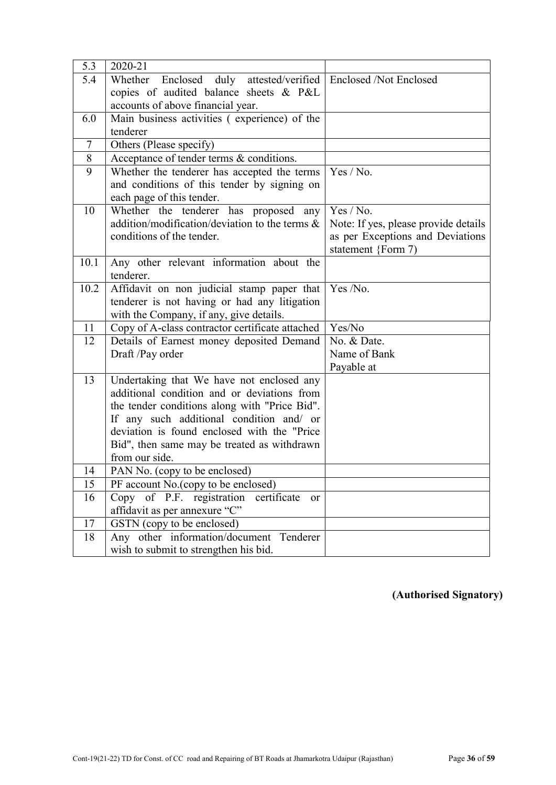| 5.3            | $2020 - 21$                                                                              |                                      |
|----------------|------------------------------------------------------------------------------------------|--------------------------------------|
| 5.4            | Whether Enclosed duly attested/verified                                                  | <b>Enclosed /Not Enclosed</b>        |
|                | copies of audited balance sheets & P&L                                                   |                                      |
|                | accounts of above financial year.                                                        |                                      |
| 6.0            | Main business activities (experience) of the                                             |                                      |
|                | tenderer                                                                                 |                                      |
| $\overline{7}$ | Others (Please specify)                                                                  |                                      |
| $8\,$          | Acceptance of tender terms & conditions.                                                 |                                      |
| 9              | Whether the tenderer has accepted the terms                                              | Yes / No.                            |
|                | and conditions of this tender by signing on                                              |                                      |
|                | each page of this tender.                                                                |                                      |
| 10             | Whether the tenderer has proposed any                                                    | Yes / No.                            |
|                | addition/modification/deviation to the terms $\&$                                        | Note: If yes, please provide details |
|                | conditions of the tender.                                                                | as per Exceptions and Deviations     |
|                |                                                                                          | statement {Form 7)                   |
| 10.1           | Any other relevant information about the                                                 |                                      |
|                | tenderer.                                                                                |                                      |
| 10.2           | Affidavit on non judicial stamp paper that                                               | Yes /No.                             |
|                | tenderer is not having or had any litigation                                             |                                      |
|                | with the Company, if any, give details.                                                  |                                      |
| 11             | Copy of A-class contractor certificate attached                                          | Yes/No                               |
| 12             | Details of Earnest money deposited Demand                                                | No. & Date.                          |
|                | Draft /Pay order                                                                         | Name of Bank                         |
|                |                                                                                          | Payable at                           |
| 13             | Undertaking that We have not enclosed any                                                |                                      |
|                | additional condition and or deviations from                                              |                                      |
|                | the tender conditions along with "Price Bid".                                            |                                      |
|                | If any such additional condition and/ or<br>deviation is found enclosed with the "Price" |                                      |
|                |                                                                                          |                                      |
|                | Bid", then same may be treated as withdrawn<br>from our side.                            |                                      |
| 14             | PAN No. (copy to be enclosed)                                                            |                                      |
| 15             | PF account No. (copy to be enclosed)                                                     |                                      |
| 16             | $\overline{Copy \ of \ P.F. \ registration}$<br>certificate<br>or                        |                                      |
|                | affidavit as per annexure "C"                                                            |                                      |
| 17             | GSTN (copy to be enclosed)                                                               |                                      |
| 18             | Any other information/document<br>Tenderer                                               |                                      |
|                | wish to submit to strengthen his bid.                                                    |                                      |
|                |                                                                                          |                                      |

(Authorised Signatory)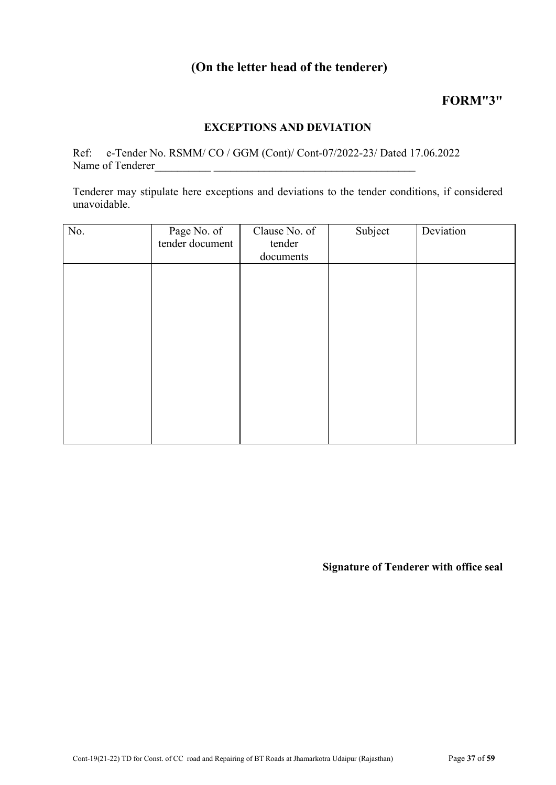# (On the letter head of the tenderer)

# FORM"3"

# EXCEPTIONS AND DEVIATION

Ref: e-Tender No. RSMM/ CO / GGM (Cont)/ Cont-07/2022-23/ Dated 17.06.2022 Name of Tenderer

Tenderer may stipulate here exceptions and deviations to the tender conditions, if considered unavoidable.

| No. | Page No. of     | Clause No. of | Subject | Deviation |
|-----|-----------------|---------------|---------|-----------|
|     | tender document | tender        |         |           |
|     |                 | documents     |         |           |
|     |                 |               |         |           |
|     |                 |               |         |           |
|     |                 |               |         |           |
|     |                 |               |         |           |
|     |                 |               |         |           |
|     |                 |               |         |           |
|     |                 |               |         |           |
|     |                 |               |         |           |
|     |                 |               |         |           |
|     |                 |               |         |           |
|     |                 |               |         |           |
|     |                 |               |         |           |
|     |                 |               |         |           |
|     |                 |               |         |           |

Signature of Tenderer with office seal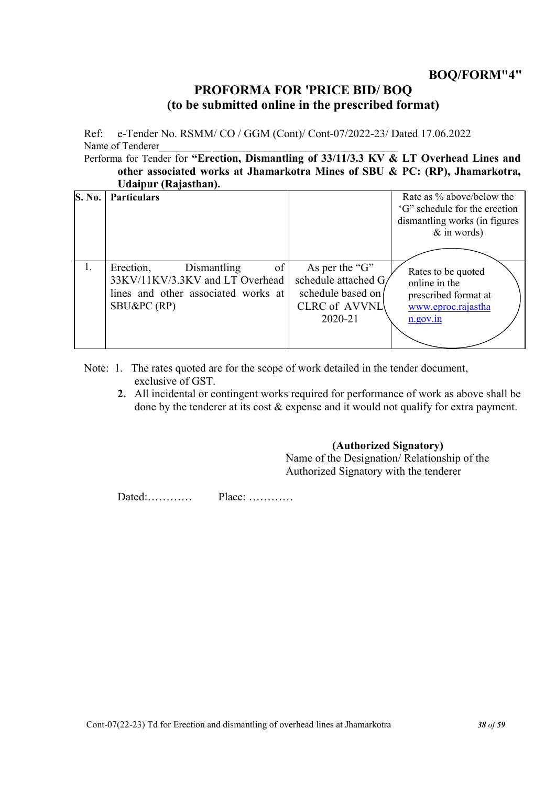# PROFORMA FOR 'PRICE BID/ BOQ (to be submitted online in the prescribed format)

Ref: e-Tender No. RSMM/ CO / GGM (Cont)/ Cont-07/2022-23/ Dated 17.06.2022 Name of Tenderer

Performa for Tender for "Erection, Dismantling of 33/11/3.3 KV & LT Overhead Lines and other associated works at Jhamarkotra Mines of SBU & PC: (RP), Jhamarkotra, Udaipur (Rajasthan).

| <b>S. No.</b> | <b>Particulars</b>                                                                                                     |                                                                                                | Rate as % above/below the<br>'G" schedule for the erection<br>dismantling works (in figures<br>$&$ in words) |
|---------------|------------------------------------------------------------------------------------------------------------------------|------------------------------------------------------------------------------------------------|--------------------------------------------------------------------------------------------------------------|
| 1.            | of<br>Erection,<br>Dismantling<br>33KV/11KV/3.3KV and LT Overhead<br>lines and other associated works at<br>SBU&PC(RP) | As per the "G"<br>schedule attached G/<br>schedule based on<br><b>CLRC</b> of AVVNL<br>2020-21 | Rates to be quoted<br>online in the<br>prescribed format at<br>www.eproc.rajastha<br>n.gov.in                |

- Note: 1. The rates quoted are for the scope of work detailed in the tender document, exclusive of GST.
	- 2. All incidental or contingent works required for performance of work as above shall be done by the tenderer at its cost  $\&$  expense and it would not qualify for extra payment.

# (Authorized Signatory)

Name of the Designation/ Relationship of the Authorized Signatory with the tenderer

Dated:………… Place: …………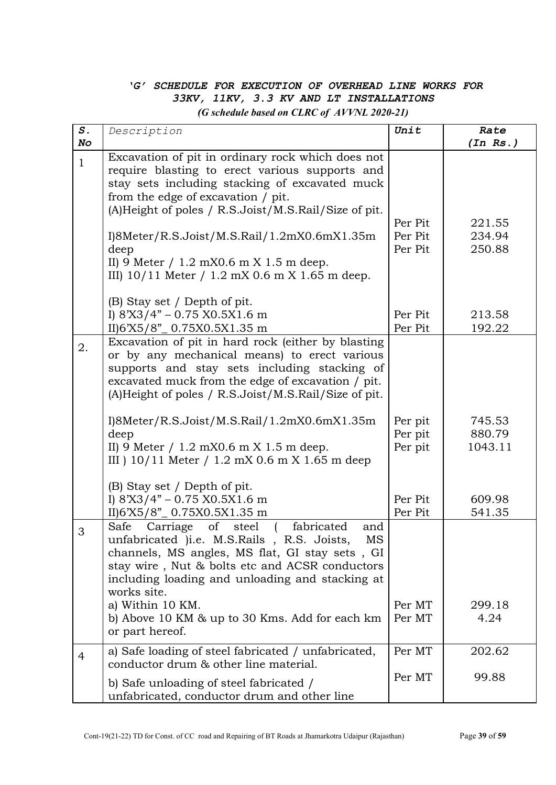# *'G' SCHEDULE FOR EXECUTION OF OVERHEAD LINE WORKS FOR 33KV, 11KV, 3.3 KV AND LT INSTALLATIONS (G schedule based on CLRC of AVVNL 2020-21)*

| $S$ .        | Description                                                                                                                                                                                                                                                                    | Unit                          | Rate                        |
|--------------|--------------------------------------------------------------------------------------------------------------------------------------------------------------------------------------------------------------------------------------------------------------------------------|-------------------------------|-----------------------------|
| No           |                                                                                                                                                                                                                                                                                |                               | (In Rs.)                    |
| $\mathbf{1}$ | Excavation of pit in ordinary rock which does not<br>require blasting to erect various supports and<br>stay sets including stacking of excavated muck<br>from the edge of excavation / pit.<br>(A) Height of poles / R.S. Joist/M.S. Rail/Size of pit.                         | Per Pit                       | 221.55                      |
|              | I)8Meter/R.S.Joist/M.S.Rail/1.2mX0.6mX1.35m<br>deep<br>II) 9 Meter $/ 1.2$ mX0.6 m X 1.5 m deep.<br>III) $10/11$ Meter / 1.2 mX 0.6 m X 1.65 m deep.                                                                                                                           | Per Pit<br>Per Pit            | 234.94<br>250.88            |
|              | (B) Stay set / Depth of pit.<br>I) $8'X3/4" - 0.75 X0.5X1.6 m$<br>II)6'X5/8"_0.75X0.5X1.35 m                                                                                                                                                                                   | Per Pit<br>Per Pit            | 213.58<br>192.22            |
| 2.           | Excavation of pit in hard rock (either by blasting<br>or by any mechanical means) to erect various<br>supports and stay sets including stacking of<br>excavated muck from the edge of excavation / pit.<br>(A)Height of poles / R.S.Joist/M.S.Rail/Size of pit.                |                               |                             |
|              | I)8Meter/R.S.Joist/M.S.Rail/1.2mX0.6mX1.35m<br>deep<br>II) 9 Meter $/ 1.2$ mX0.6 m X 1.5 m deep.<br>III ) 10/11 Meter / 1.2 mX 0.6 m X 1.65 m deep<br>(B) Stay set / Depth of pit.                                                                                             | Per pit<br>Per pit<br>Per pit | 745.53<br>880.79<br>1043.11 |
|              | I) $8'X3/4" - 0.75 X0.5X1.6 m$<br>II)6'X5/8"_0.75X0.5X1.35 m                                                                                                                                                                                                                   | Per Pit<br>Per Pit            | 609.98<br>541.35            |
| 3            | Carriage<br>of<br>steel<br>fabricated<br>Safe<br>and<br>unfabricated )i.e. M.S.Rails, R.S. Joists,<br>MS<br>channels, MS angles, MS flat, GI stay sets, GI<br>stay wire, Nut & bolts etc and ACSR conductors<br>including loading and unloading and stacking at<br>works site. |                               |                             |
|              | a) Within 10 KM.<br>b) Above 10 KM & up to 30 Kms. Add for each km<br>or part hereof.                                                                                                                                                                                          | Per MT<br>Per MT              | 299.18<br>4.24              |
| 4            | a) Safe loading of steel fabricated / unfabricated,<br>conductor drum & other line material.                                                                                                                                                                                   | Per MT                        | 202.62                      |
|              | b) Safe unloading of steel fabricated /<br>unfabricated, conductor drum and other line                                                                                                                                                                                         | Per MT                        | 99.88                       |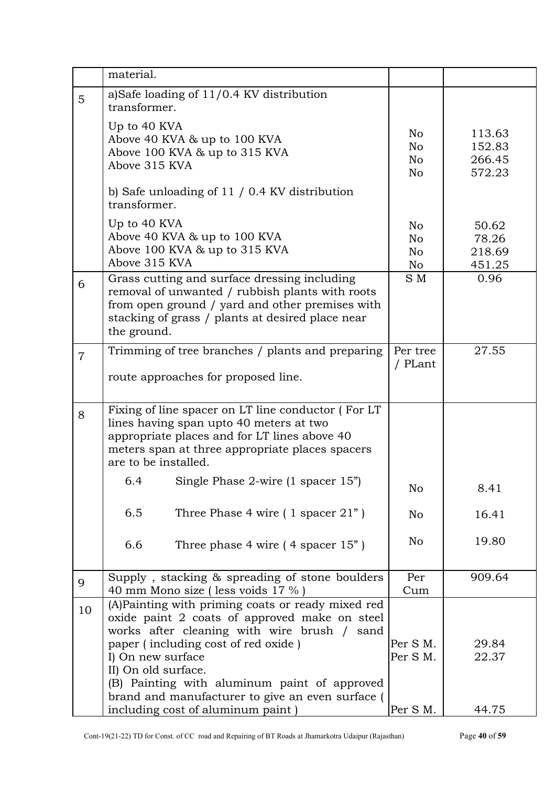|                | material.                                                                                                                                                                                                                                                                            |                      |                                      |
|----------------|--------------------------------------------------------------------------------------------------------------------------------------------------------------------------------------------------------------------------------------------------------------------------------------|----------------------|--------------------------------------|
| 5              | a)Safe loading of 11/0.4 KV distribution<br>transformer.                                                                                                                                                                                                                             |                      |                                      |
|                | Up to 40 KVA<br>Above 40 KVA & up to 100 KVA<br>Above 100 KVA & up to 315 KVA<br>Above 315 KVA<br>b) Safe unloading of $11/0.4$ KV distribution<br>transformer.                                                                                                                      | No<br>No<br>No<br>No | 113.63<br>152.83<br>266.45<br>572.23 |
|                | Up to 40 KVA<br>Above 40 KVA & up to 100 KVA<br>Above 100 KVA & up to 315 KVA<br>Above 315 KVA                                                                                                                                                                                       | No<br>No<br>No<br>No | 50.62<br>78.26<br>218.69<br>451.25   |
| 6              | Grass cutting and surface dressing including<br>removal of unwanted / rubbish plants with roots<br>from open ground / yard and other premises with<br>stacking of grass / plants at desired place near<br>the ground.                                                                | S M                  | 0.96                                 |
| $\overline{7}$ | Trimming of tree branches / plants and preparing<br>route approaches for proposed line.                                                                                                                                                                                              | Per tree<br>/ PLant  | 27.55                                |
| 8              | Fixing of line spacer on LT line conductor (For LT<br>lines having span upto 40 meters at two<br>appropriate places and for LT lines above 40<br>meters span at three appropriate places spacers<br>are to be installed.                                                             |                      |                                      |
|                | Single Phase 2-wire (1 spacer 15")<br>6.4                                                                                                                                                                                                                                            | No                   | 8.41                                 |
|                | 6.5<br>Three Phase 4 wire $(1$ spacer $21"$ )                                                                                                                                                                                                                                        | No                   | 16.41                                |
|                | 6.6<br>Three phase 4 wire $(4$ spacer $15"$ )                                                                                                                                                                                                                                        | No                   | 19.80                                |
| 9              | Supply, stacking & spreading of stone boulders<br>40 mm Mono size (less voids 17 %)                                                                                                                                                                                                  | Per<br>Cum           | 909.64                               |
| 10             | (A)Painting with priming coats or ready mixed red<br>oxide paint 2 coats of approved make on steel<br>works after cleaning with wire brush / sand<br>paper (including cost of red oxide)<br>I) On new surface<br>II) On old surface.<br>(B) Painting with aluminum paint of approved | Per S M.<br>Per S M. | 29.84<br>22.37                       |
|                | brand and manufacturer to give an even surface<br>including cost of aluminum paint)                                                                                                                                                                                                  | Per S M.             | 44.75                                |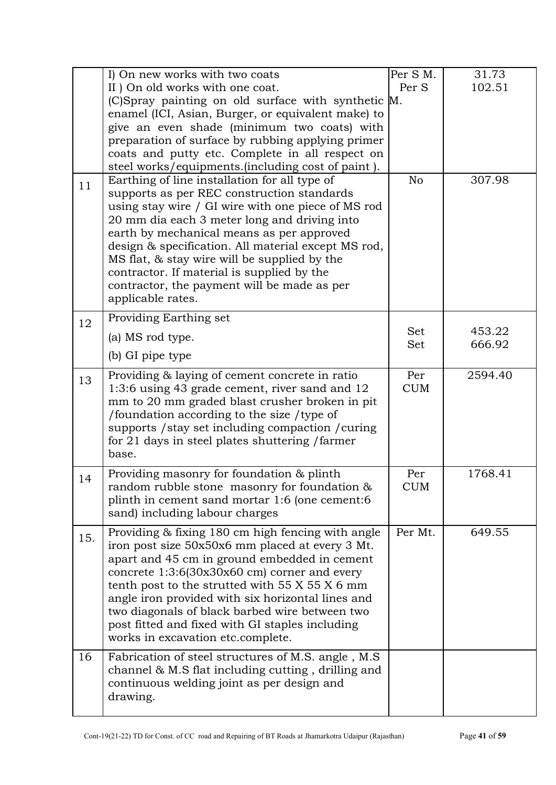|     | I) On new works with two coats<br>II ) On old works with one coat.<br>(C)Spray painting on old surface with synthetic M.<br>enamel (ICI, Asian, Burger, or equivalent make) to<br>give an even shade (minimum two coats) with<br>preparation of surface by rubbing applying primer                                                                                                                                                                                      | Per S M.<br>Per S | 31.73<br>102.51 |
|-----|-------------------------------------------------------------------------------------------------------------------------------------------------------------------------------------------------------------------------------------------------------------------------------------------------------------------------------------------------------------------------------------------------------------------------------------------------------------------------|-------------------|-----------------|
|     | coats and putty etc. Complete in all respect on<br>steel works/equipments.(including cost of paint).                                                                                                                                                                                                                                                                                                                                                                    |                   |                 |
| 11  | Earthing of line installation for all type of<br>supports as per REC construction standards<br>using stay wire / GI wire with one piece of MS rod<br>20 mm dia each 3 meter long and driving into<br>earth by mechanical means as per approved<br>design & specification. All material except MS rod,<br>MS flat, & stay wire will be supplied by the<br>contractor. If material is supplied by the<br>contractor, the payment will be made as per<br>applicable rates. | No                | 307.98          |
| 12  | Providing Earthing set                                                                                                                                                                                                                                                                                                                                                                                                                                                  | Set               | 453.22          |
|     | (a) MS rod type.<br>(b) GI pipe type                                                                                                                                                                                                                                                                                                                                                                                                                                    | Set               | 666.92          |
| 13  | Providing & laying of cement concrete in ratio<br>1:3:6 using 43 grade cement, river sand and 12<br>mm to 20 mm graded blast crusher broken in pit<br>/foundation according to the size / type of<br>supports / stay set including compaction / curing<br>for 21 days in steel plates shuttering / farmer<br>base.                                                                                                                                                      | Per<br><b>CUM</b> | 2594.40         |
| 14  | Providing masonry for foundation & plinth<br>random rubble stone masonry for foundation &<br>plinth in cement sand mortar 1:6 (one cement:6<br>sand) including labour charges                                                                                                                                                                                                                                                                                           | Per<br><b>CUM</b> | 1768.41         |
| 15. | Providing & fixing 180 cm high fencing with angle<br>iron post size 50x50x6 mm placed at every 3 Mt.<br>apart and 45 cm in ground embedded in cement<br>concrete $1:3:6(30x30x60$ cm corner and every<br>tenth post to the strutted with $55 X 55 X 6$ mm<br>angle iron provided with six horizontal lines and<br>two diagonals of black barbed wire between two<br>post fitted and fixed with GI staples including<br>works in excavation etc.complete.                | Per Mt.           | 649.55          |
| 16  | Fabrication of steel structures of M.S. angle, M.S.<br>channel $\&$ M.S flat including cutting, drilling and<br>continuous welding joint as per design and<br>drawing.                                                                                                                                                                                                                                                                                                  |                   |                 |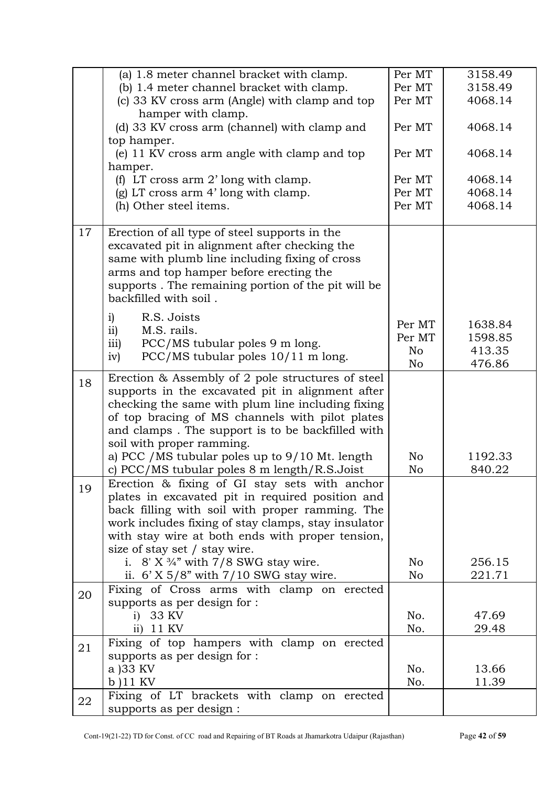|    | (a) 1.8 meter channel bracket with clamp.           | Per MT | 3158.49 |
|----|-----------------------------------------------------|--------|---------|
|    | (b) 1.4 meter channel bracket with clamp.           | Per MT | 3158.49 |
|    | (c) 33 KV cross arm (Angle) with clamp and top      | Per MT | 4068.14 |
|    | hamper with clamp.                                  |        |         |
|    | (d) 33 KV cross arm (channel) with clamp and        | Per MT | 4068.14 |
|    | top hamper.                                         |        |         |
|    | (e) 11 KV cross arm angle with clamp and top        | Per MT | 4068.14 |
|    | hamper.                                             |        |         |
|    | (f) LT cross arm $2'$ long with clamp.              | Per MT | 4068.14 |
|    | (g) LT cross arm 4' long with clamp.                | Per MT | 4068.14 |
|    | (h) Other steel items.                              | Per MT | 4068.14 |
|    |                                                     |        |         |
| 17 | Erection of all type of steel supports in the       |        |         |
|    | excavated pit in alignment after checking the       |        |         |
|    | same with plumb line including fixing of cross      |        |         |
|    | arms and top hamper before erecting the             |        |         |
|    | supports. The remaining portion of the pit will be  |        |         |
|    | backfilled with soil.                               |        |         |
|    | i)<br>R.S. Joists                                   |        |         |
|    | M.S. rails.<br>$\mathbf{ii}$                        | Per MT | 1638.84 |
|    | PCC/MS tubular poles 9 m long.<br>$\overline{111}$  | Per MT | 1598.85 |
|    | PCC/MS tubular poles 10/11 m long.<br>iv)           | No     | 413.35  |
|    |                                                     | No     | 476.86  |
| 18 | Erection & Assembly of 2 pole structures of steel   |        |         |
|    | supports in the excavated pit in alignment after    |        |         |
|    | checking the same with plum line including fixing   |        |         |
|    | of top bracing of MS channels with pilot plates     |        |         |
|    | and clamps. The support is to be backfilled with    |        |         |
|    | soil with proper ramming.                           |        |         |
|    | a) PCC / MS tubular poles up to 9/10 Mt. length     | No     | 1192.33 |
|    | c) PCC/MS tubular poles 8 m length/R.S.Joist        | No     | 840.22  |
| 19 | Erection & fixing of GI stay sets with anchor       |        |         |
|    | plates in excavated pit in required position and    |        |         |
|    | back filling with soil with proper ramming. The     |        |         |
|    | work includes fixing of stay clamps, stay insulator |        |         |
|    | with stay wire at both ends with proper tension,    |        |         |
|    | size of stay set / stay wire.                       |        |         |
|    | i. $8'$ X $\frac{3}{4}''$ with 7/8 SWG stay wire.   | No     | 256.15  |
|    | ii. $6'$ X $5/8''$ with $7/10$ SWG stay wire.       | No     | 221.71  |
| 20 | Fixing of Cross arms with clamp on erected          |        |         |
|    | supports as per design for :                        |        |         |
|    | 33 KV<br>$\ddot{1}$                                 | No.    | 47.69   |
|    | 11 KV<br>$\overline{11}$                            | No.    | 29.48   |
| 21 | Fixing of top hampers with clamp on erected         |        |         |
|    | supports as per design for :                        |        |         |
|    | a )33 KV                                            | No.    | 13.66   |
|    | $b)11$ KV                                           | No.    | 11.39   |
| 22 | Fixing of LT brackets with clamp on erected         |        |         |
|    | supports as per design :                            |        |         |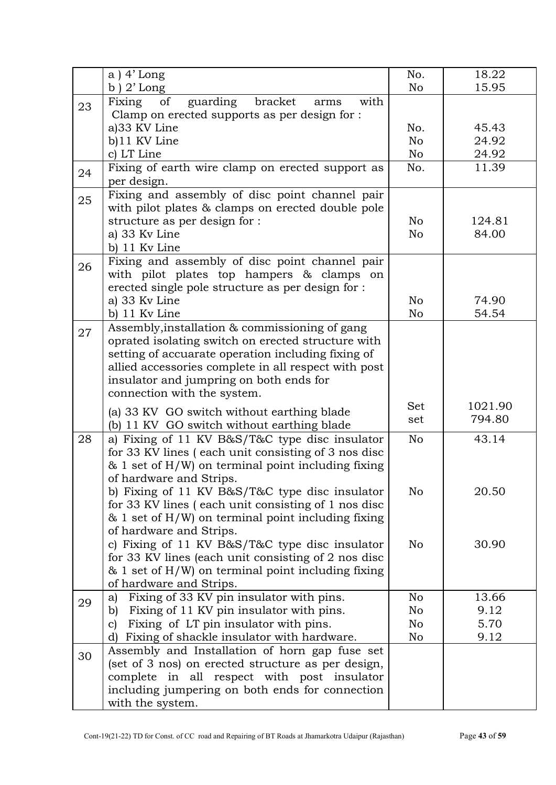|    | $a)$ 4' Long                                                                                          | No.            | 18.22   |
|----|-------------------------------------------------------------------------------------------------------|----------------|---------|
|    | $b)$ 2' Long                                                                                          | No             | 15.95   |
| 23 | guarding<br>Fixing<br>of<br>bracket<br>with<br>arms                                                   |                |         |
|    | Clamp on erected supports as per design for :                                                         |                |         |
|    | a)33 KV Line                                                                                          | No.            | 45.43   |
|    | b)11 KV Line                                                                                          | No             | 24.92   |
|    | c) LT Line                                                                                            | No             | 24.92   |
| 24 | Fixing of earth wire clamp on erected support as<br>per design.                                       | No.            | 11.39   |
|    | Fixing and assembly of disc point channel pair                                                        |                |         |
| 25 | with pilot plates & clamps on erected double pole                                                     |                |         |
|    | structure as per design for :                                                                         | No             | 124.81  |
|    | a) 33 Kv Line                                                                                         | No             | 84.00   |
|    | b) 11 Kv Line                                                                                         |                |         |
| 26 | Fixing and assembly of disc point channel pair                                                        |                |         |
|    | with pilot plates top hampers & clamps on                                                             |                |         |
|    | erected single pole structure as per design for :                                                     |                |         |
|    | a) 33 Kv Line                                                                                         | No             | 74.90   |
|    | b) 11 Kv Line                                                                                         | No             | 54.54   |
| 27 | Assembly, installation & commissioning of gang                                                        |                |         |
|    | oprated isolating switch on erected structure with                                                    |                |         |
|    | setting of accuarate operation including fixing of                                                    |                |         |
|    | allied accessories complete in all respect with post                                                  |                |         |
|    | insulator and jumpring on both ends for                                                               |                |         |
|    | connection with the system.                                                                           |                |         |
|    | (a) 33 KV GO switch without earthing blade                                                            | <b>Set</b>     | 1021.90 |
|    | (b) 11 KV GO switch without earthing blade                                                            | set            | 794.80  |
| 28 | a) Fixing of 11 KV B&S/T&C type disc insulator                                                        | N <sub>o</sub> | 43.14   |
|    | for 33 KV lines (each unit consisting of 3 nos disc                                                   |                |         |
|    | $\&$ 1 set of H/W) on terminal point including fixing                                                 |                |         |
|    | of hardware and Strips.                                                                               |                |         |
|    | b) Fixing of 11 KV B&S/T&C type disc insulator                                                        | No             | 20.50   |
|    | for 33 KV lines (each unit consisting of 1 nos disc                                                   |                |         |
|    | $\&$ 1 set of H/W) on terminal point including fixing                                                 |                |         |
|    | of hardware and Strips.                                                                               |                |         |
|    | c) Fixing of 11 KV B&S/T&C type disc insulator<br>for 33 KV lines (each unit consisting of 2 nos disc | No             | 30.90   |
|    | $\&$ 1 set of H/W) on terminal point including fixing                                                 |                |         |
|    | of hardware and Strips.                                                                               |                |         |
|    | Fixing of 33 KV pin insulator with pins.<br>a)                                                        | No             | 13.66   |
| 29 | Fixing of 11 KV pin insulator with pins.<br>b)                                                        | No             | 9.12    |
|    | Fixing of LT pin insulator with pins.<br>c)                                                           | No             | 5.70    |
|    | Fixing of shackle insulator with hardware.<br>d)                                                      | No             | 9.12    |
|    | Assembly and Installation of horn gap fuse set                                                        |                |         |
| 30 | (set of 3 nos) on erected structure as per design,                                                    |                |         |
|    | complete in all respect with post insulator                                                           |                |         |
|    | including jumpering on both ends for connection                                                       |                |         |
|    | with the system.                                                                                      |                |         |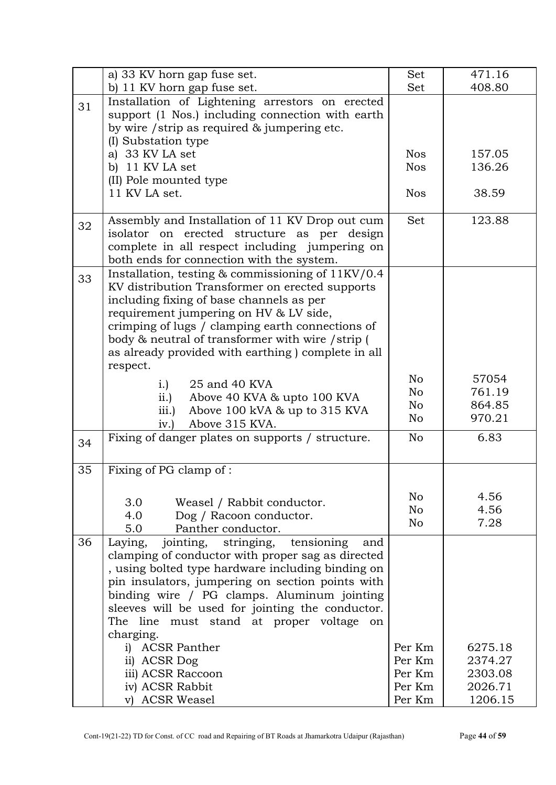|    | a) 33 KV horn gap fuse set.                                   | Set            | 471.16  |
|----|---------------------------------------------------------------|----------------|---------|
|    | b) 11 KV horn gap fuse set.                                   | Set            | 408.80  |
| 31 | Installation of Lightening arrestors on erected               |                |         |
|    | support (1 Nos.) including connection with earth              |                |         |
|    | by wire / strip as required & jumpering etc.                  |                |         |
|    | (I) Substation type                                           |                |         |
|    | a) 33 KV LA set                                               | <b>Nos</b>     | 157.05  |
|    | b) 11 KV LA set                                               | <b>Nos</b>     | 136.26  |
|    | (II) Pole mounted type                                        |                |         |
|    | 11 KV LA set.                                                 | <b>Nos</b>     | 38.59   |
|    |                                                               |                |         |
|    | Assembly and Installation of 11 KV Drop out cum               | Set            | 123.88  |
| 32 | isolator on erected structure as per design                   |                |         |
|    | complete in all respect including jumpering on                |                |         |
|    | both ends for connection with the system.                     |                |         |
|    | Installation, testing $\&$ commissioning of $11\text{KV}/0.4$ |                |         |
| 33 | KV distribution Transformer on erected supports               |                |         |
|    | including fixing of base channels as per                      |                |         |
|    | requirement jumpering on HV & LV side,                        |                |         |
|    | crimping of lugs / clamping earth connections of              |                |         |
|    | body & neutral of transformer with wire / strip (             |                |         |
|    | as already provided with earthing) complete in all            |                |         |
|    | respect.                                                      |                |         |
|    |                                                               | No             | 57054   |
|    | 25 and 40 KVA<br>$i.$ )                                       | No             | 761.19  |
|    | ii.<br>Above 40 KVA & upto 100 KVA                            | No             | 864.85  |
|    | Above 100 kVA & up to 315 KVA<br>iii.)                        | No             | 970.21  |
|    | Above 315 KVA.<br>iv.                                         |                |         |
| 34 | Fixing of danger plates on supports / structure.              | N <sub>o</sub> | 6.83    |
|    |                                                               |                |         |
| 35 | Fixing of PG clamp of :                                       |                |         |
|    |                                                               |                |         |
|    | 3.0                                                           | No             | 4.56    |
|    | Weasel / Rabbit conductor.<br>4.0                             | No             | 4.56    |
|    | Dog / Racoon conductor.<br>Panther conductor.<br>5.0          | No             | 7.28    |
|    |                                                               |                |         |
| 36 | jointing, stringing,<br>tensioning<br>Laying,<br>and          |                |         |
|    | clamping of conductor with proper sag as directed             |                |         |
|    | , using bolted type hardware including binding on             |                |         |
|    | pin insulators, jumpering on section points with              |                |         |
|    | binding wire / PG clamps. Aluminum jointing                   |                |         |
|    | sleeves will be used for jointing the conductor.              |                |         |
|    | The line must stand at proper voltage<br>on                   |                |         |
|    | charging.                                                     |                |         |
|    | i) ACSR Panther                                               | Per Km         | 6275.18 |
|    | ii) ACSR Dog                                                  | Per Km         | 2374.27 |
|    | iii) ACSR Raccoon                                             | Per Km         | 2303.08 |
|    | iv) ACSR Rabbit                                               | Per Km         | 2026.71 |
|    | v) ACSR Weasel                                                | Per Km         | 1206.15 |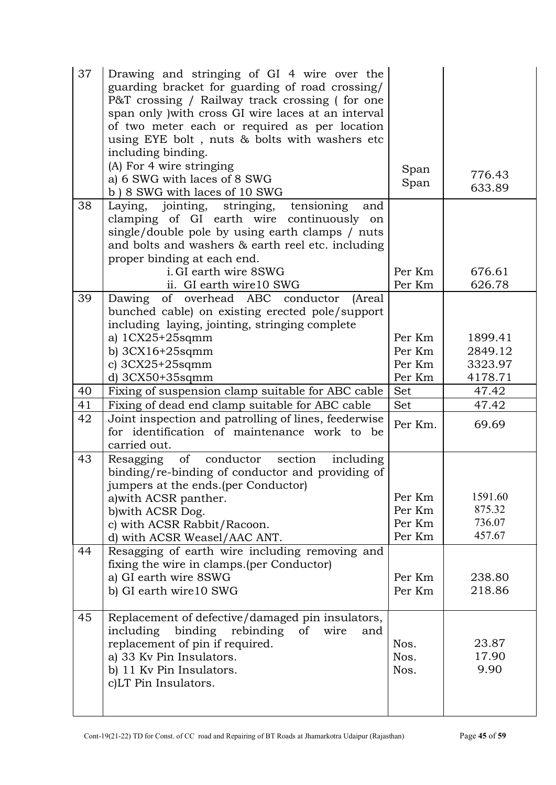| 37 | Drawing and stringing of GI 4 wire over the<br>guarding bracket for guarding of road crossing/<br>P&T crossing / Railway track crossing (for one<br>span only ) with cross GI wire laces at an interval<br>of two meter each or required as per location<br>using EYE bolt, nuts & bolts with washers etc<br>including binding. |                                      |                                       |
|----|---------------------------------------------------------------------------------------------------------------------------------------------------------------------------------------------------------------------------------------------------------------------------------------------------------------------------------|--------------------------------------|---------------------------------------|
|    | (A) For 4 wire stringing<br>a) 6 SWG with laces of 8 SWG<br>b) 8 SWG with laces of 10 SWG                                                                                                                                                                                                                                       | Span<br>Span                         | 776.43<br>633.89                      |
| 38 | Laying, jointing, stringing,<br>tensioning<br>and<br>clamping of GI earth wire continuously on<br>single/double pole by using earth clamps / nuts<br>and bolts and washers & earth reel etc. including<br>proper binding at each end.<br>i. GI earth wire 8SWG                                                                  | Per Km                               | 676.61                                |
|    | ii. GI earth wire 10 SWG                                                                                                                                                                                                                                                                                                        | Per Km                               | 626.78                                |
| 39 | Dawing of overhead ABC conductor<br>(Areal<br>bunched cable) on existing erected pole/support<br>including laying, jointing, stringing complete<br>a) $1CX25+25$ sqmm                                                                                                                                                           | Per Km<br>Per Km                     | 1899.41<br>2849.12                    |
|    | b) $3CX16+25$ sqmm<br>c) $3CX25+25$ sqmm                                                                                                                                                                                                                                                                                        | Per Km                               | 3323.97                               |
|    | d) $3CX50+35$ sqmm                                                                                                                                                                                                                                                                                                              | Per Km                               | 4178.71                               |
| 40 | Fixing of suspension clamp suitable for ABC cable                                                                                                                                                                                                                                                                               | Set                                  | 47.42                                 |
| 41 | Fixing of dead end clamp suitable for ABC cable                                                                                                                                                                                                                                                                                 | Set                                  | 47.42                                 |
| 42 | Joint inspection and patrolling of lines, feederwise<br>for identification of maintenance work to be<br>carried out.                                                                                                                                                                                                            | Per Km.                              | 69.69                                 |
| 43 | Resagging of conductor section<br>including<br>binding/re-binding of conductor and providing of<br>jumpers at the ends. (per Conductor)<br>a) with ACSR panther.<br>b) with ACSR Dog.<br>c) with ACSR Rabbit/Racoon.<br>d) with ACSR Weasel/AAC ANT.                                                                            | Per Km<br>Per Km<br>Per Km<br>Per Km | 1591.60<br>875.32<br>736.07<br>457.67 |
| 44 | Resagging of earth wire including removing and<br>fixing the wire in clamps. (per Conductor)<br>a) GI earth wire 8SWG<br>b) GI earth wire10 SWG                                                                                                                                                                                 | Per Km<br>Per Km                     | 238.80<br>218.86                      |
| 45 | Replacement of defective/damaged pin insulators,<br>including<br>binding<br>rebinding<br><sub>of</sub><br>wire<br>and<br>replacement of pin if required.<br>a) 33 Kv Pin Insulators.<br>b) 11 Kv Pin Insulators.<br>c)LT Pin Insulators.                                                                                        | Nos.<br>Nos.<br>Nos.                 | 23.87<br>17.90<br>9.90                |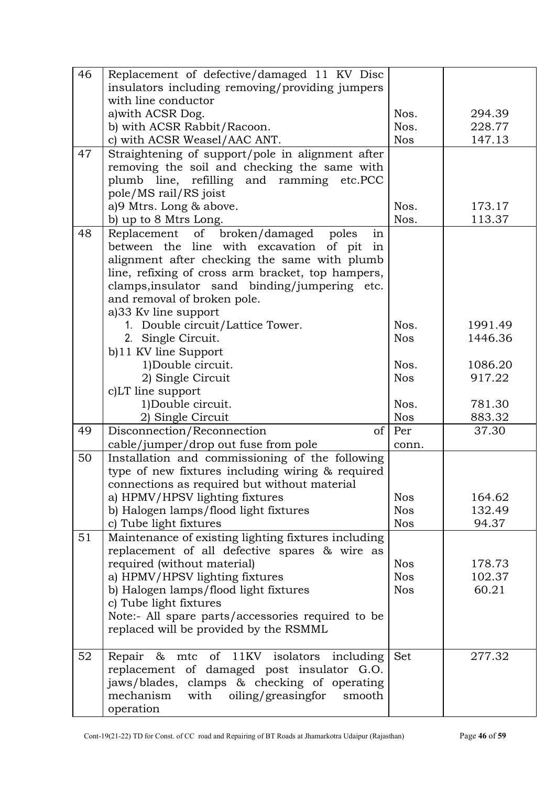| 46 | Replacement of defective/damaged 11 KV Disc                                         |            |         |
|----|-------------------------------------------------------------------------------------|------------|---------|
|    | insulators including removing/providing jumpers                                     |            |         |
|    | with line conductor                                                                 |            |         |
|    | a) with ACSR Dog.                                                                   | Nos.       | 294.39  |
|    | b) with ACSR Rabbit/Racoon.                                                         | Nos.       | 228.77  |
|    | c) with ACSR Weasel/AAC ANT.                                                        | <b>Nos</b> | 147.13  |
| 47 | Straightening of support/pole in alignment after                                    |            |         |
|    | removing the soil and checking the same with                                        |            |         |
|    | plumb line, refilling and ramming etc.PCC                                           |            |         |
|    | pole/MS rail/RS joist                                                               |            |         |
|    | a)9 Mtrs. Long & above.                                                             | Nos.       | 173.17  |
|    | b) up to 8 Mtrs Long.                                                               | Nos.       | 113.37  |
| 48 | Replacement of broken/damaged<br>poles<br>in                                        |            |         |
|    | between the line with excavation<br>of pit in                                       |            |         |
|    | alignment after checking the same with plumb                                        |            |         |
|    | line, refixing of cross arm bracket, top hampers,                                   |            |         |
|    | clamps, insulator sand binding/jumpering etc.                                       |            |         |
|    | and removal of broken pole.                                                         |            |         |
|    | a)33 Kv line support                                                                |            |         |
|    | 1. Double circuit/Lattice Tower.                                                    | Nos.       | 1991.49 |
|    | 2. Single Circuit.                                                                  | <b>Nos</b> | 1446.36 |
|    |                                                                                     |            |         |
|    | b)11 KV line Support                                                                | Nos.       | 1086.20 |
|    | 1)Double circuit.                                                                   | <b>Nos</b> |         |
|    | 2) Single Circuit                                                                   |            | 917.22  |
|    | c)LT line support                                                                   | Nos.       | 781.30  |
|    | 1)Double circuit.                                                                   |            |         |
|    | 2) Single Circuit                                                                   | <b>Nos</b> | 883.32  |
| 49 | Disconnection/Reconnection<br><sub>of</sub><br>cable/jumper/drop out fuse from pole | Per        | 37.30   |
| 50 |                                                                                     | conn.      |         |
|    | Installation and commissioning of the following                                     |            |         |
|    | type of new fixtures including wiring & required                                    |            |         |
|    | connections as required but without material                                        |            |         |
|    | a) HPMV/HPSV lighting fixtures                                                      | <b>Nos</b> | 164.62  |
|    | b) Halogen lamps/flood light fixtures                                               | <b>Nos</b> | 132.49  |
|    | c) Tube light fixtures                                                              | <b>Nos</b> | 94.37   |
| 51 | Maintenance of existing lighting fixtures including                                 |            |         |
|    | replacement of all defective spares & wire as                                       |            |         |
|    | required (without material)                                                         | <b>Nos</b> | 178.73  |
|    | a) HPMV/HPSV lighting fixtures                                                      | <b>Nos</b> | 102.37  |
|    | b) Halogen lamps/flood light fixtures                                               | <b>Nos</b> | 60.21   |
|    | c) Tube light fixtures                                                              |            |         |
|    | Note:- All spare parts/accessories required to be                                   |            |         |
|    | replaced will be provided by the RSMML                                              |            |         |
| 52 | mtc of 11KV isolators<br>Repair<br>including<br>$-\infty$                           | Set        | 277.32  |
|    | replacement of damaged post insulator G.O.                                          |            |         |
|    | jaws/blades, clamps & checking of operating                                         |            |         |
|    | with oiling/greasingfor<br>mechanism<br>smooth                                      |            |         |
|    | operation                                                                           |            |         |
|    |                                                                                     |            |         |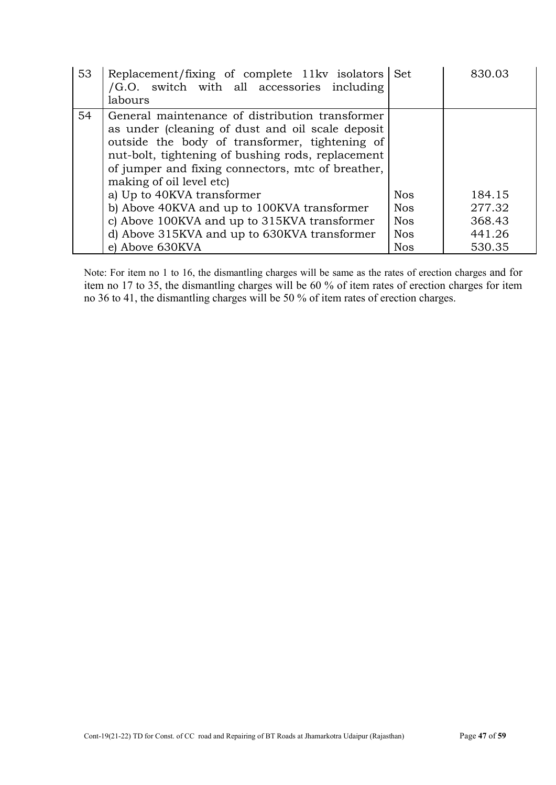| 53 | Replacement/fixing of complete 11kv isolators Set<br>/G.O. switch with all accessories including<br>labours                                                                                                                                                                                                                                                                                                                                                                                 |                                                                    | 830.03                                         |
|----|---------------------------------------------------------------------------------------------------------------------------------------------------------------------------------------------------------------------------------------------------------------------------------------------------------------------------------------------------------------------------------------------------------------------------------------------------------------------------------------------|--------------------------------------------------------------------|------------------------------------------------|
| 54 | General maintenance of distribution transformer<br>as under (cleaning of dust and oil scale deposit<br>outside the body of transformer, tightening of<br>nut-bolt, tightening of bushing rods, replacement<br>of jumper and fixing connectors, mtc of breather,<br>making of oil level etc)<br>a) Up to 40KVA transformer<br>b) Above 40KVA and up to 100KVA transformer<br>c) Above 100KVA and up to 315KVA transformer<br>d) Above 315KVA and up to 630KVA transformer<br>e) Above 630KVA | <b>Nos</b><br><b>Nos</b><br><b>Nos</b><br><b>Nos</b><br><b>Nos</b> | 184.15<br>277.32<br>368.43<br>441.26<br>530.35 |

Note: For item no 1 to 16, the dismantling charges will be same as the rates of erection charges and for item no 17 to 35, the dismantling charges will be 60 % of item rates of erection charges for item no 36 to 41, the dismantling charges will be 50 % of item rates of erection charges.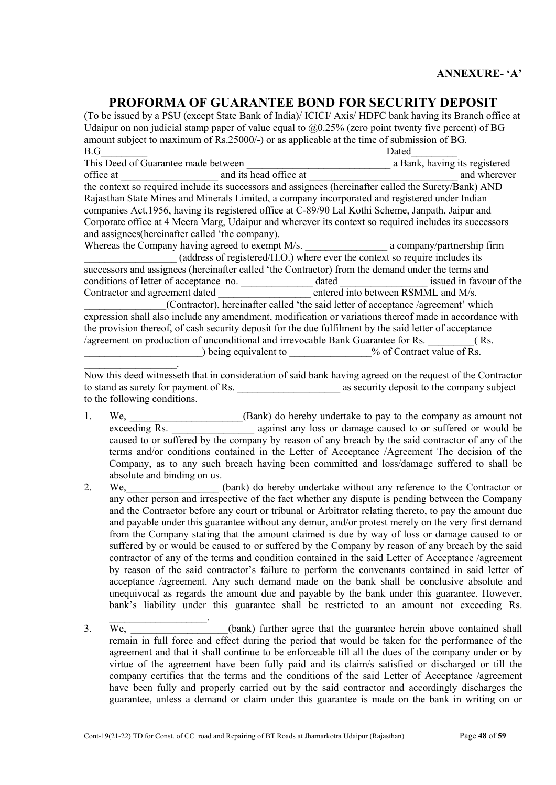# PROFORMA OF GUARANTEE BOND FOR SECURITY DEPOSIT

(To be issued by a PSU (except State Bank of India)/ ICICI/ Axis/ HDFC bank having its Branch office at Udaipur on non judicial stamp paper of value equal to  $(20.25\%$  (zero point twenty five percent) of BG amount subject to maximum of Rs.25000/-) or as applicable at the time of submission of BG. B.G\_\_\_\_\_\_\_\_\_ Dated\_\_\_\_\_\_\_\_\_ This Deed of Guarantee made between a bank, having its registered office at and its head office at and wherever the context so required include its successors and assignees (hereinafter called the Surety/Bank) AND Rajasthan State Mines and Minerals Limited, a company incorporated and registered under Indian companies Act,1956, having its registered office at C-89/90 Lal Kothi Scheme, Janpath, Jaipur and Corporate office at 4 Meera Marg, Udaipur and wherever its context so required includes its successors and assignees(hereinafter called 'the company). Whereas the Company having agreed to exempt M/s. \_\_\_\_\_\_\_\_\_\_\_\_\_\_\_\_ a company/partnership firm  $(address of registered/H.O.)$  where ever the context so require includes its successors and assignees (hereinafter called 'the Contractor) from the demand under the terms and conditions of letter of acceptance no.  $\qquad \qquad$  dated issued in favour of the Contractor and agreement dated **the contractor and agreement dated**  $\overline{\phantom{a}}$  entered into between RSMML and M/s. (Contractor), hereinafter called 'the said letter of acceptance /agreement' which expression shall also include any amendment, modification or variations thereof made in accordance with the provision thereof, of cash security deposit for the due fulfilment by the said letter of acceptance /agreement on production of unconditional and irrevocable Bank Guarantee for Rs. \_\_\_\_\_\_\_\_\_( Rs. being equivalent to \_\_\_\_\_\_\_\_\_\_\_\_\_\_\_\_\_\_\_\_\_\_\_% of Contract value of Rs.  $\overline{\phantom{a}}$  . The set of the set of the set of the set of the set of the set of the set of the set of the set of the set of the set of the set of the set of the set of the set of the set of the set of the set of the set o

Now this deed witnesseth that in consideration of said bank having agreed on the request of the Contractor to stand as surety for payment of Rs.  $\qquad \qquad$  as security deposit to the company subject to the following conditions.

- 1. We, Sank) do hereby undertake to pay to the company as amount not exceeding Rs. \_\_\_\_\_\_\_\_\_\_\_\_\_\_\_\_ against any loss or damage caused to or suffered or would be caused to or suffered by the company by reason of any breach by the said contractor of any of the terms and/or conditions contained in the Letter of Acceptance /Agreement The decision of the Company, as to any such breach having been committed and loss/damage suffered to shall be absolute and binding on us.
- 2. We, (bank) do hereby undertake without any reference to the Contractor or any other person and irrespective of the fact whether any dispute is pending between the Company and the Contractor before any court or tribunal or Arbitrator relating thereto, to pay the amount due and payable under this guarantee without any demur, and/or protest merely on the very first demand from the Company stating that the amount claimed is due by way of loss or damage caused to or suffered by or would be caused to or suffered by the Company by reason of any breach by the said contractor of any of the terms and condition contained in the said Letter of Acceptance /agreement by reason of the said contractor's failure to perform the convenants contained in said letter of acceptance /agreement. Any such demand made on the bank shall be conclusive absolute and unequivocal as regards the amount due and payable by the bank under this guarantee. However, bank's liability under this guarantee shall be restricted to an amount not exceeding Rs.
- $\overline{\phantom{a}}$ 3. We, (bank) further agree that the guarantee herein above contained shall remain in full force and effect during the period that would be taken for the performance of the agreement and that it shall continue to be enforceable till all the dues of the company under or by virtue of the agreement have been fully paid and its claim/s satisfied or discharged or till the company certifies that the terms and the conditions of the said Letter of Acceptance /agreement have been fully and properly carried out by the said contractor and accordingly discharges the guarantee, unless a demand or claim under this guarantee is made on the bank in writing on or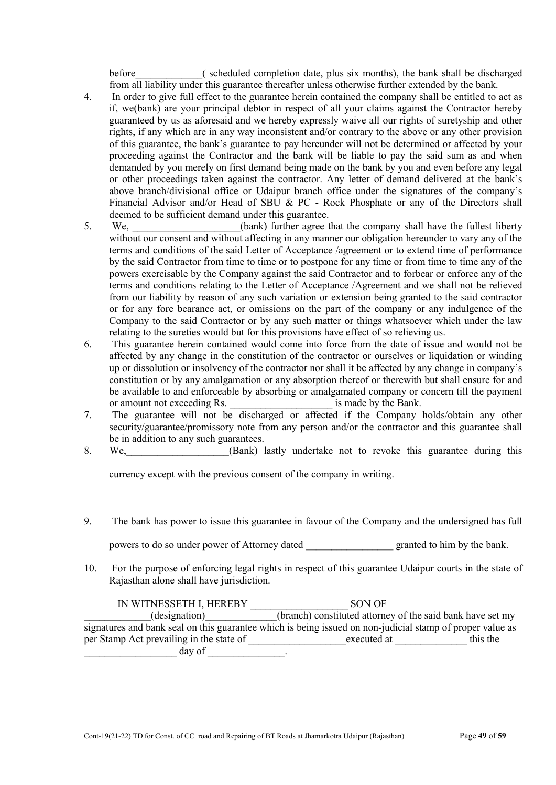before (scheduled completion date, plus six months), the bank shall be discharged from all liability under this guarantee thereafter unless otherwise further extended by the bank.

- 4. In order to give full effect to the guarantee herein contained the company shall be entitled to act as if, we(bank) are your principal debtor in respect of all your claims against the Contractor hereby guaranteed by us as aforesaid and we hereby expressly waive all our rights of suretyship and other rights, if any which are in any way inconsistent and/or contrary to the above or any other provision of this guarantee, the bank's guarantee to pay hereunder will not be determined or affected by your proceeding against the Contractor and the bank will be liable to pay the said sum as and when demanded by you merely on first demand being made on the bank by you and even before any legal or other proceedings taken against the contractor. Any letter of demand delivered at the bank's above branch/divisional office or Udaipur branch office under the signatures of the company's Financial Advisor and/or Head of SBU & PC - Rock Phosphate or any of the Directors shall deemed to be sufficient demand under this guarantee.
- 5. We, we (bank) further agree that the company shall have the fullest liberty without our consent and without affecting in any manner our obligation hereunder to vary any of the terms and conditions of the said Letter of Acceptance /agreement or to extend time of performance by the said Contractor from time to time or to postpone for any time or from time to time any of the powers exercisable by the Company against the said Contractor and to forbear or enforce any of the terms and conditions relating to the Letter of Acceptance /Agreement and we shall not be relieved from our liability by reason of any such variation or extension being granted to the said contractor or for any fore bearance act, or omissions on the part of the company or any indulgence of the Company to the said Contractor or by any such matter or things whatsoever which under the law relating to the sureties would but for this provisions have effect of so relieving us.
- 6. This guarantee herein contained would come into force from the date of issue and would not be affected by any change in the constitution of the contractor or ourselves or liquidation or winding up or dissolution or insolvency of the contractor nor shall it be affected by any change in company's constitution or by any amalgamation or any absorption thereof or therewith but shall ensure for and be available to and enforceable by absorbing or amalgamated company or concern till the payment or amount not exceeding Rs. \_\_\_\_\_\_\_\_\_\_\_\_\_\_\_\_\_\_\_\_\_\_\_\_\_\_ is made by the Bank.
- 7. The guarantee will not be discharged or affected if the Company holds/obtain any other security/guarantee/promissory note from any person and/or the contractor and this guarantee shall be in addition to any such guarantees.
- 8. We, Same (Bank) lastly undertake not to revoke this guarantee during this summary this summary this summary this summary this summary this summary this summary this summary this summary this summary this summary that is

currency except with the previous consent of the company in writing.

9. The bank has power to issue this guarantee in favour of the Company and the undersigned has full

powers to do so under power of Attorney dated granted to him by the bank.

10. For the purpose of enforcing legal rights in respect of this guarantee Udaipur courts in the state of Rajasthan alone shall have jurisdiction.

| IN WITNESSETH I, HEREBY                                                                                   | SON OF                                                     |          |
|-----------------------------------------------------------------------------------------------------------|------------------------------------------------------------|----------|
| (designation)                                                                                             | (branch) constituted attorney of the said bank have set my |          |
| signatures and bank seal on this guarantee which is being issued on non-judicial stamp of proper value as |                                                            |          |
| per Stamp Act prevailing in the state of                                                                  | executed at                                                | this the |
| day of                                                                                                    |                                                            |          |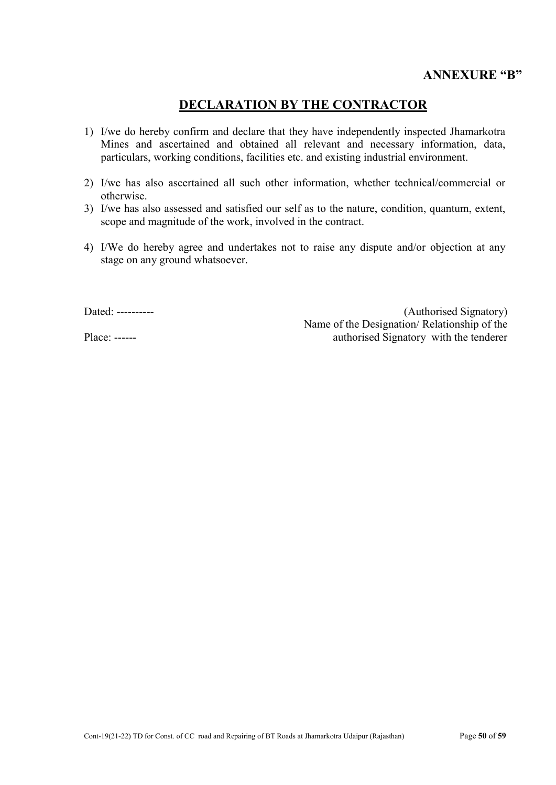# DECLARATION BY THE CONTRACTOR

- 1) I/we do hereby confirm and declare that they have independently inspected Jhamarkotra Mines and ascertained and obtained all relevant and necessary information, data, particulars, working conditions, facilities etc. and existing industrial environment.
- 2) I/we has also ascertained all such other information, whether technical/commercial or otherwise.
- 3) I/we has also assessed and satisfied our self as to the nature, condition, quantum, extent, scope and magnitude of the work, involved in the contract.
- 4) I/We do hereby agree and undertakes not to raise any dispute and/or objection at any stage on any ground whatsoever.

Dated: ----------

Place: ------

(Authorised Signatory) Name of the Designation/ Relationship of the authorised Signatory with the tenderer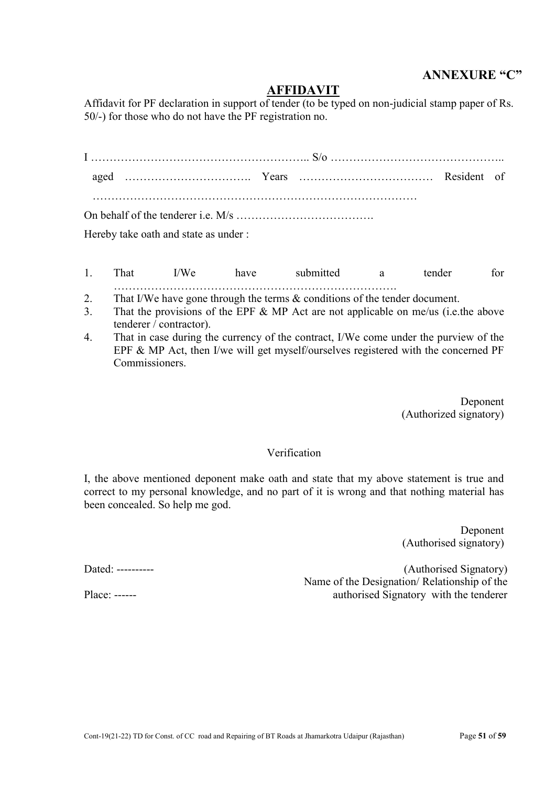# ANNEXURE "C"

# AFFIDAVIT

Affidavit for PF declaration in support of tender (to be typed on non-judicial stamp paper of Rs. 50/-) for those who do not have the PF registration no.

| $H_{\alpha\nu\alpha}$ hyperparticle and atota as under |  |  |  |
|--------------------------------------------------------|--|--|--|

Hereby take oath and state as under :

- 1. That I/We have submitted a tender for ………………………………………………………………….
- 2. That I/We have gone through the terms & conditions of the tender document.
- 3. That the provisions of the EPF & MP Act are not applicable on me/us (i.e.the above tenderer / contractor).
- 4. That in case during the currency of the contract, I/We come under the purview of the EPF & MP Act, then I/we will get myself/ourselves registered with the concerned PF Commissioners.

Deponent (Authorized signatory)

#### Verification

I, the above mentioned deponent make oath and state that my above statement is true and correct to my personal knowledge, and no part of it is wrong and that nothing material has been concealed. So help me god.

> Deponent (Authorised signatory)

(Authorised Signatory) Name of the Designation/ Relationship of the authorised Signatory with the tenderer

Dated: ----------

Place: ------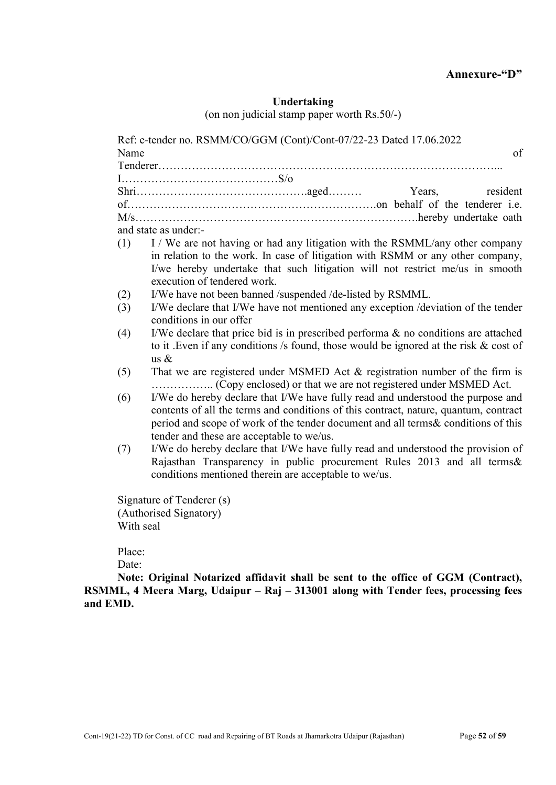# Undertaking

(on non judicial stamp paper worth Rs.50/-)

|           | Years,<br>resident                                                                                                                                                                                                                                                                                         |
|-----------|------------------------------------------------------------------------------------------------------------------------------------------------------------------------------------------------------------------------------------------------------------------------------------------------------------|
|           |                                                                                                                                                                                                                                                                                                            |
|           |                                                                                                                                                                                                                                                                                                            |
|           | and state as under:-                                                                                                                                                                                                                                                                                       |
| (1)       | I / We are not having or had any litigation with the RSMML/any other company<br>in relation to the work. In case of litigation with RSMM or any other company,<br>I/we hereby undertake that such litigation will not restrict me/us in smooth<br>execution of tendered work.                              |
| (2)       | I/We have not been banned /suspended /de-listed by RSMML.                                                                                                                                                                                                                                                  |
| (3)       | I/We declare that I/We have not mentioned any exception /deviation of the tender<br>conditions in our offer                                                                                                                                                                                                |
| (4)       | I/We declare that price bid is in prescribed performa $\&$ no conditions are attached<br>to it. Even if any conditions /s found, those would be ignored at the risk $\&$ cost of<br>us $\&$                                                                                                                |
| (5)       | That we are registered under MSMED Act $&$ registration number of the firm is                                                                                                                                                                                                                              |
| (6)       | I/We do hereby declare that I/We have fully read and understood the purpose and<br>contents of all the terms and conditions of this contract, nature, quantum, contract<br>period and scope of work of the tender document and all terms & conditions of this<br>tender and these are acceptable to we/us. |
| (7)       | I/We do hereby declare that I/We have fully read and understood the provision of<br>Rajasthan Transparency in public procurement Rules 2013 and all terms&<br>conditions mentioned therein are acceptable to we/us.                                                                                        |
|           | Signature of Tenderer (s)                                                                                                                                                                                                                                                                                  |
|           | (Authorised Signatory)                                                                                                                                                                                                                                                                                     |
| With seal |                                                                                                                                                                                                                                                                                                            |
| Place:    |                                                                                                                                                                                                                                                                                                            |
| Date:     |                                                                                                                                                                                                                                                                                                            |

and EMD.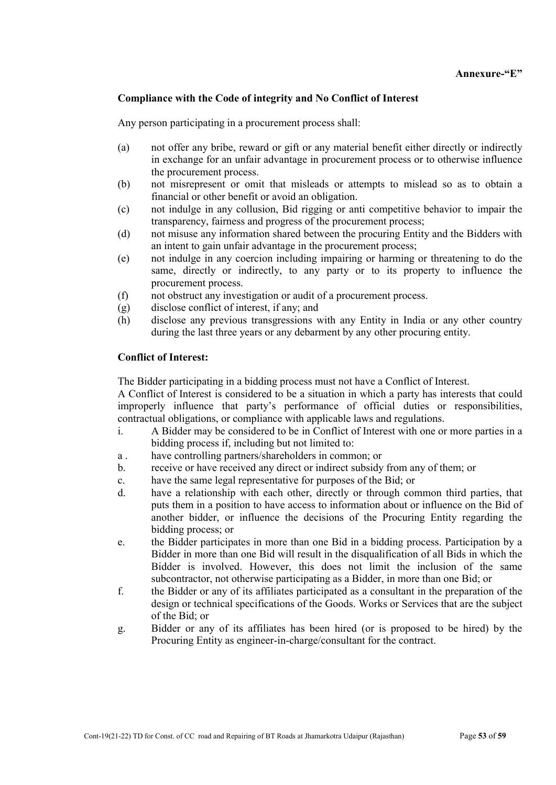#### Annexure-"E"

#### Compliance with the Code of integrity and No Conflict of Interest

Any person participating in a procurement process shall:

- (a) not offer any bribe, reward or gift or any material benefit either directly or indirectly in exchange for an unfair advantage in procurement process or to otherwise influence the procurement process.
- (b) not misrepresent or omit that misleads or attempts to mislead so as to obtain a financial or other benefit or avoid an obligation.
- (c) not indulge in any collusion, Bid rigging or anti competitive behavior to impair the transparency, fairness and progress of the procurement process;
- (d) not misuse any information shared between the procuring Entity and the Bidders with an intent to gain unfair advantage in the procurement process;
- (e) not indulge in any coercion including impairing or harming or threatening to do the same, directly or indirectly, to any party or to its property to influence the procurement process.
- (f) not obstruct any investigation or audit of a procurement process.
- (g) disclose conflict of interest, if any; and
- (h) disclose any previous transgressions with any Entity in India or any other country during the last three years or any debarment by any other procuring entity.

#### Conflict of Interest:

The Bidder participating in a bidding process must not have a Conflict of Interest.

A Conflict of Interest is considered to be a situation in which a party has interests that could improperly influence that party's performance of official duties or responsibilities, contractual obligations, or compliance with applicable laws and regulations.

- i. A Bidder may be considered to be in Conflict of Interest with one or more parties in a bidding process if, including but not limited to:
- a . have controlling partners/shareholders in common; or
- b. receive or have received any direct or indirect subsidy from any of them; or
- c. have the same legal representative for purposes of the Bid; or
- d. have a relationship with each other, directly or through common third parties, that puts them in a position to have access to information about or influence on the Bid of another bidder, or influence the decisions of the Procuring Entity regarding the bidding process; or
- e. the Bidder participates in more than one Bid in a bidding process. Participation by a Bidder in more than one Bid will result in the disqualification of all Bids in which the Bidder is involved. However, this does not limit the inclusion of the same subcontractor, not otherwise participating as a Bidder, in more than one Bid; or
- f. the Bidder or any of its affiliates participated as a consultant in the preparation of the design or technical specifications of the Goods. Works or Services that are the subject of the Bid; or
- g. Bidder or any of its affiliates has been hired (or is proposed to be hired) by the Procuring Entity as engineer-in-charge/consultant for the contract.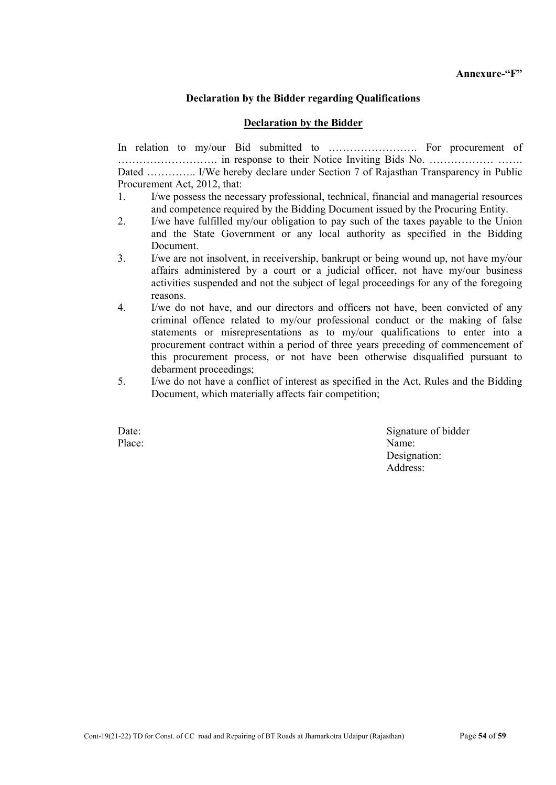#### Declaration by the Bidder regarding Qualifications

#### Declaration by the Bidder

In relation to my/our Bid submitted to ……………………. For procurement of ………………………. in response to their Notice Inviting Bids No. ……………… ……. Dated ………….. I/We hereby declare under Section 7 of Rajasthan Transparency in Public Procurement Act, 2012, that:

- 1. I/we possess the necessary professional, technical, financial and managerial resources and competence required by the Bidding Document issued by the Procuring Entity.
- 2. I/we have fulfilled my/our obligation to pay such of the taxes payable to the Union and the State Government or any local authority as specified in the Bidding Document.
- 3. I/we are not insolvent, in receivership, bankrupt or being wound up, not have my/our affairs administered by a court or a judicial officer, not have my/our business activities suspended and not the subject of legal proceedings for any of the foregoing reasons.
- 4. I/we do not have, and our directors and officers not have, been convicted of any criminal offence related to my/our professional conduct or the making of false statements or misrepresentations as to my/our qualifications to enter into a procurement contract within a period of three years preceding of commencement of this procurement process, or not have been otherwise disqualified pursuant to debarment proceedings;
- 5. I/we do not have a conflict of interest as specified in the Act, Rules and the Bidding Document, which materially affects fair competition;

Date: Signature of bidder Place: Name: Designation: Address: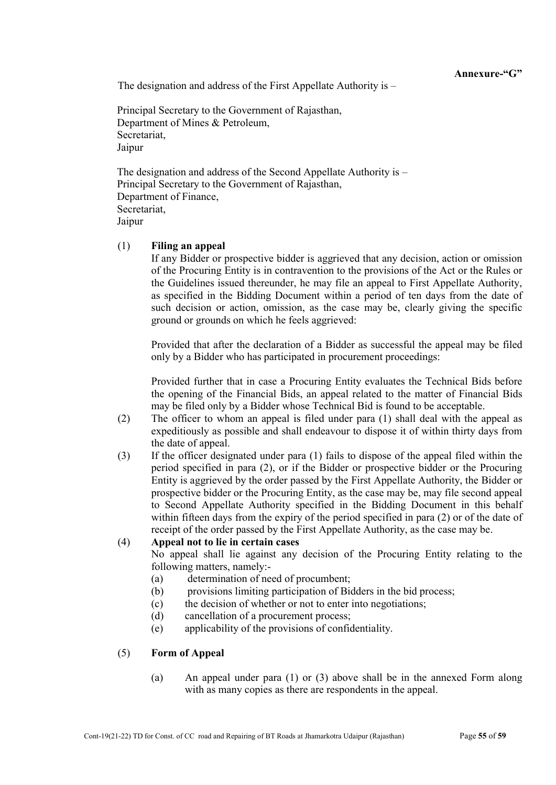Annexure-"G"

The designation and address of the First Appellate Authority is –

Principal Secretary to the Government of Rajasthan, Department of Mines & Petroleum, Secretariat, Jaipur

The designation and address of the Second Appellate Authority is – Principal Secretary to the Government of Rajasthan, Department of Finance, Secretariat, Jaipur

#### (1) Filing an appeal

If any Bidder or prospective bidder is aggrieved that any decision, action or omission of the Procuring Entity is in contravention to the provisions of the Act or the Rules or the Guidelines issued thereunder, he may file an appeal to First Appellate Authority, as specified in the Bidding Document within a period of ten days from the date of such decision or action, omission, as the case may be, clearly giving the specific ground or grounds on which he feels aggrieved:

Provided that after the declaration of a Bidder as successful the appeal may be filed only by a Bidder who has participated in procurement proceedings:

Provided further that in case a Procuring Entity evaluates the Technical Bids before the opening of the Financial Bids, an appeal related to the matter of Financial Bids may be filed only by a Bidder whose Technical Bid is found to be acceptable.

- (2) The officer to whom an appeal is filed under para (1) shall deal with the appeal as expeditiously as possible and shall endeavour to dispose it of within thirty days from the date of appeal.
- (3) If the officer designated under para (1) fails to dispose of the appeal filed within the period specified in para (2), or if the Bidder or prospective bidder or the Procuring Entity is aggrieved by the order passed by the First Appellate Authority, the Bidder or prospective bidder or the Procuring Entity, as the case may be, may file second appeal to Second Appellate Authority specified in the Bidding Document in this behalf within fifteen days from the expiry of the period specified in para (2) or of the date of receipt of the order passed by the First Appellate Authority, as the case may be.

#### (4) Appeal not to lie in certain cases

No appeal shall lie against any decision of the Procuring Entity relating to the following matters, namely:-

- (a) determination of need of procumbent;
- (b) provisions limiting participation of Bidders in the bid process;
- (c) the decision of whether or not to enter into negotiations;
- (d) cancellation of a procurement process;
- (e) applicability of the provisions of confidentiality.

#### (5) Form of Appeal

(a) An appeal under para (1) or (3) above shall be in the annexed Form along with as many copies as there are respondents in the appeal.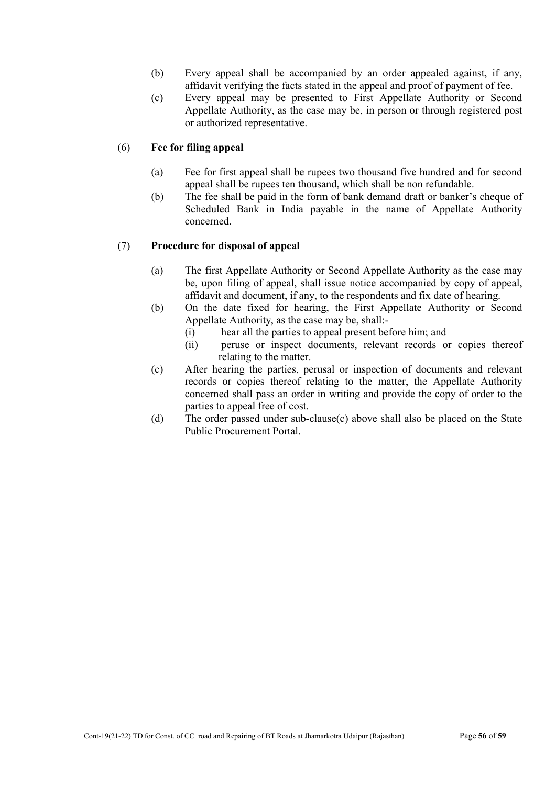- (b) Every appeal shall be accompanied by an order appealed against, if any, affidavit verifying the facts stated in the appeal and proof of payment of fee.
- (c) Every appeal may be presented to First Appellate Authority or Second Appellate Authority, as the case may be, in person or through registered post or authorized representative.

#### (6) Fee for filing appeal

- (a) Fee for first appeal shall be rupees two thousand five hundred and for second appeal shall be rupees ten thousand, which shall be non refundable.
- (b) The fee shall be paid in the form of bank demand draft or banker's cheque of Scheduled Bank in India payable in the name of Appellate Authority concerned.

#### (7) Procedure for disposal of appeal

- (a) The first Appellate Authority or Second Appellate Authority as the case may be, upon filing of appeal, shall issue notice accompanied by copy of appeal, affidavit and document, if any, to the respondents and fix date of hearing.
- (b) On the date fixed for hearing, the First Appellate Authority or Second Appellate Authority, as the case may be, shall:-
	- (i) hear all the parties to appeal present before him; and
	- (ii) peruse or inspect documents, relevant records or copies thereof relating to the matter.
- (c) After hearing the parties, perusal or inspection of documents and relevant records or copies thereof relating to the matter, the Appellate Authority concerned shall pass an order in writing and provide the copy of order to the parties to appeal free of cost.
- (d) The order passed under sub-clause(c) above shall also be placed on the State Public Procurement Portal.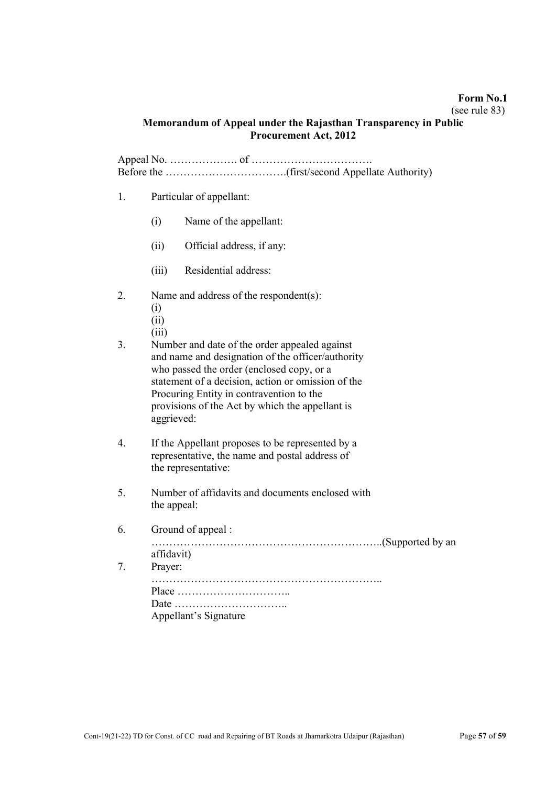#### Form No.1

#### (see rule 83)

#### Memorandum of Appeal under the Rajasthan Transparency in Public Procurement Act, 2012

Appeal No. ………………. of ……………………………. Before the …………………………….(first/second Appellate Authority)

- 1. Particular of appellant:
	- (i) Name of the appellant:
	- (ii) Official address, if any:
	- (iii) Residential address:
- 2. Name and address of the respondent(s):
	- (i)
	- (ii)
	- (iii)
- 3. Number and date of the order appealed against and name and designation of the officer/authority who passed the order (enclosed copy, or a statement of a decision, action or omission of the Procuring Entity in contravention to the provisions of the Act by which the appellant is aggrieved:
- 4. If the Appellant proposes to be represented by a representative, the name and postal address of the representative:
- 5. Number of affidavits and documents enclosed with the appeal:
- 6. Ground of appeal :

………………………………………………………..(Supported by an affidavit)

| 7. Prayer:            |
|-----------------------|
|                       |
|                       |
|                       |
| Appellant's Signature |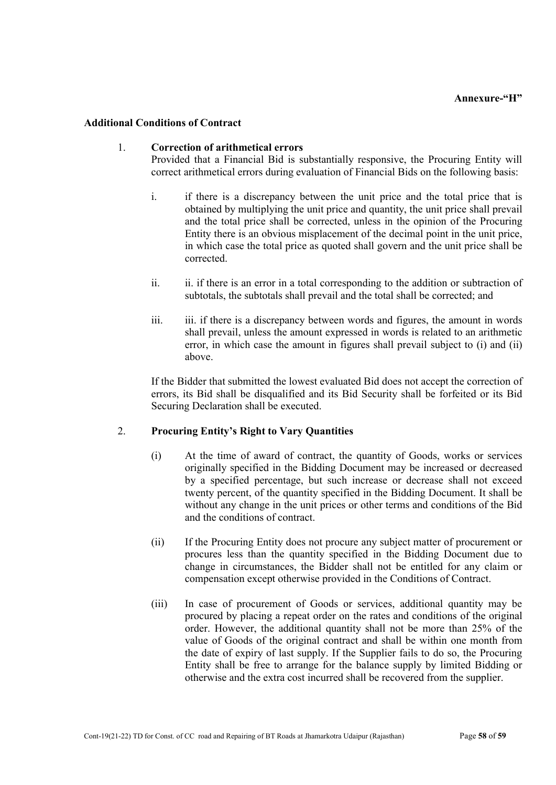#### Additional Conditions of Contract

#### 1. Correction of arithmetical errors

Provided that a Financial Bid is substantially responsive, the Procuring Entity will correct arithmetical errors during evaluation of Financial Bids on the following basis:

- i. if there is a discrepancy between the unit price and the total price that is obtained by multiplying the unit price and quantity, the unit price shall prevail and the total price shall be corrected, unless in the opinion of the Procuring Entity there is an obvious misplacement of the decimal point in the unit price, in which case the total price as quoted shall govern and the unit price shall be corrected.
- ii. ii. if there is an error in a total corresponding to the addition or subtraction of subtotals, the subtotals shall prevail and the total shall be corrected; and
- iii. iii. if there is a discrepancy between words and figures, the amount in words shall prevail, unless the amount expressed in words is related to an arithmetic error, in which case the amount in figures shall prevail subject to (i) and (ii) above.

If the Bidder that submitted the lowest evaluated Bid does not accept the correction of errors, its Bid shall be disqualified and its Bid Security shall be forfeited or its Bid Securing Declaration shall be executed.

#### 2. Procuring Entity's Right to Vary Quantities

- (i) At the time of award of contract, the quantity of Goods, works or services originally specified in the Bidding Document may be increased or decreased by a specified percentage, but such increase or decrease shall not exceed twenty percent, of the quantity specified in the Bidding Document. It shall be without any change in the unit prices or other terms and conditions of the Bid and the conditions of contract.
- (ii) If the Procuring Entity does not procure any subject matter of procurement or procures less than the quantity specified in the Bidding Document due to change in circumstances, the Bidder shall not be entitled for any claim or compensation except otherwise provided in the Conditions of Contract.
- (iii) In case of procurement of Goods or services, additional quantity may be procured by placing a repeat order on the rates and conditions of the original order. However, the additional quantity shall not be more than 25% of the value of Goods of the original contract and shall be within one month from the date of expiry of last supply. If the Supplier fails to do so, the Procuring Entity shall be free to arrange for the balance supply by limited Bidding or otherwise and the extra cost incurred shall be recovered from the supplier.